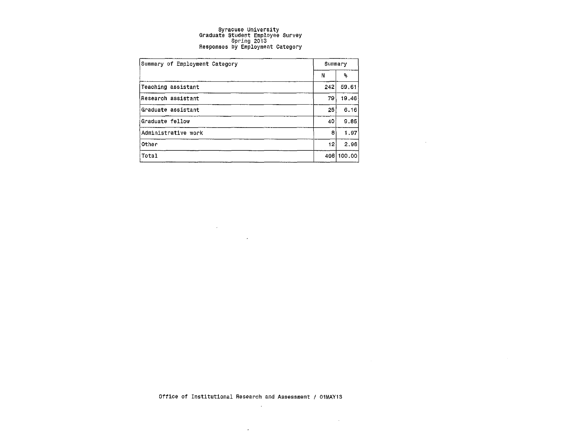| Summary of Employment Category | Summary |            |
|--------------------------------|---------|------------|
|                                | N       | ℁          |
| Teaching assistant             | 242     | 59.61      |
| Research assistant             | 79      | 19,46      |
| Graduate assistant             | 251     | 6.16       |
| Graduate fellow                | 40      | 9.85       |
| Administrative work            | 8       | 1.97       |
| Other                          | 121     | 2.96       |
| Total                          |         | 406 100.00 |

 $\label{eq:2.1} \frac{1}{2} \sum_{i=1}^n \frac{1}{2} \sum_{j=1}^n \frac{1}{2} \sum_{j=1}^n \frac{1}{2} \sum_{j=1}^n \frac{1}{2} \sum_{j=1}^n \frac{1}{2} \sum_{j=1}^n \frac{1}{2} \sum_{j=1}^n \frac{1}{2} \sum_{j=1}^n \frac{1}{2} \sum_{j=1}^n \frac{1}{2} \sum_{j=1}^n \frac{1}{2} \sum_{j=1}^n \frac{1}{2} \sum_{j=1}^n \frac{1}{2} \sum_{j=1}^n \frac{$ **Contract Contract Contract Contract** 

 $\sim 10^{-11}$ 

 $\sim$ 

**Contractor**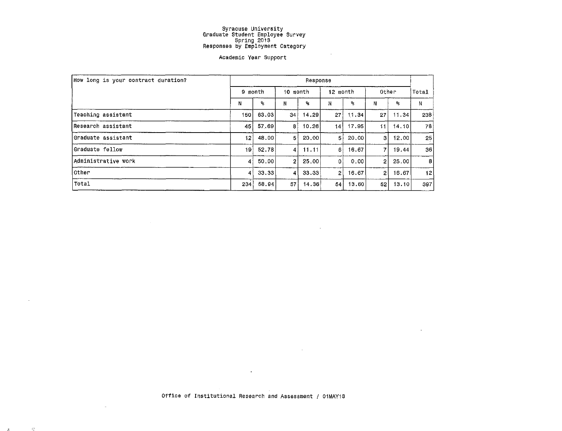#### Academic Year Support

| How long is your contract duration? | Response       |       |                |         |                |       |                 |       |                  |  |  |  |
|-------------------------------------|----------------|-------|----------------|---------|----------------|-------|-----------------|-------|------------------|--|--|--|
|                                     | 9 month        |       | 10 month       |         | 12 month       |       | Other           | Total |                  |  |  |  |
|                                     | N              | ዱ     | Ν              | ℁       | N.             | ዱ     | Ν               | ዱ     | N                |  |  |  |
| Teaching assistant                  | 150            | 63.03 | 34!            | 14.29   | 27             | 11.34 | 27 <sup>1</sup> | 11.34 | 238              |  |  |  |
| Research assistant                  | 45             | 57.69 | 8.             | 10.26   | 14             | 17.95 | 11.             | 14.10 | 78               |  |  |  |
| lGraduate assistant                 | 12             | 48.00 | 51             | 20,00   | 51             | 20,00 | 3               | 12.00 | 25               |  |  |  |
| Graduate fellow                     | 19             | 52.78 | 41             | 11.11   | 6              | 16.67 | 7               | 19.44 | 36               |  |  |  |
| Administrative work                 | 41             | 50.00 | 2 <sub>1</sub> | 25.00   | $\Omega$       | 0.00  | 2               | 25.00 | $\boldsymbol{B}$ |  |  |  |
| ∣Other                              | $\overline{4}$ | 33,33 | $\overline{4}$ | -33,331 | $\overline{2}$ | 16.67 | 2 <sub>1</sub>  | 16.67 | 12               |  |  |  |
| Total                               | 234            | 58.94 | 57             | 14.36   | 54             | 13.60 | 52              | 13.10 | 397              |  |  |  |

 $\mathbf{r}^{\prime}$ 

 $\sim$ 

 $\sim 100$ 

 $\sim$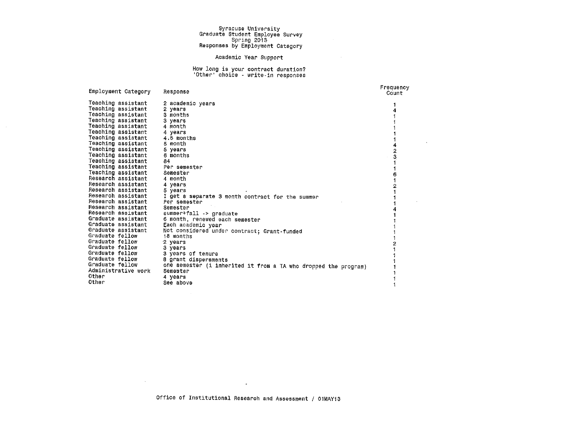$\sim 10^7$ 

 $\sim 10^{-1}$ 

#### Academic Year Support

## How long is your contract duration? 'Other' choice · write.in responses

| Employment Category | Response                                                        | Frequency<br>Count |
|---------------------|-----------------------------------------------------------------|--------------------|
| Teaching assistant  | 2 academic years                                                |                    |
| Teaching assistant  | 2 years                                                         |                    |
| Teaching assistant  | 3 months                                                        |                    |
| Teaching assistant  | 3 years                                                         |                    |
| Teaching assistant  | 4 month                                                         |                    |
| Teaching assistant  | 4 years                                                         |                    |
| Teaching assistant  | 4.5 months                                                      |                    |
| Teaching assistant  | 5 month                                                         |                    |
| Teaching assistant  | 5 years                                                         | 2                  |
| Teaching assistant  | 6 months                                                        | 3                  |
| Teaching assistant  | 84                                                              |                    |
| Teaching assistant  | Per semester                                                    |                    |
| Teaching assistant  | Semester                                                        | 6                  |
| Research assistant  | 4 month                                                         |                    |
| Research assistant  | 4 years                                                         |                    |
| Research assistant  | 5 years                                                         |                    |
| Research assistant  | I get a separate 3 month contract for the summer                |                    |
| Research assistant  | Per semester                                                    |                    |
| Research assistant  | Semester                                                        |                    |
| Research assistant  | summer+fall -> graduate                                         |                    |
| Graduate assistant  | 6 month, renewed each semester                                  |                    |
| Graduate assistant  | Each academic year                                              |                    |
| Graduate assistant  | Not considered under contract; Grant-funded                     |                    |
| Graduate fellow     | 18 months                                                       |                    |
| Graduate fellow     | 2 years                                                         |                    |
| Graduate fellow     | 3 years                                                         |                    |
| Graduate fellow     | 3 years of tenure                                               |                    |
| Graduate fellow     | 8 grant dispersments                                            |                    |
| Graduate fellow     | one semester (i inherited it from a TA who dropped the program) |                    |
| Administrative work | Semester                                                        |                    |
| Other               | 4 years                                                         |                    |
| Other               | See above                                                       |                    |
|                     |                                                                 |                    |

 $\sim 100$ 

 $\sim 10^{11}$  m  $^{-1}$  m  $^{-1}$ 

Office of Institutional Research and Assessment / 01MAY13

 $\langle \hat{\mathbf{a}} \rangle$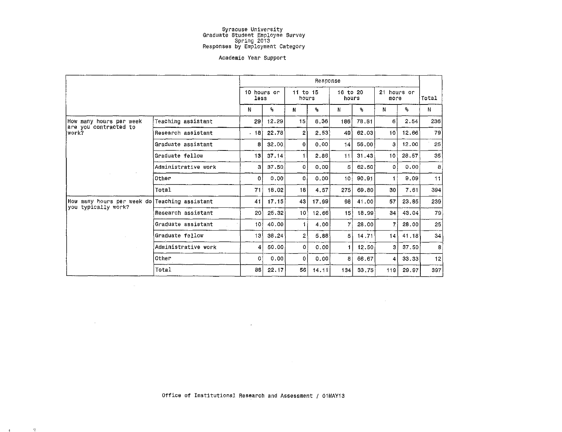#### Academic Year Support

|                                               |                     | Response            |                         |                   |                |                   |       |                     |       |     |  |  |
|-----------------------------------------------|---------------------|---------------------|-------------------------|-------------------|----------------|-------------------|-------|---------------------|-------|-----|--|--|
|                                               |                     | 10 hours or<br>less |                         | 11 to 15<br>hours |                | 16 to 20<br>hours |       | 21 hours or<br>more | Total |     |  |  |
|                                               |                     | N                   | $\mathbf{S}_\mathrm{S}$ | N                 | $\mathbf{s}_i$ | N                 | ۹,    | N                   | ۶,    | N   |  |  |
| How many hours per week                       | Teaching assistant  | 29 <sub>1</sub>     | 12.29                   | 15                | 6.36           | 186               | 78.81 | 6 <sup>1</sup>      | 2.54  | 236 |  |  |
| are you contracted to<br>work?                | Research assistant  | . 18                | 22.78                   | 2                 | 2.53           | 49                | 62,03 | 10                  | 12.66 | 79  |  |  |
|                                               | Graduate assistant  | 8                   | 32.00                   | 0                 | 0.00           | 14                | 56.00 | 3.                  | 12.00 | 25  |  |  |
|                                               | Graduate fellow     | 13 <sub>1</sub>     | 37.14                   | 1.                | 2.86           | 11                | 31.43 | 10 <sup>1</sup>     | 28.57 | 35  |  |  |
|                                               | Administrative work | 3                   | 37.50                   | $\Omega$          | 0.00           | 5 <sup>1</sup>    | 62.50 | οl                  | 0.00  | 8   |  |  |
|                                               | Other               | 0                   | 0.00                    | ٥l                | 0.00           | 101               | 90.91 | 1.                  | 9.09  | 11  |  |  |
|                                               | Total               | 71                  | 18.02                   | 18                | 4.57           | 275 l             | 69.80 | 30                  | 7.61  | 394 |  |  |
| How many hours per week do Teaching assistant |                     | 41                  | 17.15                   | 43                | 17.99          | 98                | 41.00 | 57                  | 23.85 | 239 |  |  |
| you typically work?                           | Research assistant  | 20                  | 25,32                   | 10)               | 12.66          | 15 <sup>1</sup>   | 18.99 | 34                  | 43.04 | 79  |  |  |
|                                               | Graduate assistant  | 101                 | 40.00                   | 1.                | 4.00           | 7                 | 28.00 | 71                  | 28,00 | 25  |  |  |
|                                               | Graduate fellow     | 13 <sup>1</sup>     | 38.24                   | $2^+$             | 5.88           | 5                 | 14.71 | 4                   | 41.18 | 34  |  |  |
|                                               | Administrative work | 4                   | 50.00                   | 0                 | 0.00           | 1                 | 12.50 | зI                  | 37.50 | 8   |  |  |
|                                               | Other               | 01                  | 0.00                    | 0                 | 0.00           | 81                | 66.67 | 4                   | 33,33 | 12  |  |  |
|                                               | Total               | 88                  | 22.17                   | 56                | 14.11          | 134               | 33.75 | 119                 | 29.97 | 397 |  |  |

 $\mathcal{L}^{\text{max}}_{\text{max}}$  and  $\mathcal{L}^{\text{max}}_{\text{max}}$ 

 $\mathcal{L}(\mathcal{L}(\mathcal{L}))$  and  $\mathcal{L}(\mathcal{L}(\mathcal{L}))$  . The contribution of  $\mathcal{L}(\mathcal{L})$ 

 $\mathcal{L}^{\text{max}}_{\text{max}}$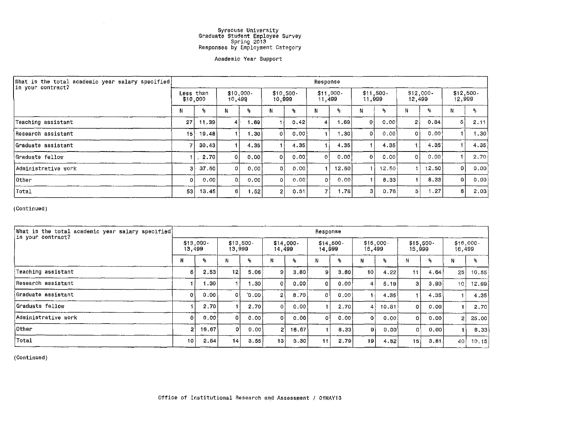#### Academic Year Support

| What is the total academic year salary specified} | Response              |       |                     |       |                      |       |                       |       |                      |       |                       |       |                      |      |
|---------------------------------------------------|-----------------------|-------|---------------------|-------|----------------------|-------|-----------------------|-------|----------------------|-------|-----------------------|-------|----------------------|------|
| in your contract?                                 | Less than<br>\$10,000 |       | \$10,000.<br>10,499 |       | $$10,500-$<br>10,999 |       | $$11,000 -$<br>11,499 |       | $$11,500-$<br>11,999 |       | $$12,000 -$<br>12,499 |       | $$12,500-$<br>12,999 |      |
|                                                   | N                     | ጜ     | м                   | ℁     | N                    | ዔ.    | N                     | ጜ     | Ν                    | ℁     | N                     | ℁     |                      | %    |
| Teaching assistant                                | 27                    | 11.39 | $\sim$              | 1.69  |                      | 0.42  |                       | 1.69  | 0                    | 0.001 | 2                     | 0.84  | 5.                   | 2.11 |
| Research assistant                                | 151                   | 19.48 |                     | 1.30  | 0                    | 0.001 |                       | 1.301 | -01                  | 0.00  | 0                     | 0.00  |                      | 1.30 |
| Graduate assistant                                |                       | 30.43 |                     | 4.35  |                      | 4.35  |                       | 4.35  |                      | 4.35  |                       | 4.35  |                      | 4.35 |
| Graduate fellow                                   |                       | 2.70  | 01                  | 0.00  | 0                    | 0.00  | O.                    | 0.00  | οŀ                   | 0.001 | ΩI                    | 0.00  |                      | 2.70 |
| Administrative work                               | з                     | 37.50 |                     | 0.00  | Ωſ                   | 0.00  |                       | 12.50 |                      | 12.50 |                       | 12.50 | 0                    | 0.00 |
| Other                                             | $\Omega$              | 0.00  |                     | 0.001 | οI                   | 0.00  | Οł                    | 0.00  |                      | 8.33  |                       | 8.33  | $\Omega$             | 0.00 |
| Total                                             | 53                    | 13.45 | 6                   | 1.52  | 2.                   | 0.51  |                       | 1.78  | 3                    | 0.76  | 5.                    | 1.27  | 8                    | 2.03 |

 $\sim 10^6$ 

(Continued)

 $\sim 10^7$ 

| What is the total academic year salary specified)<br>iin your contract? | Response              |       |          |                       |                 |                    |          |                      |                 |                       |                       |      |                       |       |
|-------------------------------------------------------------------------|-----------------------|-------|----------|-----------------------|-----------------|--------------------|----------|----------------------|-----------------|-----------------------|-----------------------|------|-----------------------|-------|
|                                                                         | $$13,000 -$<br>13,499 |       |          | $$13,500 -$<br>13,999 |                 | \$14,000<br>14,499 |          | $$14,500-$<br>14,999 |                 | $$15,000 -$<br>15,499 | $$15,500 -$<br>15,999 |      | $$16,000 -$<br>16,499 |       |
|                                                                         | N                     | ዔ     |          | ዱ                     | N               | ጜ                  | N        | ℁                    |                 | ℁                     | Ν                     | ٩.   | Ν                     | ዱ     |
| Teaching assistant                                                      | 6                     | 2.53  | 12       | 5.06                  | 9               | 3.80               | ٩        | 3.80                 | 10 <sup>1</sup> | 4.22                  | 11 <sub>1</sub>       | 4.64 | 25                    | 10,55 |
| Research assistant                                                      |                       | 1.30  |          | 1.30                  | $\Omega$        | 0.00               |          | 0.00                 |                 | 5.19                  | 3 <sub>1</sub>        | 3.90 | 10 <sub>1</sub>       | 12.99 |
| Graduate assistant                                                      | ٥l                    | 0.00  | ΩI       | ا 00. 0               | 2 <sup>1</sup>  | 8.70               | $\Omega$ | 0.00                 |                 | 4,35                  |                       | 4.35 |                       | 4.35  |
| Graduate fellow                                                         |                       | 2,70  |          | 2.70                  | ΩĪ              | 0.00               |          | 2.70                 |                 | 10.81                 | $\Omega$              | 0.00 |                       | 2,70  |
| Administrative work                                                     | $\mathbf{0}$          | 0.00  | $\Omega$ | 0.00                  | οl              | 0.00               | $\Omega$ | 0.00                 | $\mathbf{o}$    | 0.001                 | 0                     | 0.00 | $\mathbf{2}$          | 25.00 |
| Other                                                                   | $\overline{2}$        | 16.67 | -01      | 0.00                  | 2۱              | 16.67              |          | 8.33                 | $\mathbf{0}$    | 0.00                  | 0                     | 0.00 |                       | 8.33  |
| Total                                                                   | -10                   | 2.54  | 4        | 3.55                  | 13 <sup>1</sup> | 3.30               | 111      | 2.79                 | 19              | 4.82                  | 15                    | 3.81 | 40                    | 10.15 |

(Continued)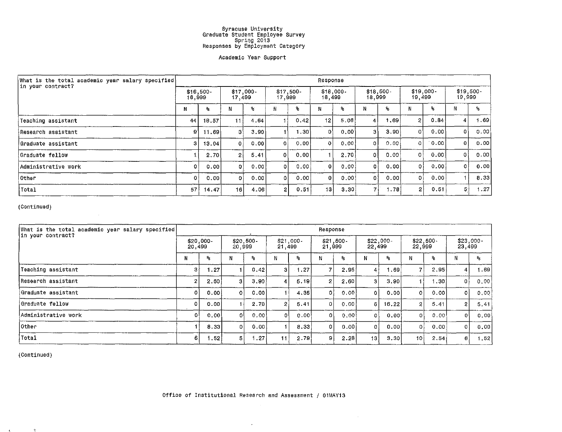#### Academic Year Support

| What is the total academic year salary specified | Response             |       |                      |       |                       |      |                        |       |                       |      |                       |      |                     |      |  |
|--------------------------------------------------|----------------------|-------|----------------------|-------|-----------------------|------|------------------------|-------|-----------------------|------|-----------------------|------|---------------------|------|--|
| in your contract?                                | $$16,500-$<br>16,999 |       | $$17,000-$<br>17,499 |       | $$17.500 -$<br>17,999 |      | $$18,000 -$<br>18, 499 |       | $$18,500 -$<br>18,999 |      | $$19,000 -$<br>19,499 |      | \$19,500-<br>19,999 |      |  |
|                                                  | N                    | ዔ.    | N                    | ℁     | N                     | ۶,   | ŦЧ                     | ℁     |                       | ۹,   |                       | ৽    |                     | %    |  |
| Teaching assistant                               | 44                   | 18.57 | 11                   | 4.64  |                       | 0.42 | 12                     | 5.06  | 4 <sub>1</sub>        | 1.69 | 2 <sub>1</sub>        | 0.84 | 4                   | 1.69 |  |
| Research assistant                               | 9'                   | 11.69 | з۱                   | 3.90  |                       | 1.30 | 0                      | 0.001 | зI                    | 3.90 | Οl                    | 0.00 | ٥I                  | 0.00 |  |
| !Graduate assistant                              |                      | 13.04 | 0 <sup>1</sup>       | 0.001 | O.                    | 0.00 | $\Omega$               | 0.00. | οl                    | 0.00 | ΩI                    | 0.00 | 0                   | 0.00 |  |
| Graduate fellow!                                 |                      | 2.70  | $\overline{2}$       | 5.41  | ΩI                    | 0.00 |                        | 2.70  | οł                    | 0.00 | 01                    | 0.00 | $\Omega$            | 0.00 |  |
| lAdministrative work                             |                      | 0.00  | οl                   | 0.00  | 0                     | 0.00 |                        | 0.00  | 0 l                   | 0.00 | 0.                    | 0.00 | $\Omega$            | 0.00 |  |
| <b>Other</b>                                     |                      | 0.00  | οI                   | 0.00  | 0                     | 0.00 | $\Omega$               | 0.001 | 01                    | 0.00 | $\overline{0}$        | 0.00 |                     | 8.33 |  |
| <b>Total</b>                                     | 57                   | 14.47 | 16 I                 | 4.06  | $\overline{2}$        | 0.51 | 131                    | 3.30  | –                     | 1.78 | $\overline{2}$        | 0.51 | $5^{\circ}$         | 1,27 |  |

 $\sim 10^{-1}$ 

(Continued)

| What is the total academic year salary specified<br>in your contract? | Response            |             |          |                      |    |                         |    |                      |                |                       |                      |                  |                      |                           |  |
|-----------------------------------------------------------------------|---------------------|-------------|----------|----------------------|----|-------------------------|----|----------------------|----------------|-----------------------|----------------------|------------------|----------------------|---------------------------|--|
|                                                                       | \$20,000-<br>20,499 |             |          | $$20,500-$<br>20,999 |    | \$21,000-<br>21,499     |    | $$21,500-$<br>21,999 |                | $$22,000-$<br>22, 499 | $$22,500-$<br>22,999 |                  | $$23,000-$<br>23,499 |                           |  |
|                                                                       | N                   | $R_{\rm S}$ | Ν        | .જુ                  |    | $\mathbf{S}_\mathbf{S}$ | Ν  | ٩,                   | N              | ጜ                     |                      | ۶.               | ш                    | $\mathbf{S}_{\mathbf{K}}$ |  |
| Teaching assistant                                                    | З                   | 1.27        |          | 0.42                 | 3  | 1.27                    |    | 2.95                 | 4              | 89 ، ا                |                      | 2.95             | 4                    | 1.69                      |  |
| Research assistant                                                    | 2                   | 2.60        | 3        | 3,90                 |    | 5.19                    |    | 2.60                 |                | 3.90                  |                      | .30 <sup>1</sup> | ΙOΙ                  | 0.00                      |  |
| Graduate assistant                                                    | 0                   | .0.00       | 0        | 0.00                 |    | 4.35                    | 0. | 0.00                 |                | 0.00                  | 0                    | 0.00             | οI                   | 0.00                      |  |
| Graduate fellow                                                       | $\Omega$            | 0.00        |          | 2.70                 |    | 5.41                    |    | 0.00                 | 6 <sub>1</sub> | 16.22                 | 2                    | 5.41             | $\overline{2}$       | 5.41                      |  |
| Administrative work                                                   | 01                  | 0.00        | -o l     | .0.00                | σl | .0.00                   | οI | 0.00                 | ٥۱             | 0.00                  | 0                    | 0.00             | οI                   | 0.00                      |  |
| <b>Other</b>                                                          |                     | 8.33        | $\theta$ | 0.00                 |    | 8,33                    |    | 0.001                | O.             | 0.00                  | 0.                   | 0.00             | ΟI                   | 0.00                      |  |
| Total                                                                 | 6.                  | ∫52. ،      | 5.       | 1.27                 | 11 | 2.79                    | 9  | 2.28                 | 13             | 3,30                  | 101                  | 2.54             | 6                    | 1.52                      |  |

{Continued)

 $\omega$ 

 $\sim 10$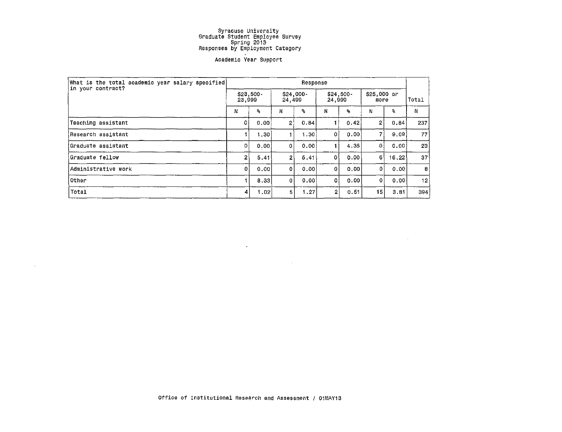#### **Academic Year Support**

| What is the total academic year salary specified <br>in your contract? |                     | Response          |                      |      |                      |      |                     |                           |                 |  |  |  |  |
|------------------------------------------------------------------------|---------------------|-------------------|----------------------|------|----------------------|------|---------------------|---------------------------|-----------------|--|--|--|--|
|                                                                        | \$23,500-<br>23,999 |                   | $$24,000-$<br>24,499 |      | $$24,500-$<br>24,999 |      | \$25,000 or<br>more |                           | Total           |  |  |  |  |
|                                                                        |                     | ٩.                | N                    | ۹.   | N                    | ۹.   | N                   | $\mathbf{P}_{\mathbf{G}}$ | N               |  |  |  |  |
| Teaching assistant                                                     | οi                  | 0.00              | 21                   | 0.84 |                      | 0.42 | 2)                  | 0.84                      | 237             |  |  |  |  |
| Research assistant                                                     |                     | 1.30 <sub>1</sub> |                      | 1.30 | 0                    | 0.00 |                     | 9.09                      | 77              |  |  |  |  |
| Graduate assistant                                                     | 0                   | 0.00              | ٥l                   | 0.00 |                      | 4.35 | $\mathbf{0}$        | 0.00                      | 23 <sub>1</sub> |  |  |  |  |
| Graduate fellow                                                        | $\overline{2}$      | 5.41              | 2 <sup>1</sup>       | 5,41 | 0                    | 0.00 | 6                   | 16.22                     | 37              |  |  |  |  |
| Administrative work                                                    | 0                   | 0.00              | $\Omega$             | 0.00 | $\Omega$             | 0.00 | ٥                   | 0.001                     | 8               |  |  |  |  |
| Other                                                                  |                     | 8.33              | $\overline{0}$       | 0.00 | 0                    | 0.00 | $\mathbf 0$         | 0.00                      | 12              |  |  |  |  |
| Total                                                                  | 4                   | .02               | 5                    | 1.27 | 2                    | 0.51 | 15                  | 3.81                      | 394             |  |  |  |  |

 $\sim$ 

 $\label{eq:2.1} \frac{1}{\sqrt{2\pi}}\int_{\mathbb{R}^3}\frac{1}{\sqrt{2\pi}}\int_{\mathbb{R}^3}\frac{1}{\sqrt{2\pi}}\int_{\mathbb{R}^3}\frac{1}{\sqrt{2\pi}}\int_{\mathbb{R}^3}\frac{1}{\sqrt{2\pi}}\int_{\mathbb{R}^3}\frac{1}{\sqrt{2\pi}}\int_{\mathbb{R}^3}\frac{1}{\sqrt{2\pi}}\int_{\mathbb{R}^3}\frac{1}{\sqrt{2\pi}}\int_{\mathbb{R}^3}\frac{1}{\sqrt{2\pi}}\int_{\mathbb{R}^3}\frac{1$ 

and the control of the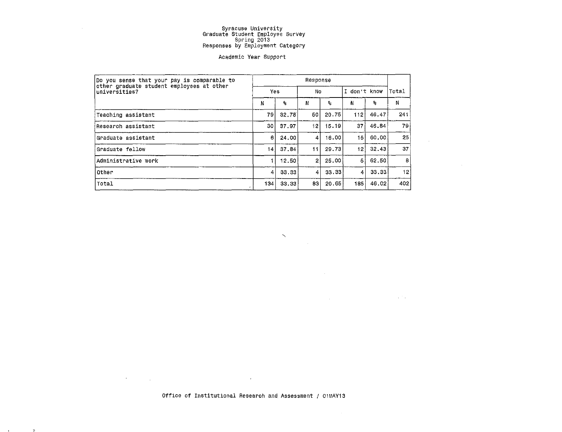$\sim 10^{-1}$ 

#### Academic Year Support

| Do you sense that your pay is comparable to                | Response |                         |              |                         |                 |       |                 |  |  |  |  |
|------------------------------------------------------------|----------|-------------------------|--------------|-------------------------|-----------------|-------|-----------------|--|--|--|--|
| other graduate student employees at other<br>universities? | Yes.     |                         | No           |                         | I don't know    |       | Total           |  |  |  |  |
|                                                            | N        | $\mathbf{e}_\mathbf{f}$ | N            | $\mathbf{S}_\mathbf{S}$ | N               | s.    | N               |  |  |  |  |
| Teaching assistant                                         | 79       | 32.78                   | 50           | 20.75                   | 112             | 46.47 | 241             |  |  |  |  |
| Research assistant                                         | 30 l     | 37.97                   | 12           | 15.19                   | 37              | 46.84 | 79 i            |  |  |  |  |
| Graduate assistant                                         | 61       | 24.00                   | 4            | 16.00                   | 15 <sub>1</sub> | 60.00 | 25 <sub>1</sub> |  |  |  |  |
| Graduate fellow                                            | 14       | 37.84                   | 11           | 29.73                   | 12 <sub>1</sub> | 32,43 | 37              |  |  |  |  |
| Administrative work                                        |          | 12.50                   | $\mathbf{2}$ | 25.00                   | 5               | 62.50 | 8               |  |  |  |  |
| lother                                                     | 4        | 33.33                   | 4            | 33.33                   | 4               | 33.33 | 12              |  |  |  |  |
| Total                                                      | 134      | 33.33                   | 83           | 20.65                   | 185             | 46.02 | 402             |  |  |  |  |

**N** 

 $\sim$ 

 $\mathcal{L}^{\text{max}}_{\text{max}}$ 

 $\mathcal{L}^{\mathcal{L}}(\mathcal{L}^{\mathcal{L}})$  and  $\mathcal{L}^{\mathcal{L}}(\mathcal{L}^{\mathcal{L}})$  and  $\mathcal{L}^{\mathcal{L}}(\mathcal{L}^{\mathcal{L}})$  and  $\mathcal{L}^{\mathcal{L}}(\mathcal{L}^{\mathcal{L}})$ 

 $\sim 10^{-10}$  km  $^{-1}$ 

 $\sim 10^7$ 

Office of Institutional Research and Assessment / 01MAY13

 $\sim 10^{-11}$ 

 $\label{eq:2.1} \mathcal{L}^{\mathcal{A}}(\mathcal{A}) = \mathcal{L}^{\mathcal{A}}(\mathcal{A}) = \mathcal{L}^{\mathcal{A}}(\mathcal{A}) = \mathcal{L}^{\mathcal{A}}(\mathcal{A})$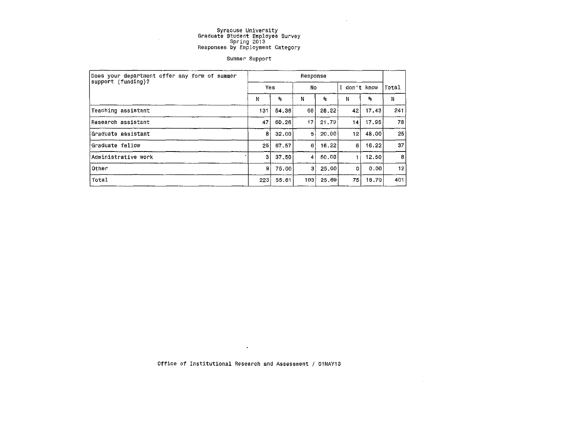$\sim$ 

 $\sim 10^{11}$ 

 $\sim 10^{-1}$ 

#### summer Support

| Does your department offer any form of summer | Response        |                         |                |                             |              |              |              |  |  |  |  |
|-----------------------------------------------|-----------------|-------------------------|----------------|-----------------------------|--------------|--------------|--------------|--|--|--|--|
| support (funding)?                            | Yes             |                         | No             |                             | I don't know |              | Total        |  |  |  |  |
|                                               | Ν               | $\mathbf{q}_\mathrm{s}$ | N              | $\mathcal{L}_{\mathcal{S}}$ | N            | $\mathbf{a}$ | N            |  |  |  |  |
| Teaching assistant                            | 131             | 54.36                   | 68             | 28.22                       | 42           | 17.43        | 241          |  |  |  |  |
| lResearch assistant                           | 47              | 60,26                   | 17.            | 21.79                       | 14 I         | 17,95        | 78           |  |  |  |  |
| Graduate assistant                            | 8               | 32,00                   | $\overline{5}$ | 20.00                       | $12^{\circ}$ | 48,00        | $25^{\circ}$ |  |  |  |  |
| Graduate fellow                               | 25 <sup>1</sup> | 67.57                   | 6              | 16.22                       | 6            | 16.22        | 37.          |  |  |  |  |
| Administrative work                           | 31              | 37.50                   | $\vert$        | 50.00                       |              | 12.50        | 8            |  |  |  |  |
| Other                                         | 9               | 75.00                   | 3              | 25.00                       | 0            | 0.00         | 12           |  |  |  |  |
| Total                                         | 223             | 55.61                   | 103            | 25.69                       | 75           | 18.70        | 401          |  |  |  |  |

Office of Institutional Research and Assessment / 01MAY13

 $\sim 10^{11}$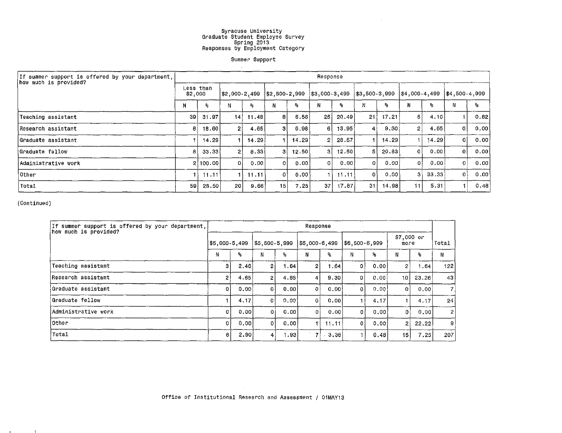$\sim 10^7$ 

Summer Support

 $\sim 100$  km s  $^{-1}$ 

| If summer support is offered by your department, | Response             |          |                |       |                   |       |                    |       |                   |       |                 |       |                 |      |
|--------------------------------------------------|----------------------|----------|----------------|-------|-------------------|-------|--------------------|-------|-------------------|-------|-----------------|-------|-----------------|------|
| how much is provided?                            | Less than<br>\$2,000 |          | \$2,000-2,499  |       | $ $ \$2,500-2,999 |       | $  $3,000 - 3,499$ |       | $ $ \$3,500-3,999 |       | \$4,000 - 4,499 |       | $ $4,500-4,999$ |      |
|                                                  | N                    | 名。       | Ν              | ۹.    | N                 | q.    | N                  | ℁     | N                 | ٩.    | N               | ℅     |                 | ۹.   |
| Teaching assistant                               | 39                   | -31.97   | -141           | 11.48 | 81                | 6.56  | 25                 | 20.49 | <u>21 l</u>       | 17.21 | 5.              | 4.10  |                 | 0.82 |
| Research assistant                               | 81                   | 18.60    | $\overline{2}$ | 4,65  | з                 | 6.98  | 6                  | 13.95 | 4 <sup>1</sup>    | 9.30  | 2               | 4.65  | 0               | 0.00 |
| Graduate assistant                               |                      | 14.29    |                | 14.29 |                   | 14.29 | 21                 | 28.57 |                   | 14.29 |                 | 14.29 | 0               | 0.00 |
| Graduate fellow                                  | 81                   | 33.33    | $\mathbf{2}$   | 8.33  | 3.                | 12.50 | 31                 | 12.50 | 5 <sup>1</sup>    | 20.83 | 01              | 0.00  | 0               | 0.00 |
| Administrative work                              |                      | 2 100.00 | ٥ł             | 0.00  | n.                | 0.001 | ΩI                 | 0.00  | $\mathbf{0}$      | 0.00  | ΩI              | 0.00  | $\overline{0}$  | 0.00 |
| <b>Other</b>                                     |                      | 11.11    |                | 11.11 | ٥۱                | 0.00  |                    | 11.11 | ٥۱                | 0.00  | зł              | 33.33 | $\mathbf{O}$    | 0.00 |
| Total                                            | 59                   | 28.50    | 20 l           | 9.66  | 15                | 7.25  | 37                 | 17,87 | 311               | 14.98 | 11              | 5.31  | $\mathbf 1$ .   | 0.48 |

(Continued)

| If summer support is offered by your department, | Response      |      |                           |       |              |       |              |      |                    |       |                |  |
|--------------------------------------------------|---------------|------|---------------------------|-------|--------------|-------|--------------|------|--------------------|-------|----------------|--|
| how much is provided?                            | \$5,000-5,499 |      | 55,500-5,999              |       | 56,000-6,499 |       | 56,500-6,999 |      | \$7,000 or<br>more |       | Total          |  |
|                                                  | N             | ዱ    | N                         | 8     | N            | ۹.    | N            | ٩.   | N                  | ۹.    | И              |  |
| Teaching assistant                               | 3             | 2.46 | $\mathbf{2}$              | 1.64  |              | 1.64  | 0            | 0.00 | 2.                 | 1.64  | 122            |  |
| Research assistant                               | 2             | 4.65 | $\mathbf{2}^{\mathsf{T}}$ | 4.65  |              | 9.30  | οl           | 0.00 | 10 I               | 23.26 | 43             |  |
| iGraduate assistant                              | Οİ            | 0.00 | 0 <sup>1</sup>            | 0.00  | Οl           | 0.001 | 0            | 0.00 | 0                  | 0.001 | $\overline{7}$ |  |
| Graduate fellow!                                 |               | 4.17 | 0                         | 0.001 | ٥I           | 0.00  |              | 4.17 |                    | 4.17  | 24             |  |
| Administrative work                              | οI            | 0.00 | 0                         | 0.00  | ٥i           | 0.00  | ٥ł           | 0.00 | 0                  | 0.00  | $\overline{2}$ |  |
| lother                                           | οl            | 0.00 | 0                         | 0.00  |              | 11.11 | οI           | 0.00 | $\overline{2}$     | 22.22 | -9             |  |
| Total                                            | 61            | 2.90 | 41                        | 1.93  | 7            | 3,38  |              | 0.48 | 15                 | 7.25  | 207            |  |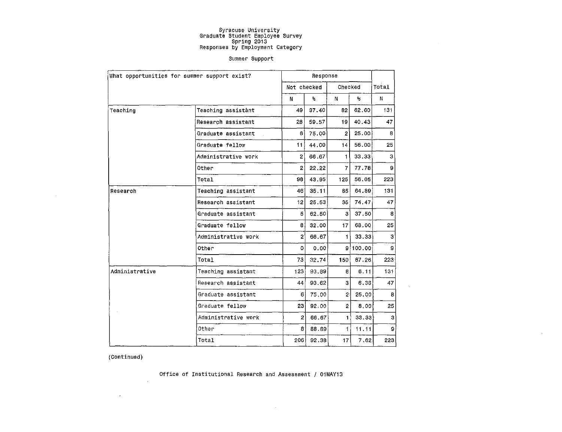$\sim$ 

 $\mathcal{H}_{\mathcal{G}}$ 

#### Summer Support

|                | What opportunities for summer support exist? |                        | Response |                 |          |                |
|----------------|----------------------------------------------|------------------------|----------|-----------------|----------|----------------|
|                |                                              | Not checked            |          | Checked         |          | Total          |
|                |                                              | N                      | ۹.       | N               | s.       | N              |
| Teaching       | Teaching assistant                           | 49                     | 37.40    | 82              | 62.60    | 131            |
|                | Research assistant                           | 28                     | 59.57    | 19              | 40.43    | 47             |
|                | Graduate assistant                           | 61                     | 75.00    | $\overline{2}$  | 25.00    | 8              |
|                | Graduate fellow                              | 111                    | 44.00    | 14              | 56.00    | 25             |
|                | Administrative work                          | 21                     | 66.67    | 1.              | 33,33    | 3              |
|                | Other                                        | $\mathbf{2}$           | 22 22    | $\overline{7}$  | 77.78    | 9              |
|                | Total                                        | 98 <sub>1</sub>        | 43.95    | 125             | 56.05    | 223            |
| Research       | Teaching assistant                           | 46                     | 35.11    | 85              | 64.89    | 131            |
|                | Research assistant                           | 12                     | 25.53    | 35              | 74.47    | 47             |
|                | Graduate assistant                           | 5                      | 62, 50   | 3               | 37.50    | 8              |
|                | Graduate fellow                              | 8                      | 32.00    | 17              | 68.00    | 25             |
|                | Administrative work                          | $\mathbf{2}^{\dagger}$ | 66.67    | 1.              | 33.33    | з              |
|                | Other                                        | 0                      | 0.00     |                 | 9 100,00 | 9              |
|                | Total                                        | 73                     | 32.74    | 150             | 67, 26   | 223            |
| Administrative | Teaching assistant                           | 123                    | 93,89    | 8               | 6.11     | 131            |
|                | Research assistant                           | 44                     | 93.62    | 3               | 6.38.    | 47             |
|                | Graduate assistant                           | 61                     | 75,00    | 2 <sup>1</sup>  | 25.00    | 8              |
|                | Graduate fellow                              | 23                     | 92.00    | $\overline{2}$  | 8.00     | 25             |
|                | Administrative work                          | $\overline{2}$         | 66.67    | $\mathbf{1}$    | 33,33    | 3              |
|                | Other                                        | 8                      | 88.89    | 11              | 11.11    | 9 <sub>1</sub> |
|                | Total                                        | 206                    | 92.38    | 17 <sup>°</sup> | 7.62     | 223            |

(Continued)

 $\mathcal{A}$ 

 $\sim 10^7$ 

 $\sim$   $\sim$ 

Office of Institutional Research and Assessment / 01MAY13

 $\sim$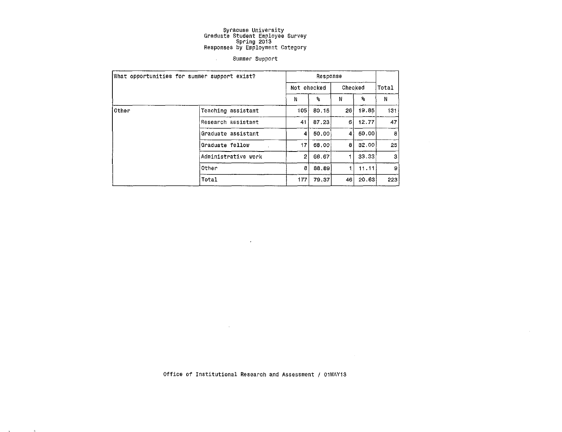#### Summer Support

|       | What opportunities for summer support exist? |                | Response                  |                 |                         |     |  |  |  |
|-------|----------------------------------------------|----------------|---------------------------|-----------------|-------------------------|-----|--|--|--|
|       |                                              | Not checked    | Checked                   |                 | Total                   |     |  |  |  |
|       |                                              | N              | $\mathbf{P}_{\mathbf{G}}$ | N               | $\mathbf{S}_\mathbf{S}$ | N   |  |  |  |
| Other | Teaching assistant                           | 105            | 80.15                     | 26 <sub>1</sub> | 19.85                   | 131 |  |  |  |
|       | Research assistant                           | 41             | 87.23                     | 61              | 12.77                   | 47  |  |  |  |
|       | Graduate assistant                           | 41             | 50,00                     | 4               | 50,00                   | 8   |  |  |  |
|       | Graduate fellow                              | 17             | 68,00                     | 8               | 32,00                   | 25  |  |  |  |
|       | Administrative work                          | $\overline{2}$ | 66.67                     |                 | 33.33                   | 3   |  |  |  |
|       | Other                                        | 8              | 88.89                     |                 | 11.11                   | 9   |  |  |  |
|       | Total                                        | 177            | 79.37                     | 46              | 20.63                   | 223 |  |  |  |

 $\sim 10^{-1}$ 

Office of Institutional Research and Assessment / 01MAY13

 $\sim 10^{-1}$ 

ä,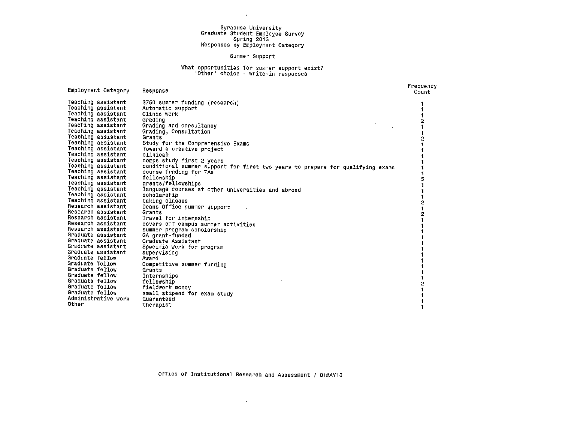$\sim 10^{-1}$ 

#### Summer Support

#### What opportunities for summer support exist? 'Other' choice · write-in responses

| Employment Category                                                                                                                                                                                                                                                                                                                                                                                                                                                                                                                                                                                                                                                                                                                                 | Response                                                                                                                                                                                                                                                                                                                                                                                                                                                                                                                                                                                                                                                                                                                                                                                                                                                   | Frequency<br>Count |
|-----------------------------------------------------------------------------------------------------------------------------------------------------------------------------------------------------------------------------------------------------------------------------------------------------------------------------------------------------------------------------------------------------------------------------------------------------------------------------------------------------------------------------------------------------------------------------------------------------------------------------------------------------------------------------------------------------------------------------------------------------|------------------------------------------------------------------------------------------------------------------------------------------------------------------------------------------------------------------------------------------------------------------------------------------------------------------------------------------------------------------------------------------------------------------------------------------------------------------------------------------------------------------------------------------------------------------------------------------------------------------------------------------------------------------------------------------------------------------------------------------------------------------------------------------------------------------------------------------------------------|--------------------|
| Teaching assistant<br>Teaching assistant<br>Teaching assistant<br>Teaching assistant<br>Teaching assistant<br>Teaching assistant<br>Teaching assistant<br>Teaching assistant<br>Teaching assistant<br>Teaching assistant<br>Teaching assistant<br>Teaching assistant<br>Teaching assistant<br>Teaching assistant<br>Teaching assistant<br>Teaching assistant<br>Teaching assistant<br>Teaching assistant<br>Research assistant<br>Research assistant<br>Research assistant<br>Research assistant<br>Research assistant<br>Graduate assistant<br>Graduate assistant<br>Graduate assistant<br>Graduate assistant<br>Graduate fellow<br>Graduate fellow<br>Graduate fellow<br>Graduate fellow<br>Graduate fellow<br>Graduate fellow<br>Graduate fellow | \$750 summer funding (research)<br>Automatic support<br>Clinic work<br>Grading<br>Grading and consultancy<br>Grading, Consultation<br>Grants<br>Study for the Comprehensive Exams<br>Toward a creative project<br>clinical<br>comps study first 2 years<br>conditional summer support for first two years to prepare for qualifying exams<br>course funding for TAs<br>fellowship<br>grants/fellowships<br>language courses at other universities and abroad<br>scholarship<br>taking classes<br>Deans Office summer support<br>Grants<br>Travel for internship<br>covers off campus summer activities<br>summer program scholarship<br>GA grant-funded<br>Graduate Assistant<br>Specific work for program<br>supervising<br>Award<br>Competitive summer funding<br>Grants<br>Internships<br>fellowship<br>fieldwork money<br>small stipend for exam study |                    |
| Administrative work<br>Other                                                                                                                                                                                                                                                                                                                                                                                                                                                                                                                                                                                                                                                                                                                        | Guaranteed<br>therapist                                                                                                                                                                                                                                                                                                                                                                                                                                                                                                                                                                                                                                                                                                                                                                                                                                    |                    |

 $\sim$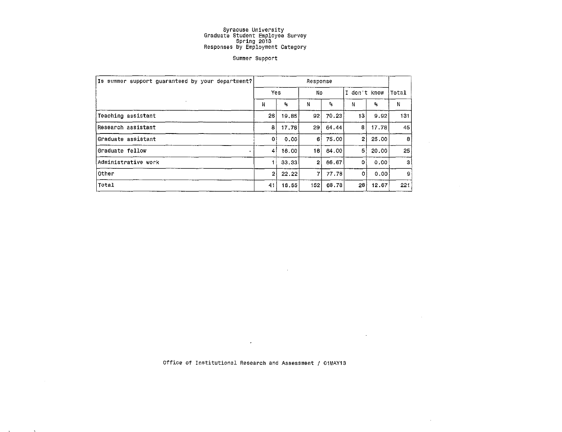#### Summer Support

| Is summer support guaranteed by your department? | Response       |              |     |                  |                |              |       |  |  |
|--------------------------------------------------|----------------|--------------|-----|------------------|----------------|--------------|-------|--|--|
|                                                  | Yes            |              | No  |                  | I don't know   |              | Total |  |  |
|                                                  | Ν              | $\mathbf{R}$ | N   | $\Omega_{\rm B}$ | Ν              | $\mathbf{R}$ | N     |  |  |
| Teaching assistant                               | 26             | 19.85        | 92  | 70.23            | 13             | 9.92         | 131   |  |  |
| Research assistant                               | 8              | 17.78        | 29  | 64.44            | 8              | 17.78        | 45    |  |  |
| Graduate assistant                               | 0              | 0.00         | 61  | 75.00            | $\overline{2}$ | 25.00        | 8     |  |  |
| Graduate fellow<br>$\Delta$                      | $\downarrow$   | 16.00        | 6   | 64.00            | 5.             | 20.00        | 25    |  |  |
| Administrative work                              |                | 33,33        | 21  | 66,67            | ٥              | 0.00         | 31    |  |  |
| lOther                                           | $\overline{2}$ | 22.22        | 7   | 77.78            | 0              | 0.00         | 9     |  |  |
| Total                                            | 41             | 18.55        | 152 | 68.78            | 28             | 12.67        | 221   |  |  |

Office of Institutional Research and Assessment / 01MAY13

**Contract Contract** 

**Contractor** 

 $\sim$ 

 $\sim 10^{11}$  km  $^{-1}$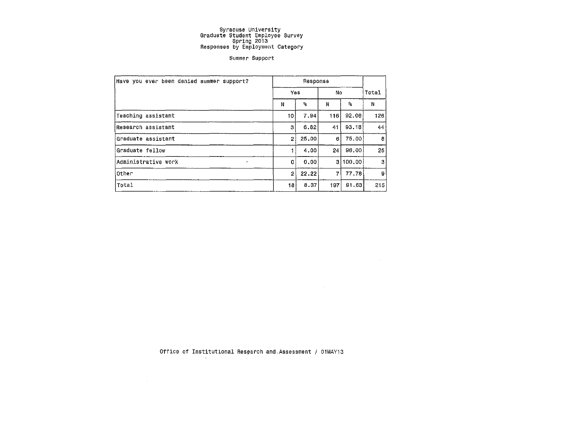#### Summer Support

| Have you ever been denied summer support? |     | Response |     | Total        |     |
|-------------------------------------------|-----|----------|-----|--------------|-----|
|                                           | Yes |          | No  |              |     |
|                                           | N   | ٩.       | N   | $\mathbf{R}$ | N   |
| Teaching assistant                        | 10  | 7.94     | 116 | 92.06        | 126 |
| Research assistant                        | з   | 6.82     | 41  | 93.18        | 44  |
| Graduate assistant                        | 21  | 25.00    | 6   | 75.00        | 8   |
| Graduate fellow                           |     | 4.00     | 24  | 96.00        | 25  |
| Administrative work<br>$\omega$           | 0   | 0.00     |     | 3 100,00     | 3   |
| Other                                     | 2   | 22,22    | 7   | 77.78        | 9   |
| Total                                     | 18  | 8.37     | 197 | 91.63        | 215 |

 $\sim 10^{-1}$ 

Office of Institutional Research and,Assessment / 01MAY13

 $\mathcal{L}^{\text{max}}_{\text{max}}$  and  $\mathcal{L}^{\text{max}}_{\text{max}}$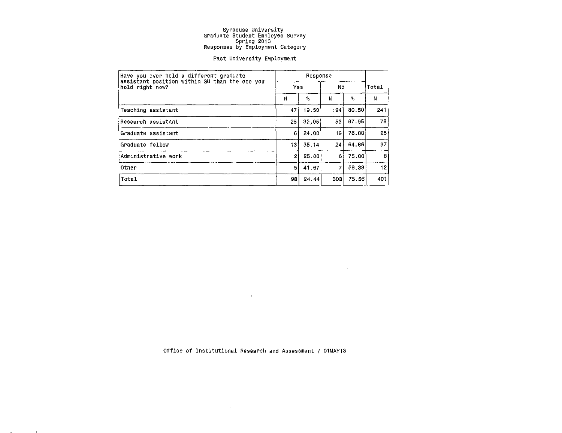#### Past University Employment

| Have vou ever held a different graduate<br>assistant position within SU than the one you |                |       |      |                |       |  |
|------------------------------------------------------------------------------------------|----------------|-------|------|----------------|-------|--|
| hold right now?                                                                          | Yes            |       | No   |                | Total |  |
|                                                                                          | Ν              | ዔ     | N    | 9 <sub>5</sub> | Ν     |  |
| Teaching assistant                                                                       | 47             | 19.50 | 1941 | 80.50          | 241   |  |
| Research assistant                                                                       | 25             | 32.05 | 53   | 67.95          | 78    |  |
| Graduate assistant                                                                       | 6              | 24.00 | 19.  | 76.00          | 25    |  |
| Graduate fellow                                                                          | 13             | 35.14 | 24   | 64.86          | 37    |  |
| Administrative work                                                                      | $\overline{2}$ | 25.00 | 6    | 75.00          | 8     |  |
| Other                                                                                    | 5              | 41.67 | 7    | 58.33          | 12    |  |
| Total                                                                                    | 98             | 24.44 | 303  | 75.56          | 401   |  |

Office of Institutional Research and Assessment / 01MAYi3

 $\sim 100$ 

 $\mathcal{L}^{\mathcal{L}}(\mathcal{L}^{\mathcal{L}})$  and  $\mathcal{L}^{\mathcal{L}}(\mathcal{L}^{\mathcal{L}})$  and  $\mathcal{L}^{\mathcal{L}}(\mathcal{L}^{\mathcal{L}})$ 

 $\label{eq:3.1} \frac{1}{2} \int_{\mathbb{R}^3} \frac{1}{\sqrt{2}} \, \mathrm{d} \mu \, \mathrm{d} \mu \, \mathrm{d} \mu \, \mathrm{d} \mu \, \mathrm{d} \mu \, \mathrm{d} \mu \, \mathrm{d} \mu \, \mathrm{d} \mu \, \mathrm{d} \mu \, \mathrm{d} \mu \, \mathrm{d} \mu \, \mathrm{d} \mu \, \mathrm{d} \mu \, \mathrm{d} \mu \, \mathrm{d} \mu \, \mathrm{d} \mu \, \mathrm{d} \mu \, \mathrm{d} \mu \, \mathrm{d} \mu \, \mathrm{d} \mu \,$ 

 $\mathcal{L}^{\mathcal{L}}(\mathcal{L}^{\mathcal{L}}(\mathcal{L}^{\mathcal{L}}(\mathcal{L}^{\mathcal{L}}(\mathcal{L}^{\mathcal{L}}(\mathcal{L}^{\mathcal{L}}(\mathcal{L}^{\mathcal{L}}(\mathcal{L}^{\mathcal{L}}(\mathcal{L}^{\mathcal{L}}(\mathcal{L}^{\mathcal{L}}(\mathcal{L}^{\mathcal{L}}(\mathcal{L}^{\mathcal{L}}(\mathcal{L}^{\mathcal{L}}(\mathcal{L}^{\mathcal{L}}(\mathcal{L}^{\mathcal{L}}(\mathcal{L}^{\mathcal{L}}(\mathcal{L}^{\mathcal{L$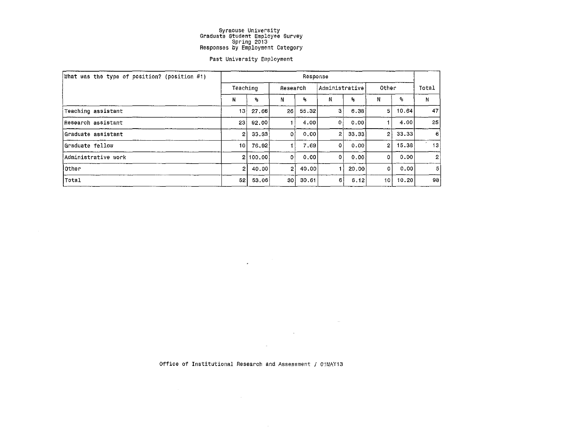#### Past University Employment

| What was the type of position? (position #1) | Response        |          |              |       |                |       |                |       |       |  |
|----------------------------------------------|-----------------|----------|--------------|-------|----------------|-------|----------------|-------|-------|--|
|                                              | Teaching        |          | Research     |       | Administrative |       | Other          |       | Total |  |
|                                              | N               | ዔ        | Ν            | ۹.    | Ν              | ۹.    | N              | -95   | Ν     |  |
| Teaching assistant                           | 13              | 27.66    | 26 I         | 55,32 | з              | 6.38  | 51             | 10.64 | 47    |  |
| Research assistant                           | 23 <sub>1</sub> | 92.00    |              | 4.00  | 0              | 0.001 |                | 4.00  | 25    |  |
| Graduate assistant                           | $\mathbf{2}$    | 33.33    |              | 0.00  | $\overline{2}$ | 33.33 | $\overline{2}$ | 33.33 | 6     |  |
| Graduate fellow                              | 10 L            | 76.92    |              | 7.69  | $\mathbf{0}$   | 0.00  | $\mathbf{2}$   | 15.38 | 13    |  |
| Administrative work                          |                 | 2 100.00 | Οl           | 0.00  | 0              | 0.00  | 0              | 0.00  | 2     |  |
| lOther                                       | 2 I             | 40.00    | $\mathbf{2}$ | 40,00 |                | 20.00 | $\Omega$       | 0.00  | 5     |  |
| Total                                        | 52              | 53.06    | 30           | 30.61 | 6              | 6.12  | 10 I           | 10.20 | 98    |  |

Office of Institutional Research and Assessment / 01MAY13

 $\sim 10^7$ 

 $\sim$ 

 $\mathcal{L}_{\text{max}}$  , and  $\mathcal{L}_{\text{max}}$ 

 $\mathcal{L}^{\text{max}}_{\text{max}}$  , where  $\mathcal{L}^{\text{max}}_{\text{max}}$ 

 $\mathcal{L}$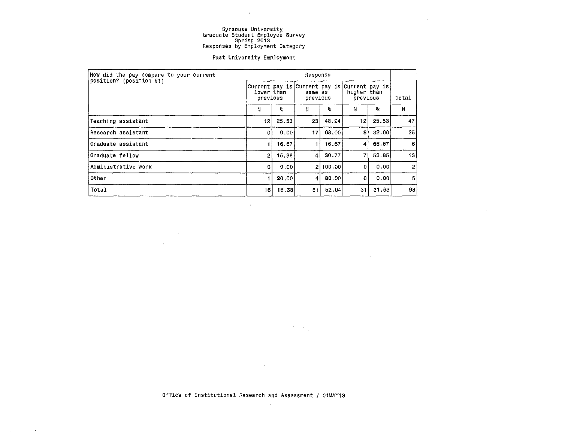$\sim$ 

 $\sim$ 

 $\sim 100$ 

#### Past University Employment

| How did the pay compare to your current | Response               |       |                                                      |          |                                           |       |                |  |  |
|-----------------------------------------|------------------------|-------|------------------------------------------------------|----------|-------------------------------------------|-------|----------------|--|--|
| position? (position #1)                 | lower than<br>previous |       | Current pay is Current pay is<br>same as<br>previous |          | Current pay is<br>higher than<br>previous |       | Total          |  |  |
|                                         | Ν                      | ዹ     | Ν                                                    | ℁        | Ν                                         | ዱ     | N              |  |  |
| Teaching assistant                      | 12 <sub>12</sub>       | 25.53 | 231                                                  | 48.94    | 12                                        | 25.53 | 47             |  |  |
| Research assistant                      | 0                      | 0.00  | 17 I                                                 | 68,00    | 8                                         | 32.00 | $25^{\circ}$   |  |  |
| Graduate assistant                      |                        | 16.67 | 11                                                   | 16.67    | 4                                         | 66.67 | 6              |  |  |
| Graduate fellow)                        | 2                      | 15.38 | 41                                                   | 30.77    | 7                                         | 53.85 | 13             |  |  |
| Administrative work                     | $\Omega$               | 0.00  |                                                      | 2 100.00 | 0                                         | 0.001 | $\overline{2}$ |  |  |
| Other                                   |                        | 20,00 | $\vert$                                              | 80.00    | 0                                         | 0.00  | 5              |  |  |
| Total                                   | 16                     | 16.33 | 51                                                   | 52.04    | -31                                       | 31.63 | 98             |  |  |

 $\sim$ 

 $\mathcal{L} = \mathcal{L} \mathcal{L} \mathcal{L} \mathcal{L}$  .

Office of Institutional Aessarch and Assessment / 01MAY13

 $\sim$ 

 $\label{eq:2} \frac{1}{\sqrt{2}}\left(\frac{1}{\sqrt{2}}\right)^2\left(\frac{1}{\sqrt{2}}\right)^2$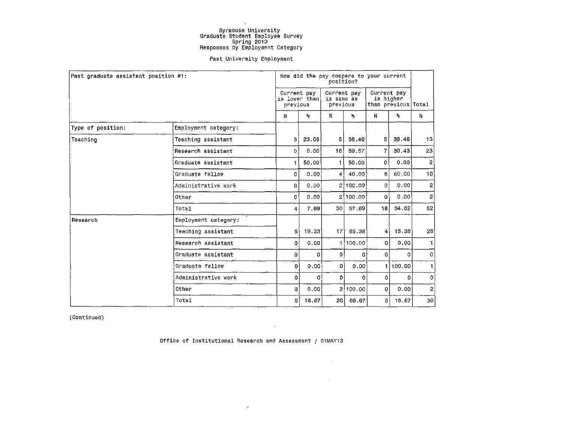$\ddot{\phantom{1}}$ 

#### Past University Employment

| Past graduate assistant position #1: |                      |              |                                                     | position?    |                         | How did the pay compare to your current |                                    |                 |
|--------------------------------------|----------------------|--------------|-----------------------------------------------------|--------------|-------------------------|-----------------------------------------|------------------------------------|-----------------|
|                                      |                      |              | Current pav<br>is lower than is same as<br>previous |              | Current pay<br>previous | Current pay                             | is higher<br>than previous   Total |                 |
|                                      |                      | N            | ዔ                                                   | N            | ዔ                       | N                                       | $\mathbf{S}_\mathrm{S}$            | N               |
| Type of position:                    | Employment category: |              |                                                     |              |                         |                                         |                                    |                 |
| Teaching                             | Teaching assistant   | 3            | 23.08                                               | 5.           | 38.46                   | 5 <sup>1</sup>                          | 38.46                              | 3               |
|                                      | Research assistant   | 0.           | 0.00                                                | 16 l         | 69.57                   | 7                                       | 30.43                              | 23              |
|                                      | Graduate assistant   |              | 50.00                                               | 1.           | 50.00                   | $\mathbf{0}$                            | 0.00                               | 2               |
|                                      | Graduate fellow      | $\mathbf{0}$ | 0.00                                                | 4            | 40,00                   | 6                                       | 60.00                              | 10 <sup>1</sup> |
|                                      | Administrative work  | $\mathbf{0}$ | 0.00                                                |              | 2[100, 00]              | ö                                       | 0.00                               | $\overline{2}$  |
|                                      | Other                | 0            | 0.00                                                |              | 2 100.00                | $\Omega$                                | 0.00                               | $\overline{2}$  |
|                                      | Total                | 4            | 7.69                                                | 30 l         | 57.69                   | 18 <sup>1</sup>                         | 34.62                              | 52              |
| Research                             | Employment category: |              |                                                     |              |                         |                                         |                                    |                 |
|                                      | Teaching assistant   | 5            | 19.23                                               |              | $17$ 65.38              | $\sim$                                  | 15.38                              | 26              |
|                                      | Research assistant   | 0 i          | 0.00                                                |              | 1 100.00                | $\Omega$                                | 0.00                               | 1.              |
|                                      | Graduate assistant   | 0            | 0                                                   | $\mathbf{0}$ | οł                      | $\mathbf{0}$                            | $\Omega$                           | Ö.              |
|                                      | Graduate fellow      | 0            | 0.00.                                               | 0            | 0.00                    |                                         | 100,00                             | 1               |
|                                      | Administrative work  | O.           | οl                                                  | o            | o                       | $\Omega$                                | $\mathbf{0}$                       | $\mathbf{0}$    |
|                                      | Other                | o.           | 0.00                                                |              | 2 100.00                | $\mathbf{0}$                            | $0.00^{+}$                         | $\overline{a}$  |
|                                      | Total                | 5            | 16.67                                               | 20 l         | 66.67                   | 5 <sup>1</sup>                          | 16.67                              | 30 <sup>°</sup> |

(Continued)

Office of Institutional Research and Assessment / 01MAY13

 $\sim$   $\sigma$  .

 $\sim 100$ 

 $\sim 10^{11}$ 

 $\sim 10^{-1}$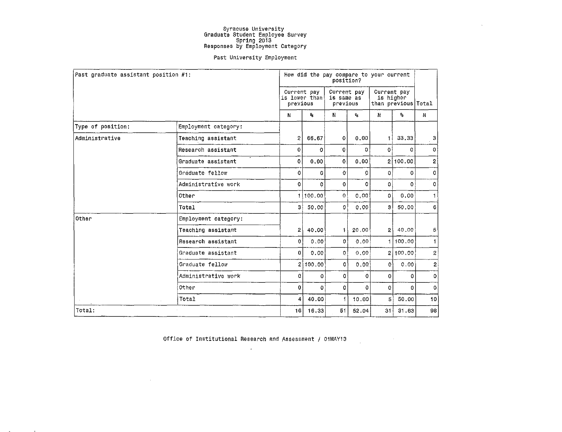$\sim$ 

#### Past University Employment

|                    | Past graduate assistant position #1: |                | How did the pay compare to your current<br>position? |              |                                       |                                                 |                           |                |  |  |
|--------------------|--------------------------------------|----------------|------------------------------------------------------|--------------|---------------------------------------|-------------------------------------------------|---------------------------|----------------|--|--|
|                    |                                      |                | Current pay<br>is lower than<br>previous             |              | Current pay<br>is same as<br>previous | Current pay<br>is higher<br>than previous Total |                           |                |  |  |
|                    |                                      | N              | ٩,                                                   | N            | $\mathbf{P}_{\mathbf{S}}$             | N                                               | $\mathbf{Q}_{\mathbf{S}}$ | N              |  |  |
| Type of position:  | Employment category:                 |                |                                                      |              |                                       |                                                 |                           |                |  |  |
| Administrative     | Teaching assistant                   | $\overline{2}$ | 66.67                                                | $\mathbf{o}$ | 0.00                                  | $\mathbf{1}$                                    | 33,33                     | 3              |  |  |
| Research assistant | 0                                    | 0              | Ō.                                                   | 0            | ٥l                                    | 0                                               | 0.                        |                |  |  |
|                    | Graduate assistant                   | 0              | 0,00                                                 | 0            | 0,00                                  |                                                 | 2 100.00                  | 2              |  |  |
|                    | Graduate fellow                      | 0              | 0                                                    | $\mathbf{O}$ | 0                                     | 0                                               | $\Omega$                  | 0              |  |  |
|                    | Administrative work                  | o              | 0                                                    | $\mathbf 0$  | O.                                    | 0                                               | $\Omega$                  | 0              |  |  |
|                    | Other                                | 1              | 100.00                                               | $\circ$      | 0.00                                  | 0                                               | 0.00                      |                |  |  |
|                    | Total                                | 31             | 50.00                                                | $\Omega$     | 0.00                                  | зI                                              | 50,00                     | 6              |  |  |
| Other              | Employment category:                 |                |                                                      |              |                                       |                                                 |                           |                |  |  |
|                    | Teaching assistant                   | 21             | 40.00                                                | $\vert$      | 20,00                                 | 2                                               | 40.00                     | 5              |  |  |
|                    | Research assistant                   | 0              | 0.00                                                 | $\Omega$     | 0.00                                  |                                                 | 100.00                    | 1.             |  |  |
|                    | Graduate assistant                   | 0              | 0.00                                                 | $\circ$      | 0.001                                 |                                                 | 2 100.00                  | $\overline{c}$ |  |  |
|                    | Graduate fellow                      |                | 2100.00                                              | 0            | 0.00                                  | 0                                               | 0.00                      | $\overline{c}$ |  |  |
|                    | Administrative work                  | 0              | 0                                                    | 0            | 0                                     | 0                                               | $\mathbf{0}$              | 0              |  |  |
|                    | Other                                | 0              | 0                                                    | 0            | $\Omega$                              | 0                                               | $\Omega$                  | 0              |  |  |
|                    | Total<br>$\sim$                      | 4              | 40.00                                                | $\mathbf{1}$ | 10.00                                 | 5 <sup>1</sup>                                  | 50.00                     | 10             |  |  |
| Total:             |                                      | 16             | 16.33                                                | 51           | 52.04                                 | 31 I                                            | 31.63                     | 98             |  |  |

Office of Institutional Research and Assessment / 01MAY13  $\langle \rangle$ 

 $\sim 1000$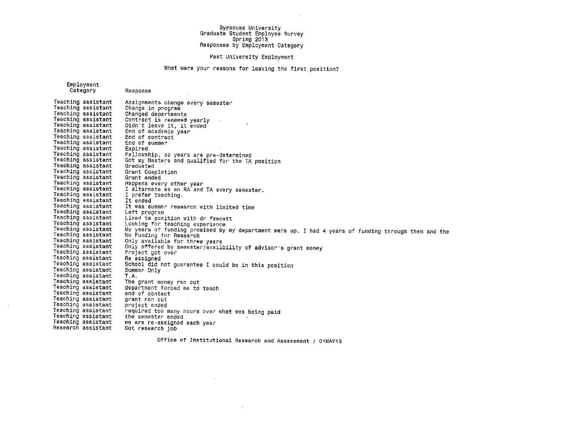#### Past University Employment

#### What were your reasons for leaving the first position?

Employment Category Teaching assistant Teaching assistant Teaching assistant Teaching assistant Teaching assistant Teaching assistant Teaching assistant Teaching assistant Teaching assistant Teaching assistant Teaching assistant Teaching assistant Teaching assistant Teaching assistant Teaching assistant Teaching assistant Teaching assistant Teaching assistant Teaching assistant Teaching assistant Teaching assistant Teaching assistant Teaching assistant Teaching assistant Teaching assistant Teaching assistant Teaching assistant Teaching assistant Teaching assistant Teaching assistant Teaching assistant Teaching assistant Teaching assistant Teaching assistant Teaching assistant Teaching assistant Teaching assistant Teaching assistant Teaching assistant Research assistant Response Assignments change every semester Changed departments<br>Contract is renewed yearly<br>Didn't leave it, it ended End of academic year End of contract End of summer<br>Expired<br>Fellowship, so years are pre-determined Got my Masters and qualified for the TA position<br>Graduated Grant Completion Grant ended Happens every other year I alternate as an RA and TA every semester. I prefer teaching. It ended It was summer research with limited time Left program Liked ta position with dr fawcett Looking for teaching experience My years of funding promised by my department were up. I had 4 years of funding through them and the No Funding for Research Only available for three years Only offered by semester/availbility of advisor's grant money<br>Project got over<br>Re assigned School did not guarantee I could be in this position Summer Only T.A. The grant money ran out department forced me to teach end of contact grant ran out project ended required too many hours over what was being paid<br>the semester ended<br>we are re-assigned each year<br>Got research job Office of Institutional Research and Assessment / 01MAY13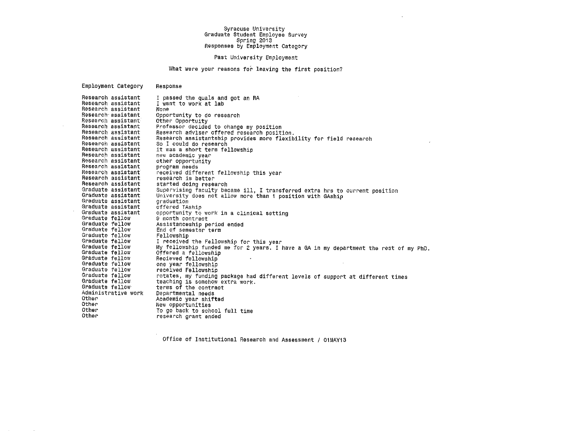#### Past University Employment

What were your reasons for leaving the first position?

Employment Category Research assistant Research assistant Research assistant Research assistant Research assistant Research assistant Research assistant Research assistant Research assistant Research assistant Research assistant Research assistant Research assistant Research assistant Research assistant Research assistant Graduate assistant Graduate assistant Graduate assistant Graduate assistant Graduate assistant Graduate fellow Graduate fellow Graduate fellow Graduate fellow Graduate fellow Graduate fellow Graduate fellow Graduate fellow Graduate fellow Graduate fellow Graduate fellow Graduate fellow Graduate fellow Administrative work Other Other Other Other Response I passed the quals and got an RA I want to work at lab None Opportunity to do research<br>Other Opportuity Professor decided to change my position<br>Research adviser offered research position.<br>Research assistantship provides more flexibility for field research So I could do research it was a short term fellowship<br>new academic year<br>other opportunity program needs l'eceived different fellowship this year research is better started doing research Supervising faculty became ill, I transferred extra hrs to current position<br>University does not allow more than 1 position with GAship<br>graduation<br>offered TAship opportunity to work in a clinical setting<br>9 month contract Assistanceship period ended End of semester term Fellowship I received the Fellowship for this year My fellowship funded me for 2 years. I have a GA in my department the rest of my PhD. Offered a fellowship Recieved fellowship one year fellowship received Fellowship rotates, my funding package had different levels of support at different times teaching is somehow extra work. terms of the contract Departmental needs Academic year shifted New opportunities To go back to school full time research grant ended

Office of Institutional Research and Assessment / 01MAY13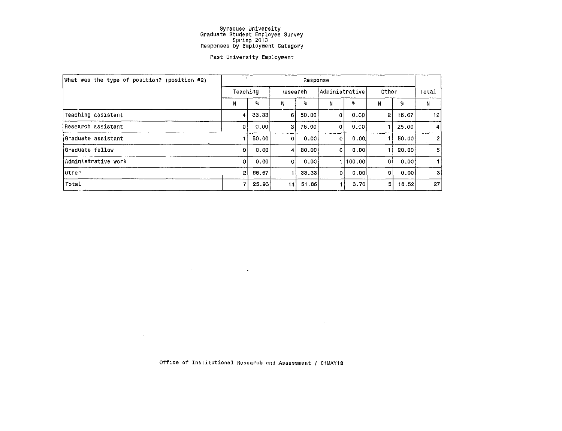#### Past University Employment

| What was the type of position? (position #2) | Response |         |          |                           |                |         |              |       |                |  |
|----------------------------------------------|----------|---------|----------|---------------------------|----------------|---------|--------------|-------|----------------|--|
|                                              | Teaching |         | Research |                           | Administrative |         | Other        |       | Total          |  |
|                                              | И        | ዔ       | Ν        | $\mathbf{P}_{\mathbf{G}}$ |                | я.      | Ν            | ٩,    | N              |  |
| Teaching assistant                           | 4        | 33.33   | 6        | 50.00                     | $\Omega$       | 0.00    | $\mathbf{2}$ | 16.67 | 12             |  |
| Research assistant                           | οI       | ∵0.00 l | 3        | 75,00                     | $\mathbf{0}$   | 0.00    |              | 25.00 | 4              |  |
| iGraduate assistant                          |          | 50.00   | 0        | 0.00                      | $\mathbf{0}$   | 0.00    |              | 50.00 | 2              |  |
| Graduate fellow                              | $\Omega$ | 0.00    | 4        | 80.00                     | $\Omega$       | 0.00    |              | 20.00 | 5              |  |
| Administrative work                          | $\Omega$ | 0.00    | οl       | 0.00                      |                | 1100.00 | οł           | 0.00  |                |  |
| Other                                        | 2        | 66.67   |          | 33.33                     | 0              | 0.00    | $\Omega$     | 0.00  | 3 <sub>1</sub> |  |
| Total                                        | 7        | 25.93   | 4        | 51.85                     |                | 3.70    | 5            | 18.52 | 27             |  |

Office of Institutional Research and Assessment / 01MAY13

 $\mathcal{L}^{\mathcal{L}}$  and  $\mathcal{L}^{\mathcal{L}}$  are  $\mathcal{L}^{\mathcal{L}}$  . In the contribution of  $\mathcal{L}^{\mathcal{L}}$ 

 $\mathcal{L}(\mathcal{L}^{\mathcal{L}})$  and  $\mathcal{L}^{\mathcal{L}}$  are the set of the set of the set of  $\mathcal{L}^{\mathcal{L}}$ 

 $\mathcal{L}^{\text{max}}_{\text{max}}$  and  $\mathcal{L}^{\text{max}}_{\text{max}}$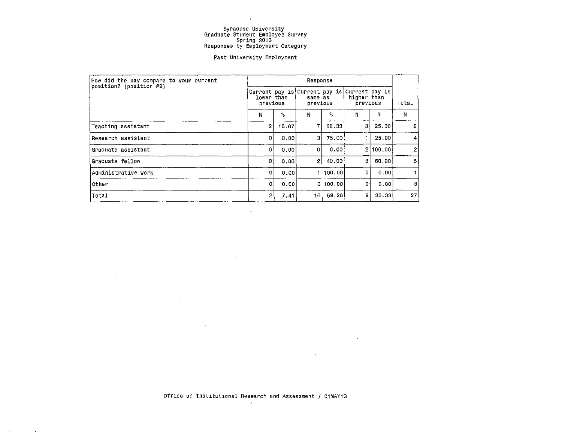$\sim$ 

#### Past University Employment

| How did the pay compare to your current | Response                                                               |       |                     |          |                         |          |                 |  |
|-----------------------------------------|------------------------------------------------------------------------|-------|---------------------|----------|-------------------------|----------|-----------------|--|
| position? (position #2)                 | Current pay is Current pay is Current pay is<br>lower than<br>previous |       | same as<br>previous |          | higher than<br>previous | Total    |                 |  |
|                                         | N                                                                      | s.    | N                   | ℁        | N                       | ℁        | N               |  |
| Teaching assistant                      | $\mathbf{2}$                                                           | 16.67 |                     | 58.33    | з                       | 25.00    | 12              |  |
| Research assistant                      | 0                                                                      | 0.00  | 31                  | 75.00    |                         | 25.00    | 4 <sup>1</sup>  |  |
| Graduate assistant                      | $\Omega$                                                               | 0.00  | οI                  | 0.00     |                         | 2 100.00 | $\overline{2}$  |  |
| Graduate fellow                         | $\Omega$                                                               | 0.001 | 2                   | 40.00    | з                       | 60.00    | 5               |  |
| Administrative work                     | 0                                                                      | 0.001 |                     | 100.00   | o                       | 0.00     |                 |  |
| Other                                   | οI                                                                     | 0.001 |                     | 3 100.00 | $\Omega$                | 0.00     | -31             |  |
| Total                                   | 2                                                                      | 7.41  | 16 I                | 59.26    | 9                       | 33.33    | 27 <sub>1</sub> |  |

 $\bullet$ 

 $\sim 10^6$ 

 $\sim$ 

 $\bar{z}$ 

Office of Institutional Research and Assessment / 01MAY13  $\alpha$ 

 $\sim 10^{-1}$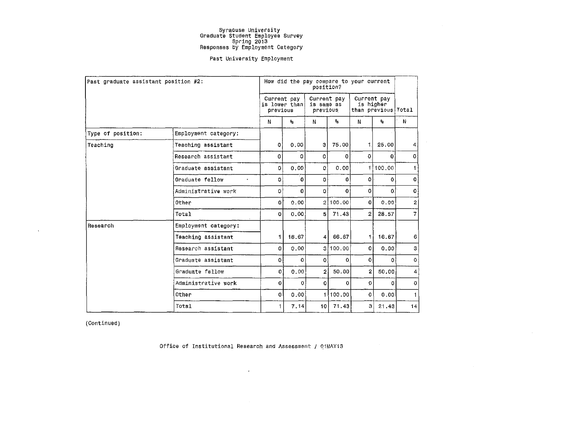#### Past University Employment

|                   | Past graduate assistant position #2: | How did the pay compare to your current<br>position? |                                          |                 |                                       |                           |                                                 |                 |  |
|-------------------|--------------------------------------|------------------------------------------------------|------------------------------------------|-----------------|---------------------------------------|---------------------------|-------------------------------------------------|-----------------|--|
|                   |                                      |                                                      | Current pay<br>is lower than<br>previous |                 | Current pay<br>is same as<br>previous |                           | Current pay<br>is higher<br>than previous Total |                 |  |
|                   |                                      | N                                                    | $\mathbf{P}_{\mathbf{S}}$                | N               | $\mathbf{9}_{\mathbf{5}}$             | N                         | $\mathbf{S}_\mathrm{S}$                         | ∴N              |  |
| Type of position: | Employment category:                 |                                                      |                                          |                 |                                       |                           |                                                 |                 |  |
| Teaching          | Teaching assistant                   | ٥l                                                   | 0.00                                     | 3               | 75.00                                 | Ť.                        | 25,00                                           | $\vert 4 \vert$ |  |
|                   | Research assistant                   | $\Omega$                                             | 0                                        | 0               | 0                                     | $\Omega$                  | 0                                               | $\mathbf 0$     |  |
|                   | Graduate assistant                   | 0                                                    | 0.00                                     | 0               | 0.00                                  | 1.                        | 100.00                                          |                 |  |
|                   | Graduate fellow<br>$\bullet$         | 0                                                    | 0                                        | 0.              | 0                                     | 0                         | 0                                               | οj              |  |
|                   | Administrative work                  | O.                                                   | 0                                        | $\Omega$        | 0                                     | $\mathbf{O}$              | $\mathbf{0}$                                    | 0               |  |
|                   | Other                                | $\mathbf{o}$                                         | 0.00                                     |                 | 2 100.00                              | 0                         | 0.00                                            | $\overline{2}$  |  |
|                   | Total                                | 0                                                    | 0.00.                                    | 5.              | 71.43                                 | $\mathbf{2}^{\mathbf{1}}$ | 28.57                                           | $\overline{7}$  |  |
| Research          | Employment category:                 |                                                      |                                          |                 |                                       |                           |                                                 |                 |  |
|                   | Teaching assistant                   | 1                                                    | 16.67                                    | 4               | 66.67                                 | $\blacksquare$            | 16.67                                           | 6               |  |
|                   | Research assistant                   | 0                                                    | 0.00                                     |                 | 3 100.00                              | ٥l                        | 0.00                                            | 3               |  |
|                   | Graduate assistant                   | ٥I                                                   | $\mathbf 0$                              | $\Omega$        | $\mathbf 0$                           | 0                         | 0                                               | $\Omega$        |  |
|                   | Graduate fellow                      | 0                                                    | 0.00                                     | 2               | 50.00                                 | $\overline{2}$            | 50.00                                           | $\overline{4}$  |  |
|                   | Administrative work                  | 0                                                    | $\mathbf 0$                              | 0               | $\mathbf{0}$                          | $\bf{0}$                  | 0                                               | $\bf{0}$        |  |
|                   | Other                                | 0                                                    | 0.00                                     |                 | 100.00                                | 0 l                       | 0.00                                            | 1               |  |
|                   | Total                                | 1                                                    | 7.14                                     | 10 <sub>1</sub> | 71.43                                 | 31                        | 21.43                                           | 14              |  |

 $\sim$ 

(Continued)

 $\Delta$ 

Office of Institutional Research and Assessment / 01MAY13

 $\epsilon$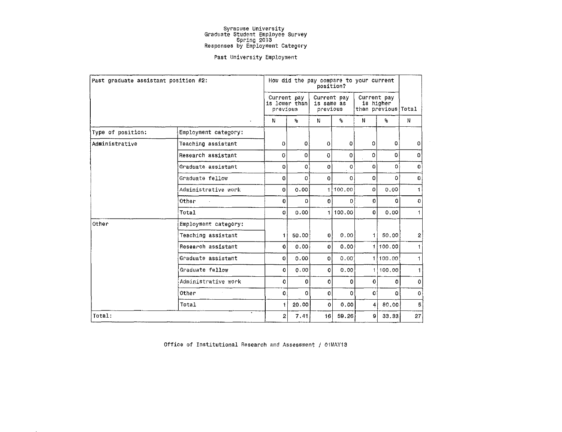#### Past University Employment

| Past graduate assistant position #2: |                      | How did the pay compare to your current |                         |                                       |                           |                                                 |                         |                |
|--------------------------------------|----------------------|-----------------------------------------|-------------------------|---------------------------------------|---------------------------|-------------------------------------------------|-------------------------|----------------|
|                                      |                      | Current pay<br>previous                 | is lower than           | Current pay<br>is same as<br>previous |                           | Current pay<br>is higher<br>than previous Total |                         |                |
|                                      |                      | N                                       | $\mathbf{s}_\mathrm{s}$ | N                                     | $\mathbf{q}_{\mathrm{s}}$ | N                                               | $\mathbf{Q}_\mathrm{g}$ | N              |
| Type of position:                    | Employment category: |                                         |                         |                                       |                           |                                                 |                         |                |
| Administrative                       | Teaching assistant   | $\mathbf{0}$                            | οi                      | $\overline{0}$                        | $\mathbf{0}$              | $\Omega$                                        | 0                       | 0              |
|                                      | Research assistant   | $\mathbf{O}$                            | $\Omega$                | $\Omega$                              | 0                         | $\Omega$                                        | $\mathbf{0}$            | 0              |
|                                      | Graduate assistant   | o                                       | 0                       | $\mathbf 0$                           | 0                         | 0                                               | 0                       | $\mathbf{O}$   |
|                                      | Graduate fellow      | 0.                                      | 0                       | $\mathbf 0$                           | $\mathbf{0}$              | 0                                               | 0                       | $\mathbf{0}$   |
|                                      | Administrative work  | 0                                       | 0.00                    | 1                                     | 100.00                    | 0                                               | 0.00                    | $\mathbf{1}$   |
|                                      | Other                | 0                                       | 0                       | $\Omega$                              | 0                         | 0                                               | 0                       | $\mathbf 0$    |
|                                      | Total                | 0                                       | 0.00                    |                                       | 1100.00                   | $\Omega$                                        | 0.00                    | 1.             |
| Other                                | Employment category: |                                         |                         |                                       |                           |                                                 |                         |                |
|                                      | Teaching assistant   | $\pm$                                   | 50.00                   | ΩI                                    | 0.00                      |                                                 | 1! 50.00                | 2 <sup>1</sup> |
|                                      | Research assistant   | $\mathbf{o}$                            | 0.00                    | $\mathbf{O}$                          | 0.00                      |                                                 | 1 100.00                | $\ddagger$     |
|                                      | Graduate assistant   | $\mathbf{O}$                            | 0.00                    | $\Omega$                              | 0.00                      | 11                                              | 100.00                  | 1.             |
|                                      | Graduate fellow      | o                                       | 0.00                    | 0                                     | 0.00                      |                                                 | 100.00                  | 1              |
|                                      | Administrative work  | 0                                       | 0                       | 0                                     | $\mathbf{0}$              | 0                                               | 0                       | $\mathbf 0$    |
|                                      | Other                | $\mathbf{0}$                            | O                       | 0                                     | 0                         | $\Omega$                                        | 0                       | $\mathbf{C}$   |
|                                      | Total                | $\ddagger$                              | 20.00                   | $\mathbf{o}$                          | 0.00                      | 4                                               | 80.00                   | $\overline{5}$ |
| Total:                               | $\bullet$            | $\overline{2}$                          | 7.41                    | 16                                    | 59.26                     | 9                                               | 33.33                   | 27             |

Office of Institutional Research and Assessment / 01MAY13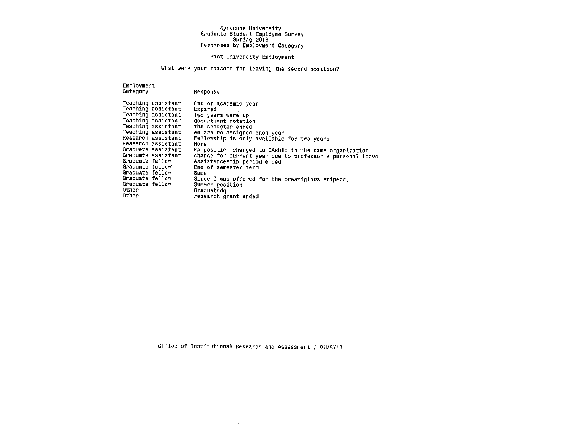#### Past University Employment

What were your reasons for leaving the second position?

Employment Category

 $\sim 10^{-1}$ 

| Response |  |
|----------|--|
|----------|--|

| Graduate fellow<br>Graduate fellow<br>Graduate fellow<br>Graduate fellow<br>Graduate fellow<br>Other | Teaching assistant<br>Teaching assistant<br>Teaching assistant<br>Teaching assistant<br>Teaching assistant<br>Teaching assistant<br>Research assistant<br>Research assistant<br>Graduate assistant<br>Graduate assistant | End of academic year<br>Expired<br>Two years were up<br>decartment rotation<br>the semester ended<br>we are re-assignéd each year<br>Fellowship is only available for two vears<br>None<br>FA position changed to GAship in the same organization<br>change for current year due to professor's personal leave<br>Assistanceship period ended<br>End of semester term<br>Same<br>Since I was offered for the prestigious stipend.<br>Summer position<br>Graduatedg |
|------------------------------------------------------------------------------------------------------|--------------------------------------------------------------------------------------------------------------------------------------------------------------------------------------------------------------------------|--------------------------------------------------------------------------------------------------------------------------------------------------------------------------------------------------------------------------------------------------------------------------------------------------------------------------------------------------------------------------------------------------------------------------------------------------------------------|
| Other                                                                                                |                                                                                                                                                                                                                          | research grant ended                                                                                                                                                                                                                                                                                                                                                                                                                                               |

Office of Institutional Research and Assessment / 01MAY13

 $\sim 10^7$ 

 $\sim 10^{11}$  m  $^{-1}$ 

 $\mathcal{A}^{\pm}$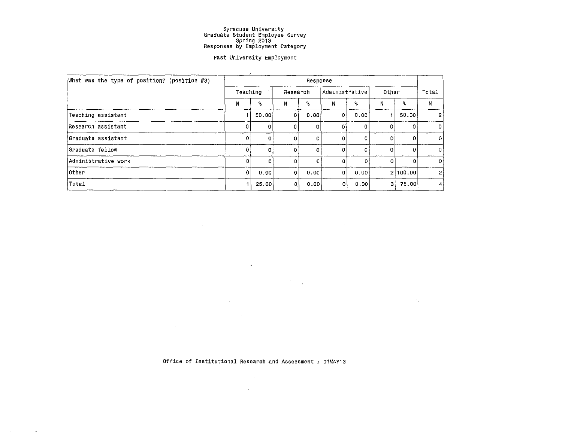#### Past University Employment

| What was the type of position? (position $#3)$ | Response |          |              |          |                |                         |            |          |                |
|------------------------------------------------|----------|----------|--------------|----------|----------------|-------------------------|------------|----------|----------------|
|                                                | Teaching |          | Research     |          | Administrative |                         | Other      |          | Total          |
|                                                | N        | 26       | N            | ዱ        | N              | $\mathbf{S}_\mathrm{d}$ | N.         | ዱ        | Ν              |
| Teaching assistant                             |          | 50,00    | ٥i           | 0.00     | οI             | 0.00                    |            | 50.00    | 2              |
| Research assistant                             | 0        | 0        | <sup>0</sup> | 0        | 0              |                         | 0          | 0        | 0              |
| Graduate assistant                             | -0 l     | $\Omega$ | D.           | $\Omega$ | 0              | 0                       | 0          | o        | 0              |
| Graduate fellow                                | 0        | 0        |              | $\Omega$ | $\Omega$       | 0                       | $^{\circ}$ | -0       | $\overline{0}$ |
| Administrative work                            | $\Omega$ | $\Omega$ | n            | 0.       | 0              | 0                       | $\circ$    | ∩        | $\mathbf{0}$   |
| Other                                          | οI       | 0.00     | $\mathbf{0}$ | 0.00     | $\overline{0}$ | 0.00                    |            | 2 100.00 | 2              |
| Total                                          |          | 25.00    | 0            | 0.00     | 0!             | 0.00                    | 3          | 75.00    | 4              |

 $\mathcal{L}^{\mathcal{L}}$  and  $\mathcal{L}^{\mathcal{L}}$  and  $\mathcal{L}^{\mathcal{L}}$  and  $\mathcal{L}^{\mathcal{L}}$ 

 $\mathcal{L}(\mathcal{A})$  and  $\mathcal{L}(\mathcal{A})$  .

 $\mathcal{L}^{\text{max}}_{\text{max}}$  and  $\mathcal{L}^{\text{max}}_{\text{max}}$ 

 $\sim 1000$ 

 $\label{eq:2.1} \frac{d\mathbf{r}}{d\mathbf{r}} = \frac{1}{2} \sum_{i=1}^n \frac{d\mathbf{r}}{d\mathbf{r}} \mathbf{r}_i \mathbf{r}_i \mathbf{r}_i \mathbf{r}_i \mathbf{r}_i \mathbf{r}_i$ 

 $\sim 100$ 

Office of Institutional Research and Assessment / 01MAY13

 $\sim 10^{-1}$ 

 $\label{eq:2.1} \begin{array}{l} \mathbf{u}^{\prime} \left( \mathbf{u}^{\prime} \right) = \mathbf{u}^{\prime} \left( \mathbf{u}^{\prime} \right) \\ \mathbf{u}^{\prime} \left( \mathbf{u}^{\prime} \right) = \mathbf{u}^{\prime} \left( \mathbf{u}^{\prime} \right) \\ \mathbf{u}^{\prime} \left( \mathbf{u}^{\prime} \right) = \mathbf{u}^{\prime} \left( \mathbf{u}^{\prime} \right) \\ \mathbf{u}^{\prime} \left( \mathbf{u}^{\prime} \right) = \mathbf{u}^{\prime} \left( \math$ 

 $\label{eq:2.1} \frac{1}{\sqrt{2\pi}}\int_{\mathbb{R}^3}\frac{1}{\sqrt{2\pi}}\int_{\mathbb{R}^3}\frac{1}{\sqrt{2\pi}}\int_{\mathbb{R}^3}\frac{1}{\sqrt{2\pi}}\int_{\mathbb{R}^3}\frac{1}{\sqrt{2\pi}}\int_{\mathbb{R}^3}\frac{1}{\sqrt{2\pi}}\frac{1}{\sqrt{2\pi}}\frac{1}{\sqrt{2\pi}}\frac{1}{\sqrt{2\pi}}\frac{1}{\sqrt{2\pi}}\frac{1}{\sqrt{2\pi}}\frac{1}{\sqrt{2\pi}}\frac{1}{\sqrt{2\pi}}$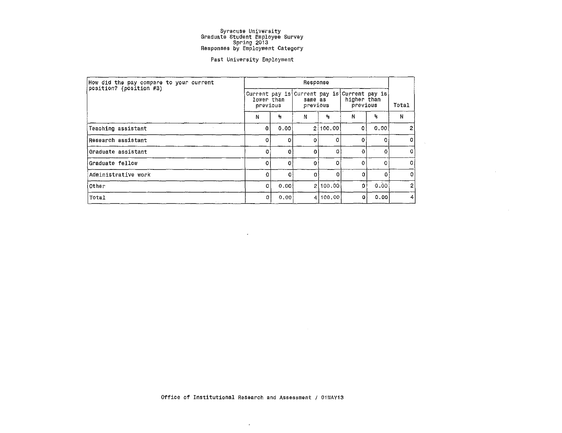#### Past University Employment

| How did the pay compare to your current | Response               |       |                     |          |                                                                         |              |                |
|-----------------------------------------|------------------------|-------|---------------------|----------|-------------------------------------------------------------------------|--------------|----------------|
| position? (position #3)                 | lower than<br>previous |       | same as<br>previous |          | Current pay is Current pay is Current pay is<br>higher than<br>previous | Total        |                |
|                                         | N                      | ℁     | N                   | ۹.       | N                                                                       | $\mathbf{R}$ | N              |
| Teaching assistant                      | 0                      | 0.00  |                     | 2 100,00 | 0                                                                       | 0.00         | 2              |
| Research assistant                      | 0                      | 0.    | 0                   | 0        | Đ                                                                       | ٥            | $\mathbf{0}$   |
| Graduate assistant                      | 0                      | οl    | $\Omega$            | 0        | ∩                                                                       | 0            | 0              |
| Graduate fellow                         | ٥                      | .o    | $\Omega$            | o        | Ω                                                                       | 0            | $\circ$        |
| Administrative work                     | 0                      | ٥l    | $\circ$             | 0        |                                                                         | 0            | 0              |
| Other                                   | 0                      | 0.001 |                     | 2 100,00 | 0                                                                       | 0.00         | $\overline{2}$ |
| Total                                   | 0                      | 0.00  |                     | 4 100,00 | Ω                                                                       | 0.00         | $\overline{4}$ |

 $\rightarrow$ 

 $\sim 10^{-1}$ 

 $\sim 10$ 

 $\bullet$ 

 $\mathcal{L}^{\text{max}}_{\text{max}}$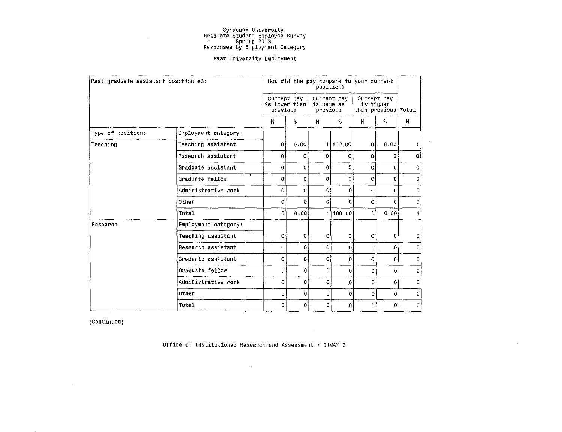#### Past University Employment

| Past graduate assistant position #3: |                      |             |                               | position?              |             | How did the pay compare to your current           |          |              |
|--------------------------------------|----------------------|-------------|-------------------------------|------------------------|-------------|---------------------------------------------------|----------|--------------|
|                                      |                      | previous    | Current pay<br>is lower than! | is same as<br>previous | Current pay | Current pay<br>is higher<br>than previous   Total |          |              |
|                                      |                      | N           | ℁                             | N                      | ℁           | N                                                 | ۹,       | N            |
| Type of position:                    | Employment category: |             |                               |                        |             |                                                   |          |              |
| Teaching                             | Teaching assistant   | $\Omega$    | 0.00                          | 1                      | 100.00      | 0                                                 | 0.00     | 1.           |
|                                      | Research assistant   | 0           | 0                             | 0                      | 0           | 0                                                 | ٥        | 0            |
|                                      | Graduate assistant   | $\mathbf o$ | $\circ$                       | 0                      | 0           | 0                                                 | o        | $\mathbf{0}$ |
|                                      | Graduate fellow      | $\Omega$    | 0                             | 0                      | $\Omega$    | 0                                                 | $\Omega$ | 0            |
|                                      | Administrative work  | 0           | $\mathbf 0$                   | $\Omega$               | $\Omega$    | $\Omega$                                          | Ω        | $\Omega$     |
|                                      | Other                | $\Omega$    | 0                             | 0                      | $\Omega$    | 0                                                 | 0        | 0            |
|                                      | Total                | 0           | 0.00                          | 1                      | 100.00      | 0                                                 | 0.001    | 1            |
| Research                             | Employment category: |             |                               |                        |             |                                                   |          |              |
|                                      | Teaching assistant   | $\mathbf 0$ | $\mathbf 0$                   | $\mathbf{O}$           | $\mathbf 0$ | 0                                                 | 0        | 0            |
|                                      | Research assistant   | $\Omega$    | ٥                             | 0                      | $\Omega$    | 0                                                 | 0        | $\Omega$     |
|                                      | Graduate assistant   | 0           | $\mathbf 0$                   | 0                      | 0           | 0                                                 | 0        | $\mathbf 0$  |
|                                      | Graduate fellow      | 0           | o                             | 0                      | $\Omega$    | 0                                                 | 0        | $\Omega$     |
|                                      | Administrative work  | $\Omega$    | 0                             | $\Omega$               | 0           | ۵                                                 | 0        | $\mathbf 0$  |
|                                      | Other                | 0           | 0                             | $\circ$                | $\mathbf 0$ | 0                                                 | 0        | 0            |
|                                      | Total                | 0           | o                             | 0                      | O.          | 0                                                 | $\circ$  | 0            |

 $\sim$ 

(Continued)

Office of Institutional Research and Assessment / 01MAY13

 $\langle \sigma \rangle$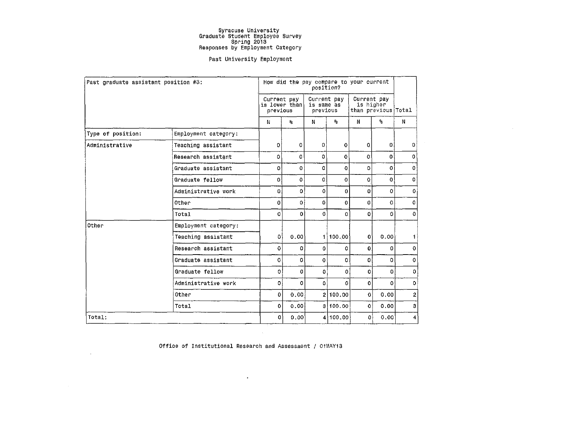#### Past University Employment

 $\sim$ 

|                   | Past graduate assistant position #3: |                         |                         | position?                             |                         | How did the pay compare to your current         |                         |                |
|-------------------|--------------------------------------|-------------------------|-------------------------|---------------------------------------|-------------------------|-------------------------------------------------|-------------------------|----------------|
|                   |                                      | Current pay<br>previous | is lower than           | Current pay<br>is same as<br>previous |                         | Current pay<br>is higher<br>than previous Total |                         |                |
|                   |                                      | N                       | $\mathbf{S}_\mathrm{S}$ | N                                     | $\mathbf{s}_\mathrm{s}$ | N                                               | $\mathbf{S}_\mathrm{S}$ | N              |
| Type of position: | Employment category:                 |                         |                         |                                       |                         |                                                 |                         |                |
| Administrative    | Teaching assistant                   | $\mathbf 0$             | 0                       | $\mathbf{0}$                          | 0                       | $\Omega$                                        | 0                       | $\mathbf{0}$   |
|                   | Research assistant                   | ٥                       | 0                       | 0                                     | 0                       | 0                                               | 0                       | 0              |
|                   | Graduate assistant                   | 0                       | 0                       | 0                                     | 0                       | O.                                              | 0                       | $\circ$        |
|                   | Graduate fellow                      | 0                       | ٥                       | 0                                     | 0                       | 0                                               | 0.                      | $\mathbf{O}$   |
|                   | Administrative work                  | 0                       | 0                       | 0                                     | 0                       | $\mathbf{0}$                                    | 0                       | $\mathbf 0$    |
|                   | Other                                | Ō                       | $\Omega$                | $\Omega$                              | $\mathbf 0$             | 0                                               | 0                       | $\Omega$       |
|                   | Total                                | 0                       | $\mathbf{0}$            | $\mathbf{0}$                          | 0                       | $\Omega$                                        | 0                       | $\Omega$       |
| Other             | Employment category:                 |                         |                         |                                       |                         |                                                 |                         |                |
|                   | Teaching assistant                   | O                       | 0.001                   |                                       | 11100.00                | $\Omega$                                        | 0.00                    | 11             |
|                   | Research assistant                   | $\mathbf{O}$            | $\mathbf{0}$            | $\bullet$                             | 0                       | 0.                                              | 0                       | $\mathbf 0$    |
|                   | Graduate assistant                   | 0                       | 0                       | $\mathbf 0$                           | 0                       | 0                                               | 0                       | $\circ$        |
|                   | Graduate fellow                      | 0                       | 0                       | $\mathbf{0}$                          | 0                       | 0                                               | 0.                      | $\circ$        |
|                   | Administrative work                  | $\Omega$                | 0                       | $\mathbf{0}$                          | 0                       | 0                                               | 0                       | $\mathbf 0$    |
|                   | Other                                | 0                       | 0.00                    |                                       | 2 100.00                | $\Omega$                                        | 0.00                    | 2 <sup>1</sup> |
|                   | Total                                | 0                       | 0.00                    |                                       | 3 100,00                | $\mathbf{o}$                                    | 0.00                    | 3              |
| Total:            |                                      | 0                       | 0.00                    |                                       | 4100.00                 | ٥l                                              | 0.00                    | 4              |

Office of Institutional Research and Assessment / 01MAY13

 $\Delta$ 

 $\sim 100$ 

 $\sim 10^{-11}$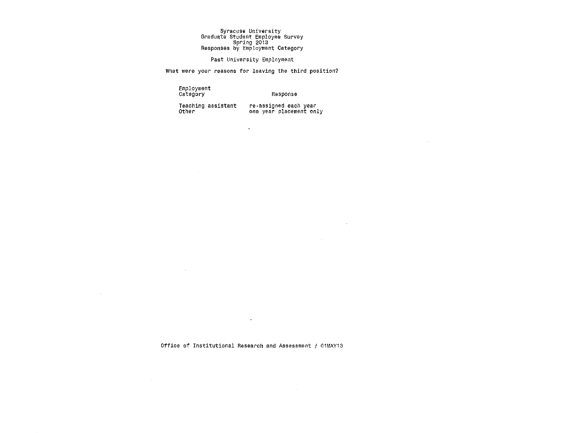#### Past University Employment

What were your reasons for leaving the third position?

 $\bullet$ 

Employment Category

Response

Teaching assistant Other <sup>7</sup>

 $\sim$ 

 $\sim$ 

 $\sim 10^7$ 

 $\sim$   $\sim$ 

re-assigned each year<br>one year placement only

 $\sim 100$ 

 $\sim$ 

Office of Institutional Research and Assessment / 01MAY13

 $\sim$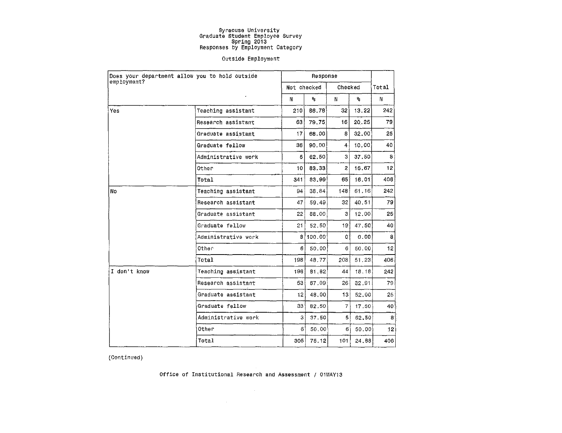#### Outside Employment

|              | Does your department allow you to hold outside<br>employment? |                 | Response |                 |        |                 |
|--------------|---------------------------------------------------------------|-----------------|----------|-----------------|--------|-----------------|
|              |                                                               | Not checked     |          | Checked         |        | Total           |
|              |                                                               | N               | ٩.       | N               | ۰.     | N               |
| Yes          | Teaching assistant                                            | 210             | 86.78    | 32 <sup>2</sup> | 13, 22 | 242             |
|              | Research assistant                                            | 63              | 79.75    | 16              | 20.25  | 79              |
|              | Graduate assistant                                            | 17              | 68.00    | 8               | 32.00  | 25              |
|              | Graduate fellow                                               | 361             | 90.00    | 4               | 10,00  | 40              |
|              | Administrative work                                           | $\mathbf{s}$    | 62,50    | 3               | 37,50  | 8               |
|              | Other                                                         | 10 <sup>1</sup> | 83.33    | 2.              | 16 67  | 12 <sub>1</sub> |
|              | Total                                                         | 341             | 83.99    | 65              | 16.01  | 406             |
| No           | Teaching assistant                                            | 94              | 38.84    | 148             | 61.16  | 242             |
|              | Research assistant                                            | 47              | 59.49    | 32              | 40.51  | 79              |
|              | Graduate assistant                                            | 22              | 88.00    | З               | 12.00  | 25              |
|              | Graduate fellow                                               | 21              | 52.50    | 19              | 47.50  | 40              |
|              | Administrative work                                           | 8               | 100.00   | O.              | 0.00   | 8               |
|              | Other                                                         | 61              | 50.00    | 6               | 50.00  | 12              |
|              | Total                                                         | 198             | 48.77    | 208             | 51 23  | 4061            |
| I don't know | Teaching assistant                                            | 198             | 81.82    | 44              | 18.18  | 242             |
|              | Research assistant                                            | 53              | 67,09    | 26              | 32.91  | 79              |
|              | Graduate assistant                                            | 12              | 48.00    | 13              | 52.00  | 25 <sub>1</sub> |
|              | Graduate fellow                                               | 33.             | 82.50    | $\overline{7}$  | 17.50  | 40              |
|              | Administrative work                                           | з               | 37.50    | 5               | 62.50  | 8               |
|              | Other                                                         | 6               | 50,00    | 6 <sup>1</sup>  | 50.00  | 2               |
|              | Total                                                         | 305             | 75.12    | 101             | 24.88  | 406             |

(Continued)

Office of Institutional Research and Assessment / 01MAY13

 $\sim 10^{11}$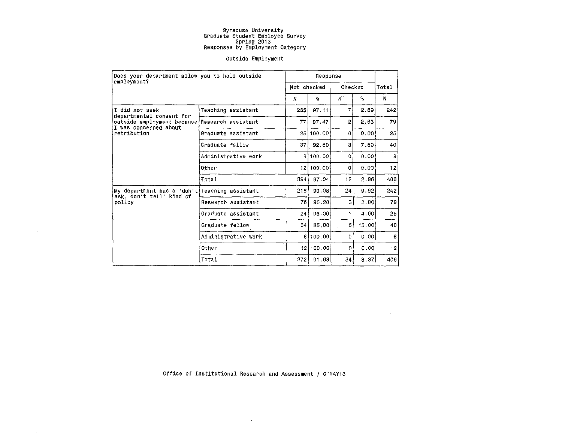#### Outside Employment

|                                                                           | Does your department allow you to hold outside<br>employment? |                 |             |          |                  |                 |
|---------------------------------------------------------------------------|---------------------------------------------------------------|-----------------|-------------|----------|------------------|-----------------|
|                                                                           |                                                               |                 | Not checked | Checked  |                  | Total           |
|                                                                           |                                                               | N               | ۹.          | $N$ .    | $\Omega_{\rm S}$ | N               |
| I did not seek<br>departmental consent for                                | Teaching assistant                                            | 235 i           | 97.11       | 7        | 2.89             | 242             |
| outside employment because Research assistant<br>I was concerned about    |                                                               | 77              | 97,47       | 2        | 2.53             | 79              |
| retribution                                                               | Graduate assistant                                            | 25 Ì            | 100.00      | 0        | 0.00             | 25              |
|                                                                           | Graduate fellow                                               | 37              | 92.50       | 3        | 7.50             | 40              |
|                                                                           | Administrative work                                           | 8 I             | 100.00      | $\Omega$ | 0.00             | 8               |
|                                                                           | Other                                                         | 12 <sub>1</sub> | 100.00      | $\circ$  | 0.00             | 12              |
|                                                                           | Total                                                         | 394             | 97.04       | 12       | 2.96             | 406             |
| My department has a 'don't Teaching assistant<br>ask, don't tell' kind of |                                                               | 218             | 90.08       | 24       | 9.92             | 242             |
| policy                                                                    | Research assistant                                            | 76              | 96.20       | З.       | 3.80             | 79              |
|                                                                           | Graduate assistant                                            | 24              | 96,00       | 1        | 4.00             | 25              |
|                                                                           | Graduate fellow                                               | 34 <sub>1</sub> | 85,00       | 6        | 15.00            | 40              |
|                                                                           | Administrative work                                           | 81              | 100.00      | 0        | 0.00             | 8               |
|                                                                           | Other                                                         |                 | 12 100.00   | 0        | 0.00             | 12 <sub>2</sub> |
|                                                                           | Total                                                         | 372             | 91.63       | 34.      | 8.37             | 406             |

Office of Institutional Research and Assessment / 01MAY13

 $\langle \sigma \rangle$  .

 $\sim 10^{-1}$ 

 $\sim 10$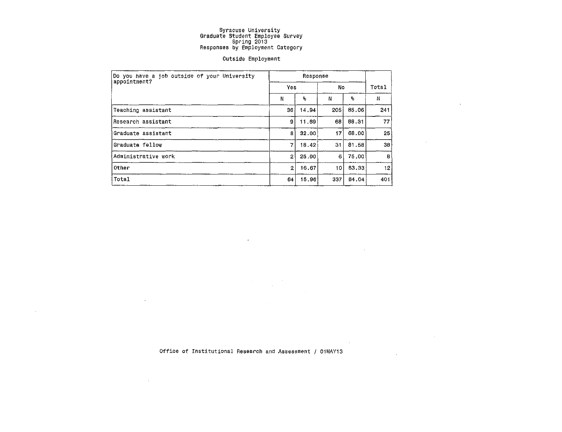#### Outside Employment

| Do you have a job outside of your University |                |                         |     |       |     |
|----------------------------------------------|----------------|-------------------------|-----|-------|-----|
| appointment?                                 | Yes            |                         | No  | Total |     |
|                                              | N              | $\mathbf{Q}_\mathrm{d}$ | N   | ℁     | И   |
| Teaching assistant                           | 36             | 14.94                   | 205 | 85.06 | 241 |
| Research assistant                           | g.             | 11.69                   | 68  | 88.31 | 77  |
| Graduate assistant                           | 8              | 32.00                   | 17  | 68,00 | 25  |
| Graduate fellow                              | 7              | 18.42                   | 31  | 81,58 | 38  |
| Administrative work                          | $\overline{2}$ | 25.00                   | 6   | 75.00 | -81 |
| Other                                        | $\mathbf{2}$   | 16.67                   | 10  | 83.33 | 12  |
| Total                                        | 64             | 15.96                   | 337 | 84.04 | 401 |

 $\downarrow$ 

 $\sim 10^{-1}$ 

 $\bar{z}$ 

 $\bar{a}$ 

 $\sim$ 

 $\sim$ 

 $\sim 10^{11}$ 

 $\sim$ 

Office of Institutional Research and Assessment / 01MAY13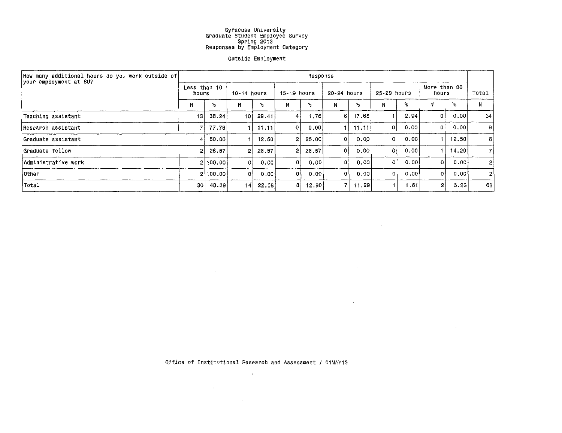#### outside Employment

| [How many additional hours do you work outside of] |                       |            |                |                   |                | Response |             |                          |             |       |                       |                 |                |
|----------------------------------------------------|-----------------------|------------|----------------|-------------------|----------------|----------|-------------|--------------------------|-------------|-------|-----------------------|-----------------|----------------|
| your employment at SU?                             | Less than 10<br>hours |            | 10-14 hours    |                   | $15-19$ hours  |          | 20-24 hours |                          | 25-29 hours |       | More than 30<br>hours |                 | Total          |
|                                                    | N                     | $^{\circ}$ | N              | ۹.                | Ν              | ۹.       | N           | $\mathcal{G}_\mathbf{G}$ |             | ą.    |                       | $\mathcal{P}_6$ | N              |
| Teaching assistant                                 | 13                    | 38.24      | 10 I           | 29.41             | 41             | 11,76    | 6           | 17.65                    |             | 2.94  | -0 ł                  | 0.00            | 34             |
| Research assistant                                 | 7                     | 77.78      |                | 11.11             | $\overline{0}$ | 0.001    |             | 11.11                    | ΩI          | 0.00  | οł                    | 0.00            | $\mathbf{S}$   |
| Graduate assistant                                 | 4                     | 50.00      |                | 12,50             | 2              | 25,00    | 0           | 0,00                     |             | 0.00  |                       | 12,50           | 8              |
| Graduate fellow                                    | 2                     | 28,57      | $\overline{2}$ | 28.57             | 2              | 28.57    | 0           | 0.00                     | ٥ł          | 0.001 |                       | 14.29           | 71             |
| Administrative work                                |                       | 2100.001   | Ωł             | 0.00              | Ωł             | 0.00     | 0           | 0,00                     | $\Omega$    | 0.00  |                       | 0.00            | $\mathbf{2}$   |
| ∖Other                                             |                       | 2 100.00   | ٥I             | 0.00 <sub>1</sub> | ٥۱             | 0.00     | 0           | 0.00                     |             | 0,00  | 0                     | 0.00∫           | 2 <sup>1</sup> |
| Total                                              | 30 <sup>1</sup>       | 48.39      | 4              | 22.58             | 81             | 12.90    | 71          | 11,29                    |             | 1.61  | 2                     | 3.23            | 62             |

Office of Institutional Research and Assessment / 01MAY13

 $\sim 10^{-1}$ 

 $\label{eq:2.1} \frac{1}{\sqrt{2\pi}}\int_{\mathbb{R}^3}\frac{d\mu}{\sqrt{2\pi}}\left(\frac{d\mu}{\mu}\right)^2\frac{d\mu}{\sqrt{2\pi}}\frac{d\mu}{\sqrt{2\pi}}\frac{d\mu}{\sqrt{2\pi}}\frac{d\mu}{\sqrt{2\pi}}\frac{d\mu}{\sqrt{2\pi}}\frac{d\mu}{\sqrt{2\pi}}\frac{d\mu}{\sqrt{2\pi}}\frac{d\mu}{\sqrt{2\pi}}\frac{d\mu}{\sqrt{2\pi}}\frac{d\mu}{\sqrt{2\pi}}\frac{d\mu}{\sqrt{2\pi}}\frac{d\$ 

 $\label{eq:3.1} \frac{1}{\|x\|^{2}}\leq \frac{1}{\|x\|^{2}}\leq \frac{1}{\|x\|^{2}}\leq \frac{1}{\|x\|^{2}}\leq \frac{1}{\|x\|^{2}}\leq \frac{1}{\|x\|^{2}}\leq \frac{1}{\|x\|^{2}}\leq \frac{1}{\|x\|^{2}}\leq \frac{1}{\|x\|^{2}}\leq \frac{1}{\|x\|^{2}}\leq \frac{1}{\|x\|^{2}}\leq \frac{1}{\|x\|^{2}}\leq \frac{1}{\|x\|^{2}}\leq \frac{$ 

 $\mathcal{L}^{\text{max}}_{\text{max}}$  ,  $\mathcal{L}^{\text{max}}_{\text{max}}$ 

the control of the control of the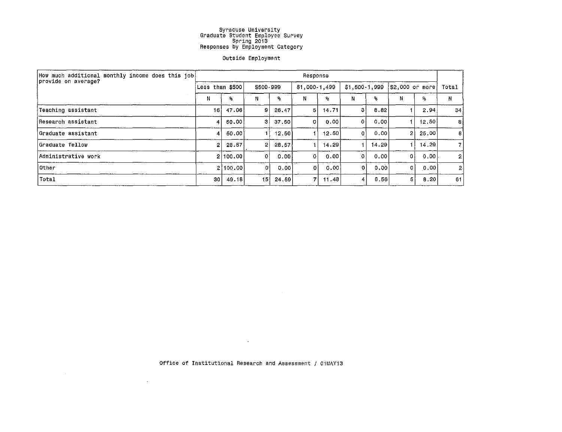#### Outside Employment

| How much additional monthly income does this job!<br>provide on average? |                  |          |                |                           | Response      |       |                |       |                |         |                |
|--------------------------------------------------------------------------|------------------|----------|----------------|---------------------------|---------------|-------|----------------|-------|----------------|---------|----------------|
|                                                                          | Less than $$500$ |          | \$500-999      |                           | \$1,000-1,499 |       | $$1,500-1,999$ |       | 52,000 or more |         | Total          |
|                                                                          | N                | ℅        | Ν              | $\mathbf{P}_{\mathbf{G}}$ | N             | ٩.    | Ν              | ℁     | Ν              | ዲ       | N.             |
| Teaching assistant                                                       | 16               | 47.06    | 91             | 26,47                     | 5             | 14 71 | 3              | 8.82  |                | 2.94    | 34             |
| Research assistant                                                       | $\mathbf{A}$     | 50.00    | -31            | 37.50                     | 0             | 0.00  | 01             | 0.00  |                | 12,50   | -81            |
| Graduate assistant                                                       | 4                | 50.00    |                | 12.50                     |               | 12.50 | Οİ             | 0.001 | 2              | -25.001 | 8.             |
| Graduate fellow                                                          | 2.               | 28.57    | $\overline{2}$ | 28.57                     |               | 14.29 |                | 14.29 |                | 14.29   | 71             |
| Administrative work                                                      |                  | 2 100.00 | 0              | 0.00                      | $\mathbf{0}$  | 0.001 | 0              | 0.00  | $\Omega$       | 0.00    | 2 <sup>1</sup> |
| Other                                                                    |                  | 2 100.00 | o              | 0.001                     | $\Omega$      | 0.00  | 0.             | 0.00  | ٥I             | 0.00    | 2              |
| Total                                                                    | 30 <sup>°</sup>  | 49.18    | 151            | 24.59                     | 7             | 11.48 | 4              | 6.56  | 5              | 8.20    | 61             |

Office of Institutional Research and Assessment / 01MAY13

 $\mathcal{L}_{\text{max}}$  and  $\mathcal{L}_{\text{max}}$  . The second second second

 $\mathcal{L}^{\text{max}}_{\text{max}}$  and  $\mathcal{L}^{\text{max}}_{\text{max}}$ 

 $\mathcal{L}^{\mathcal{L}}(\mathcal{L}^{\mathcal{L}}(\mathcal{L}^{\mathcal{L}}(\mathcal{L}^{\mathcal{L}}(\mathcal{L}^{\mathcal{L}}(\mathcal{L}^{\mathcal{L}}(\mathcal{L}^{\mathcal{L}}(\mathcal{L}^{\mathcal{L}}(\mathcal{L}^{\mathcal{L}}(\mathcal{L}^{\mathcal{L}}(\mathcal{L}^{\mathcal{L}}(\mathcal{L}^{\mathcal{L}}(\mathcal{L}^{\mathcal{L}}(\mathcal{L}^{\mathcal{L}}(\mathcal{L}^{\mathcal{L}}(\mathcal{L}^{\mathcal{L}}(\mathcal{L}^{\mathcal{L$ 

 $\mathcal{L}^{\text{max}}_{\text{max}}$  and  $\mathcal{L}^{\text{max}}_{\text{max}}$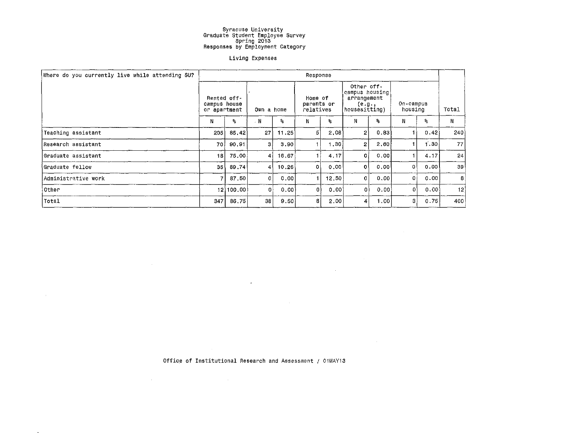#### Living Expenses

| Where do you currently live while attending SU? |                              |             |                  |       | Response                           |       |                                                                          |             |                      |      |             |
|-------------------------------------------------|------------------------------|-------------|------------------|-------|------------------------------------|-------|--------------------------------------------------------------------------|-------------|----------------------|------|-------------|
|                                                 | campus house<br>or apartment | Rented off- | Own a home       |       | Home of<br>parents or<br>relatives |       | Other off-<br>campus housing!<br>arrangement<br>(e.g.,<br> housesitting) |             | On-campus<br>housing |      | Total       |
|                                                 | N                            | %           | . N              | ℁     | N                                  | ۶,    | N                                                                        | $R_{\rm B}$ | N                    | ۹.   | N           |
| Teaching assistant                              | 205                          | 85.42       | 27               | 11.25 | 5                                  | 2,08  | 2                                                                        | 0.83        |                      | 0.42 | 240         |
| Research assistant                              | 70                           | 90,91       | 3.               | 3.90  |                                    | 1.30  | $\mathbf{2}$                                                             | 2,60        |                      | 1.30 | 77          |
| Graduate assistant                              | 18                           | 75.00       | 41               | 16.67 |                                    | 4.17  | 0                                                                        | 0.00        |                      | 4.17 | 24          |
| Graduate fellow!                                | 35 \                         | 89.74       | $\blacktriangle$ | 10.26 | $\mathbf{O}$                       | 0.00  | 0                                                                        | 0.00        | 0                    | 0.00 | 39          |
| Administrative work                             | 71                           | 87.50       | $\overline{0}$   | 0.00  |                                    | 12,50 | 0                                                                        | 0.00        | 0 i                  | 0.00 | $8^{\circ}$ |
| ∣Other                                          |                              | 12 100,00   | 0                | 0.00  | $\mathbf 0$                        | 0.00  | 0                                                                        | 0.00        | 0                    | 0,00 | 12          |
| Total                                           | 347                          | 86.75       | 38               | 9.50  | 8                                  | 2.00  | 4                                                                        | 1.00        | з                    | 0.75 | 400         |

 $\sim 10^{11}$  km s  $^{-1}$ 

 $\label{eq:2.1} \frac{1}{\sqrt{2}}\int_{\mathbb{R}^3}\frac{1}{\sqrt{2}}\left(\frac{1}{\sqrt{2}}\right)^2\frac{1}{\sqrt{2}}\left(\frac{1}{\sqrt{2}}\right)^2\frac{1}{\sqrt{2}}\left(\frac{1}{\sqrt{2}}\right)^2\frac{1}{\sqrt{2}}\left(\frac{1}{\sqrt{2}}\right)^2\frac{1}{\sqrt{2}}\left(\frac{1}{\sqrt{2}}\right)^2.$ 

 $\mathcal{L}^{\text{max}}_{\text{max}}$  , where  $\mathcal{L}^{\text{max}}_{\text{max}}$ 

Office of Institutional Research and Assessment / 01MAY13

 $\mathcal{L}(\mathcal{A})$  and  $\mathcal{L}(\mathcal{A})$  are the set of the set of the set of  $\mathcal{L}(\mathcal{A})$ 

 $\mathcal{L}^{\mathcal{L}}(\mathbf{z},\mathbf{z})$  . The  $\mathcal{L}^{\mathcal{L}}(\mathbf{z},\mathbf{z})$ 

and the control of the con-

 $\sim 300$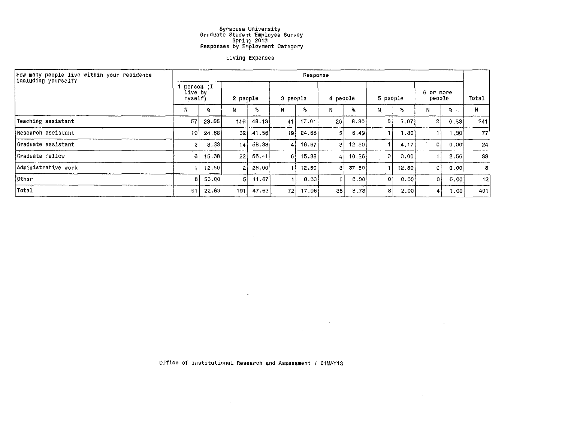#### Living Expenses

| How many people live within your residence<br>including yourself? |                                 |       |                |        |                 | Response |          |       |          |       |                     |           |                 |
|-------------------------------------------------------------------|---------------------------------|-------|----------------|--------|-----------------|----------|----------|-------|----------|-------|---------------------|-----------|-----------------|
|                                                                   | person (I<br>live by<br>myself) |       | 2 people       |        | 3 people        |          | 4 people |       | 5 people |       | 6 or more<br>people |           | Total           |
|                                                                   | Ν                               | ℁     | N              | 鬼      | N               | ℁        | N        | ۹.    | N        | ℁     | Ν                   | %.        | N               |
| Teaching assistant                                                | 57                              | 23.65 | 116            | 48.13  | 41              | 17.01    | 20       | 8.30  | 51       | 2,07  | $\overline{2}$      | 0.83      | 241             |
| iResearch assistant                                               | 19                              | 24.68 | -321           | .41.56 | 19)             | أ 28.68  |          | 6.49  |          | 1.301 |                     | ∏30. ا    | 77)             |
| Graduate assistant                                                | $\overline{2}$                  | 8.33  | 14             | 58.33  | 41              | 16.67    | 31       | 12.50 |          | 4.17  | $\mathbf{0}$        | 0.00      | 24              |
| Graduate fellow                                                   | 6                               | 15.38 | 22             | 56,41  | 6.              | 15,38    | 4        | 10.26 | 0        | 0,00  | 1                   | 2.56      | 39 <sup>°</sup> |
| Administrative work                                               |                                 | 12.50 | $\overline{2}$ | 25,00  |                 | 12.50    | 3.       | 37.50 |          | 12,50 | 01                  | 0.00      | 8               |
| <b>Other</b>                                                      | 6                               | 50.00 | 51             | 41.67  |                 | 8.33     | $\Omega$ | 0.00  | ΩÌ       | 0.00  | Οl                  | 0.00      | 12              |
| Total                                                             | 91                              | 22.69 | 1911           | 47.63  | 72 <sub>1</sub> | 17.96    | 35       | 8,73  | 8        | 2.00  | 4                   | l . 00. l | 401             |

 $\sim 10^{11}$  km

 $\sim$ 

Office of Institutional Research and Assessment / 01MAY13

 $\sim 10^{11}$  km s  $^{-1}$ 

 $\label{eq:2.1} \frac{1}{\sqrt{2\pi}}\int_{\mathbb{R}^3}\frac{1}{\sqrt{2\pi}}\int_{\mathbb{R}^3}\frac{1}{\sqrt{2\pi}}\int_{\mathbb{R}^3}\frac{1}{\sqrt{2\pi}}\int_{\mathbb{R}^3}\frac{1}{\sqrt{2\pi}}\int_{\mathbb{R}^3}\frac{1}{\sqrt{2\pi}}\frac{1}{\sqrt{2\pi}}\int_{\mathbb{R}^3}\frac{1}{\sqrt{2\pi}}\frac{1}{\sqrt{2\pi}}\frac{1}{\sqrt{2\pi}}\int_{\mathbb{R}^3}\frac{1}{\sqrt{2\pi}}\frac$ 

 $\sim 100$  $\sim 10^{11}$  m  $^{-1}$ 

 $\sim 10^{-1}$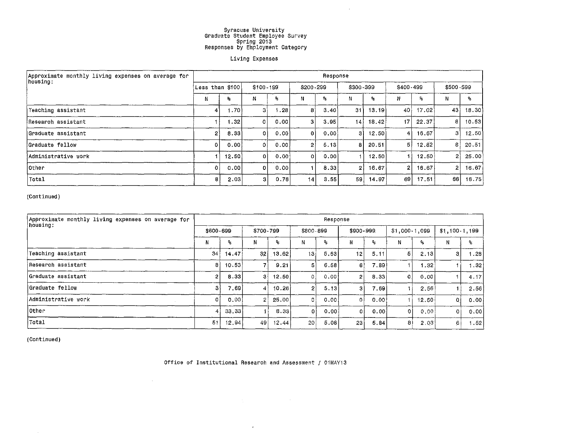$\sim$ 

#### Living Expenses

| Approximate monthly living expenses on average for<br>housing: |                 |       |                |                        |           | Response |           |       |                 |       |                |       |
|----------------------------------------------------------------|-----------------|-------|----------------|------------------------|-----------|----------|-----------|-------|-----------------|-------|----------------|-------|
|                                                                | Less than \$100 |       | $$100 - 199$   |                        | \$200-299 |          | \$300-399 |       | \$400-499       |       | \$500-599      |       |
|                                                                | N               | ℁     | Ν              | ۹,                     | Ν         | ℁        | Ν         | Я.    | Ν               | ٩,    | N              | °6    |
| Teaching assistant                                             | 4               | 1.70  | 31             | $\ldots$ 28 $^{\circ}$ | 8         | 3,40     | 31        | 13.19 | 401             | 17.02 | 43             | 18.30 |
| Research assistant                                             |                 | 1.32  | 0              | 0.001                  | з         | 3.95     | 14        | 18.42 | 17 <sup>1</sup> | 22.37 | 8              | 10.53 |
| lGraduate assistant                                            | 0               | 8.33  | 0              | 0.001                  | $\Omega$  | 0.001    | з         | 12.50 | 4               | 16.67 | 3 i            | 12.50 |
| Graduate fellow                                                | 0               | 0.00  | ٥I             | 0.00                   | 21        | 5.13     | 8         | 20.51 | 5               | 12.82 | 8              | 20.51 |
| lAdministrative work                                           |                 | 12,50 | 0 <sup>1</sup> | 0.001                  | ٥I        | 0.00     |           | 12,50 |                 | 12,50 | 21             | 25.00 |
| other[                                                         | 0               | 0.00  | n.             | 0.001                  |           | 8,33     | 2         | 16.67 | $\mathbf{2}$    | 16.67 | $\overline{2}$ | 16.67 |
| Total                                                          | 8.              | 2.03  | 3 <sub>1</sub> | 0.76                   | 14        | 3.55     | 59        | 14.97 | 69              | 17.51 | 66             | 16.75 |

(Continued)

| Approximate monthly living expenses on average for<br> housing: |                 |       |                |       |                 | Response |                 |        |                |       |                 |         |
|-----------------------------------------------------------------|-----------------|-------|----------------|-------|-----------------|----------|-----------------|--------|----------------|-------|-----------------|---------|
|                                                                 | \$600-699       |       | \$700-799      |       | \$800-899       |          | \$900-999       |        | $$1,000-1,099$ |       | $$1,100-1,199$  |         |
|                                                                 | N               | ٩.    | N              | ٩.    | Ν               | ℁        | N               | ۹.     |                | ℁     | N               | %.      |
| Teaching assistant                                              | 34 <sub>1</sub> | 14.47 | 32             | 13.62 | 13              | 5.53     | 12 <sub>1</sub> | 5.11   | 5              | 2.13  | З.              | .28     |
| Research assistant                                              | 8               | 10.53 |                | 9.21  | 5               | 6.58     | 61              | 7.89   |                | 1.32  |                 | ا 32. ا |
| Graduate assistant                                              |                 | 8.33  | 31             | 12.50 | 0 <sub>1</sub>  | 0.001    | 2               | 8.33   | $\circ$        | 0.00  |                 | 4.17    |
| Graduate fellow                                                 | 3.              | 7.69  | 4              | 10.26 | 21              | 5.13     | 3               | 7.69   |                | 2.56  | 1.              | 2.56    |
| Administrative work                                             |                 | 0.00  | $\overline{2}$ | 25,00 | 0               | 0.00     | $\Omega$        | 0.00   |                | 12,50 | 0               | 0.001   |
| lOther                                                          |                 | 33.33 |                | 8.33  | 0               | 0.00     | $\Omega$        | 0.00 i | 0              | 0.00  | ΟÌ              | 0.00    |
| Total                                                           | -51             | 12.94 | 49             | 12.44 | 20 <sup>1</sup> | 5.08     | 23              | 5.84   | 8              | 2,03  | $\vert 6 \vert$ | .52     |

(Continued)

Office of Institutional Research and Assessment / 01MAY13

 $\mathcal{A}$ 

 $\label{eq:2.1} \frac{1}{\sqrt{2}}\int_{\mathbb{R}^3} \frac{1}{\sqrt{2}}\left(\frac{1}{\sqrt{2}}\right)^2\left(\frac{1}{\sqrt{2}}\right)^2\left(\frac{1}{\sqrt{2}}\right)^2\left(\frac{1}{\sqrt{2}}\right)^2\left(\frac{1}{\sqrt{2}}\right)^2\left(\frac{1}{\sqrt{2}}\right)^2.$ 

 $\sim$   $\sim$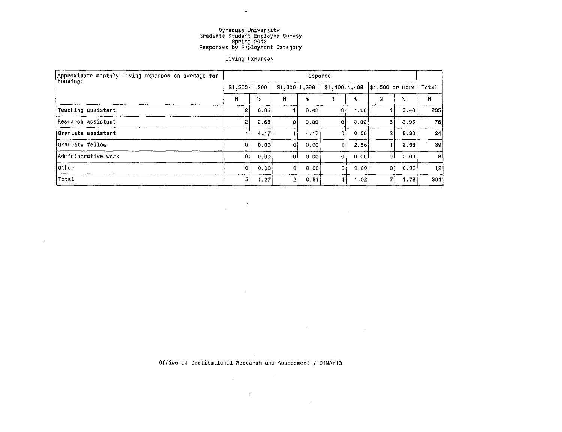$\mathcal{L}^{\text{max}}$  , and

#### Living Expenses

| Approximate monthly living expenses on average for<br>housing: |                |      |                | Response |                |      |                   |       |       |
|----------------------------------------------------------------|----------------|------|----------------|----------|----------------|------|-------------------|-------|-------|
|                                                                | $$1,200-1,299$ |      | $$1,300-1,399$ |          | $$1,400-1,499$ |      | $ $1,500$ or more |       | Total |
|                                                                | N              | ٩.   | Ν              | ጜ        | Ν              | ۹.   | Ν                 | ۹.    | N     |
| Teaching assistant                                             | 2              | 0.85 |                | 0.43     | З.             | 1.28 |                   | 0.43  | 235   |
| Research assistant                                             | 2              | 2.63 | ۵              | 0.00     | 0              | 0.00 | з                 | 3.95  | 76    |
| Graduate assistant                                             |                | 4.17 |                | 4.17     |                | 0.00 | 2                 | 8.33  | 24    |
| Graduate fellow                                                | -O i           | 0.00 | 0              | 0.00     |                | 2.56 |                   | 2.56  | 39    |
| Administrative work                                            | -0 l           | 0.00 | 0              | 0.001    | 01             | 0.00 | 0                 | 0.001 | 8     |
| other                                                          | $\mathbf{O}$   | 0,00 | 0              | 0.001    | 0              | 0.00 | ٥                 | 0.00  | 12!   |
| Total                                                          | 51             | 1.27 | 2              | 0.51     |                | 1.02 | 7                 | 1.78  | 394   |

 $\mathcal{L}^{\text{max}}_{\text{max}}$  and

 $\sim$ 

 $\sim$ 

 $\sim$ 

 $\mathcal{O}(\mathcal{O}(\log n))$  . The  $\mathcal{O}(\log n)$ 

Office of Institutional Research and Assessment / 01MAY13

 $\mathcal{O}(\log n)$  , where  $\mathcal{O}(\log n)$  is the set of  $\mathcal{O}(\log n)$ 

 $\mathcal{A}(\mathcal{A})$  and  $\mathcal{A}(\mathcal{A})$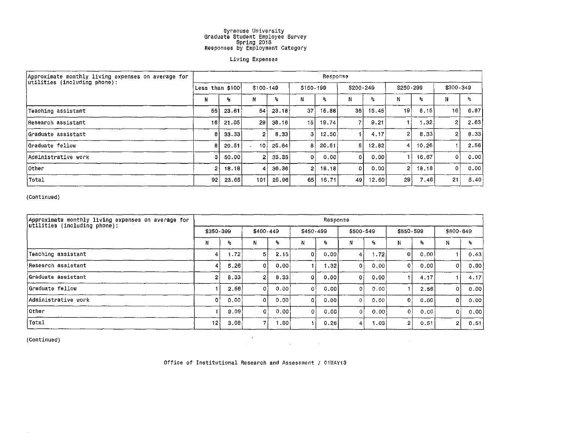#### Living Expenses

| Approximate monthly living expenses on average for<br>utilities (including phone): |                  |       |                |       |                 | Response |                |       |                 |                         |                |      |
|------------------------------------------------------------------------------------|------------------|-------|----------------|-------|-----------------|----------|----------------|-------|-----------------|-------------------------|----------------|------|
|                                                                                    | Less than $$100$ |       | \$100-149      |       | \$150-199       |          | \$200-249      |       | $$250 - 299$    |                         | \$300-349      |      |
|                                                                                    | N                | ℁     | Ν              | ዬ     |                 | $^2$     | N              | ٩.    | Ν               | $\mathbf{S}_\mathbf{S}$ | Ν              | %    |
| Teaching assistant                                                                 | 55               | 23.61 | 54             | 23.18 | 37              | 15.88    | 361            | 15.45 | 19              | 8,15                    | 16             | 6.87 |
| lResearch assistant                                                                | 16               | 21.05 | 29             | 38.16 | 15 <sup>1</sup> | 19.74    | 7              | 9.21  |                 | $\sim$ 32.              | 2              | 2.63 |
| iGraduate assistant                                                                | 8                | 33.33 | $\overline{2}$ | 8.33  | з               | 12,50    |                | 4.17  | $\overline{2}$  | 8.33                    | 2 <sub>1</sub> | 8.33 |
| Graduate fellow                                                                    | 8                | 20.51 | 101            | 25.64 | 8               | 20.51    | 5 <sub>1</sub> | 12,82 | $\vert 4 \vert$ | 10,26                   |                | 2.56 |
| Administrative work                                                                | з                | 50.00 | $\mathbf{2}$   | 33.33 | 0               | .0.00 l  | 0              | 0.00  |                 | 16,67                   |                | 0.00 |
| lOther                                                                             | 2                | 18.18 | 4              | 36.36 | 2               | 18.18    | $\Omega$       | 0.00  | $\overline{2}$  | 18.18                   | ٥I             | 0.00 |
| iTotal                                                                             | 92               | 23.65 | 101            | 25.96 | 65              | 16.71    | 49             | 12.60 | 29              | 7.46                    | 21             | 5.40 |

(Continued)

| Approximate monthly living expenses on average for<br>utilities (including phone): |                |      |              |      |           | Response |                      |       |                |              |                |      |
|------------------------------------------------------------------------------------|----------------|------|--------------|------|-----------|----------|----------------------|-------|----------------|--------------|----------------|------|
|                                                                                    | \$350-399      |      | $$400 - 449$ |      | \$450-499 |          | \$500-549            |       | $$550 - 599$   |              | \$600-649      |      |
|                                                                                    | N              | ℁    | Ν            | ٩.   |           | s.       | N                    | ۹.    | Ν              | $\mathbf{R}$ | Ν              | -9.  |
| Teaching assistant                                                                 | 4              | 1.72 | 51           | 2.15 | 0         | 0.00     | 4                    | 1.721 | $\mathbf 0$    | 0.001        |                | 0.43 |
| !Research assistant                                                                |                | 5.26 | 0            | 0.00 |           | 1.32     | Οİ                   | 0.00  | 01             | 0.00         | 0              | 0.00 |
| Graduate assistant                                                                 | $\overline{2}$ | 8.33 | 2            | 8.33 | $\Omega$  | 0.00     | $\mathbf{0}$         | 0.00  |                | 4.17         |                | 4.17 |
| Graduate fellow                                                                    |                | 2.56 | 0            | 0.00 | ٥t        | 0.00     | 01                   | 0,00  |                | 2.56         | 0              | 0.00 |
| Administrative work                                                                | 01             | 0.00 | $\Omega$     | 0.00 | ٥         | 0.00     | Οl                   | 0.00  | 01             | 0.00         | 0              | 0.00 |
| lOther                                                                             |                | 9.09 | $\Omega$     | 0.00 |           | 0.00     | Ωİ                   | 0.00  | $\overline{0}$ | 0.00         | ٥l             | 0.00 |
| Total                                                                              | 12             | 3.08 |              | .80  |           | 0.26     | $\blacktriangleleft$ | 1.03  | 2              | 0.51         | $\overline{2}$ | 0.51 |

(Continued)

Office of Institutional Research and Assessment / 01MAY13

 $\label{eq:1.1} \frac{d\mathbf{r}}{dt} = \frac{1}{2\pi}\left[\frac{d\mathbf{r}}{dt}\right] \left[ \frac{d\mathbf{r}}{dt} - \frac{d\mathbf{r}}{dt} \right] \left[ \frac{d\mathbf{r}}{dt} - \frac{d\mathbf{r}}{dt} \right] \left[ \frac{d\mathbf{r}}{dt} - \frac{d\mathbf{r}}{dt} \right] \left[ \frac{d\mathbf{r}}{dt} - \frac{d\mathbf{r}}{dt} \right] \left[ \frac{d\mathbf{r}}{dt} - \frac{d\mathbf{r}}{dt} \right] \left[ \frac{d$ 

 $\sim 10^{-1}$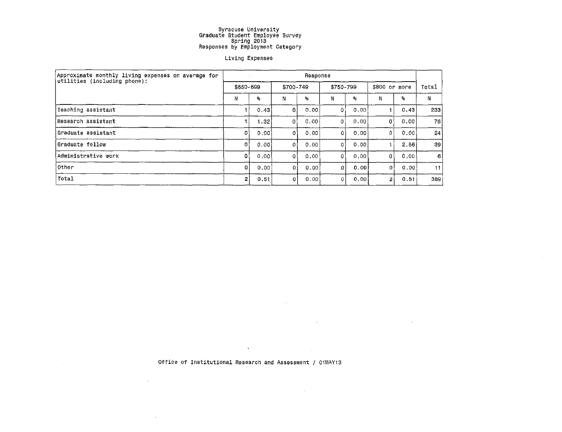#### Living Expenses

| Approximate monthly living expenses on average for<br>utilities (including phone): |              |       |              | Response |            |      |                |                         |         |
|------------------------------------------------------------------------------------|--------------|-------|--------------|----------|------------|------|----------------|-------------------------|---------|
|                                                                                    | \$650-699    |       | \$700-749    |          | \$750-799  |      | \$800 or more  |                         | Total   |
|                                                                                    | И            | ۹.    | Ν            | s.       | Ν          | 髩    | Ν              | $\mathbf{S}_\mathbf{a}$ | N       |
| Teaching assistant                                                                 |              | 0.43  | ٥l           | 0.00     | O          | 0.00 |                | 0.43                    | 233     |
| Research assistant                                                                 |              | 1.32  | 0            | 0.00     | 0          | 0.00 | 0              | 0.00                    | 76      |
| Graduate assistant                                                                 | 0            | 0.00  | 0            | 0.00     | 0          | 0.00 | $\Omega$       | 0.00                    | $^{24}$ |
| Graduate fellow                                                                    | -Oʻl         | 0.001 | $\mathbf{0}$ | 0.00     | 0          | 0,00 |                | 2.56                    | 39      |
| Administrative work                                                                | O.           | 0.00  | 0            | 0.00     | 0          | 0.00 | ٥I             | 0,00                    | -61     |
| Other                                                                              | $\mathbf{0}$ | 0.00  | $\Omega$     | 0.00     | Ω          | 0.00 | 0              | 0.00                    | 11      |
| Total                                                                              | 2            | 0.51  | 0            | 0.00     | $^{\circ}$ | 0,00 | $\overline{2}$ | 0.51                    | 389     |

 $\sim 10^{-1}$ 

 $\sim 10^{-11}$ 

 $\mathcal{L}_{\text{max}}$  and  $\mathcal{L}_{\text{max}}$  and  $\mathcal{L}_{\text{max}}$  and  $\mathcal{L}_{\text{max}}$ 

 $\sim$ 

Office of Institutional Research and Assessment / OiMAY13

 $\mathcal{L}(\mathcal{A})$  and  $\mathcal{L}(\mathcal{A})$  . The  $\mathcal{L}(\mathcal{A})$ 

 $\sim 6\%$ 

 $\mathcal{A}^{\text{max}}$ 

 $\mathcal{L}^{\text{max}}_{\text{max}}$  and  $\mathcal{L}^{\text{max}}_{\text{max}}$ 

 $\sim 100$ 

 $\mathcal{F}_{\mu}$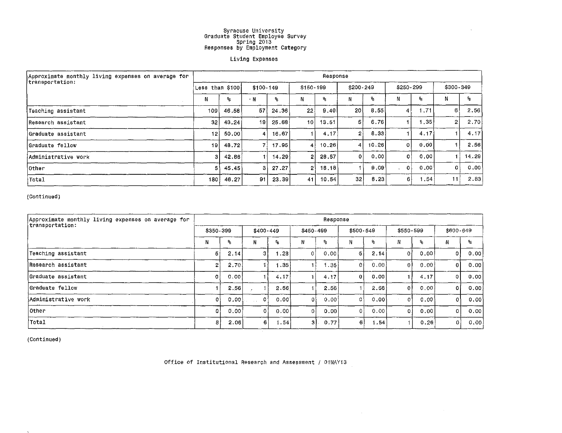#### **Living Expenses**

| Approximate monthly living expenses on average for<br>transportation: |                  |       |                 |       |            | Response |                |       |                |                  |                 |       |
|-----------------------------------------------------------------------|------------------|-------|-----------------|-------|------------|----------|----------------|-------|----------------|------------------|-----------------|-------|
|                                                                       | Less than \$100  |       | $$100-149$      |       | $$150-199$ |          | \$200-249      |       | \$250-299      |                  | \$300-349       |       |
|                                                                       | N                | ℁     | $\cdot$ N       | ۹.    | N          | я.       | N              | ዱ     |                | ℁                | N               | ₽     |
| Teaching assistant                                                    | 109 <sub>1</sub> | 46.58 | 57              | 24,36 | $22+$      | 9,40     | 20 l           | 8.55  | 4 I            | .71              | 6.              | 2,56  |
| Research assistant                                                    | 32               | 43.24 | 19 <sup>1</sup> | 25.68 | 10         | 13.51    | 5              | 6.76  |                | $\sim$ 35 $\mid$ |                 | 2.70  |
| lGraduate assistant                                                   | 12 <sub>1</sub>  | 50.00 | 4 I             | 16.67 |            | 4.17     | $\overline{2}$ | 8.33  |                | 4.17             |                 | 4.17  |
| Graduate fellow                                                       | 19 <sup>1</sup>  | 48.72 |                 | 17.95 | 4          | 10.26    | 4              | 10.26 | 0              | 0.00             |                 | 2.56  |
| Administrative work                                                   | 3                | 42.86 |                 | 14.29 | 2          | 28,57    | $\mathbf{o}$   | 0.00  | 0              | 0.00             |                 | 14.29 |
| <b>l</b> Other                                                        | 5                | 45.45 | з               | 27.27 | 2١         | 18, 18   |                | 9.09  | 0 <sup>1</sup> | 0.00             | 0               | 0.00  |
| Total                                                                 | 180              | 46.27 | 91              | 23.39 | 41         | 10.54    | 32             | 8.23  | 6              | .54              | 11 <sup>1</sup> | 2.83  |

**(Continued)** 

| Approximate monthly living expenses on average for<br>transportation: |                |       |              |      |           | Response         |              |            |                |       |              |       |
|-----------------------------------------------------------------------|----------------|-------|--------------|------|-----------|------------------|--------------|------------|----------------|-------|--------------|-------|
|                                                                       | \$350-399      |       | $$400 - 449$ |      | \$450-499 |                  | \$500-549    |            | \$550-599      |       | \$600-649    |       |
|                                                                       | Ν              | ℁     | N            | ٩.   | N         | %                |              | $^{\circ}$ | М              | ۹.    | TY.          | q.    |
| Teaching assistant                                                    | 5              | 2.14  | 3            | 1.28 |           | 0.00             | -5.          | 2.14       | $\overline{0}$ | 0.00  | 0            | 0.00  |
| lResearch assistant                                                   | $\overline{2}$ | 2.70  |              | .35  |           | .35 <sub>1</sub> | $\mathbf{0}$ | 0.00       | 0              | 0.00  | $\bf{0}$     | 0.00  |
| Graduate assistant                                                    | 0              | 0.00  |              | 4.17 |           | 4, 17            | $\mathbf 0$  | 0.00       |                | 4.17  | 0            | 0.00  |
| Graduate fellow                                                       |                | 2.56  |              | 2.56 |           | 2.561            |              | 2.56       | Οl             | 0,00  | 0            | 0.001 |
| Administrative work                                                   | $^{\circ}$     | 0.00  | 0            | 0.00 | 0         | 0.00             | $\circ$      | 0.001      | $\mathbf{0}$   | 0.001 | $\mathbf{0}$ | 0.00  |
| lOther                                                                |                | 0.001 | $\circ$      | 0.00 | 01        | 0.00             | $\Omega$     | 0.00       | $\overline{0}$ | 0.001 | 0            | 0.00  |
| ¦Total                                                                | 8              | 2.06  | 6            | .54  | зI.       | 0.77             | $-6$         | 1.54       |                | 0.26  | 0            | 0.00  |

**(Continued)** 

**Office of Institutional Research and Assessment** I OiMAY13

 $\sim$ 

 $\sim 10^{-10}$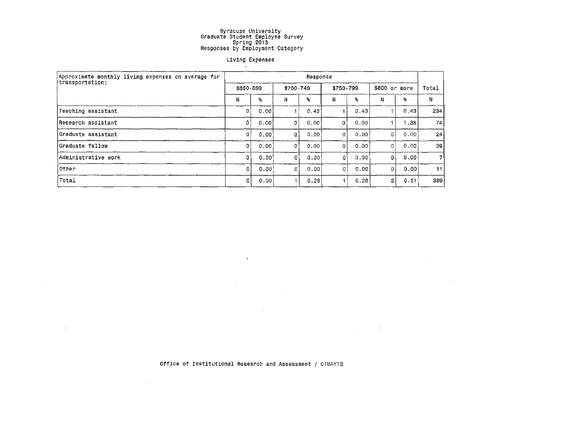### Living Expenses

| Approximate monthly living expenses on average for<br>transportation: | Response       |       |           |                         |           |                         |                |      |       |  |  |  |
|-----------------------------------------------------------------------|----------------|-------|-----------|-------------------------|-----------|-------------------------|----------------|------|-------|--|--|--|
|                                                                       | \$650-699      |       | \$700-749 |                         | \$750-799 |                         | \$800 or more  |      | Total |  |  |  |
|                                                                       | N              | ℁     | N         | $\mathbf{a}_\mathbf{b}$ | N         | $\mathbf{S}_\mathrm{G}$ | Ν              | %    | N.    |  |  |  |
| Teaching assistant                                                    | 0              | 0.00  |           | 0.43                    |           | 0,43                    |                | 0.43 | 234   |  |  |  |
| Research assistant                                                    | 0 <sub>1</sub> | 0.00  | 0         | 0.00                    | n         | 0.00                    |                | 1.35 | 74    |  |  |  |
| Graduate assistant                                                    | 0              | 0.001 | $\Omega$  | 0.00                    | $\Omega$  | 0.00                    | 0              | 0.00 | 24    |  |  |  |
| Graduate fellow                                                       | O.             | 0.00  | 0         | 0.00                    | O         | 0.00                    | $\overline{0}$ | 0.00 | 39    |  |  |  |
| Administrative work                                                   | O۱             | 0,00  | 0         | 0.00                    | Ωİ        | 0.00                    | 0              | 0.00 |       |  |  |  |
| Other                                                                 |                | 0.001 | O         | 0.00                    | 01        | 0.00                    | 0              | 0.00 | 11    |  |  |  |
| Total                                                                 |                | 0.00  |           | 0.26                    |           | 0.26                    | $\mathbf{2}$   | 0.51 | 389   |  |  |  |

 $\mathcal{L}^{\text{max}}_{\text{max}}$  and  $\mathcal{L}^{\text{max}}_{\text{max}}$ 

 $\mathcal{L}_{\text{max}}$  and  $\mathcal{L}_{\text{max}}$  . The  $\mathcal{L}_{\text{max}}$ 

 $\mathcal{L}^{\mathcal{L}}(\mathcal{L}^{\mathcal{L}})$  and  $\mathcal{L}^{\mathcal{L}}(\mathcal{L}^{\mathcal{L}})$  . The contribution of  $\mathcal{L}^{\mathcal{L}}(\mathcal{L}^{\mathcal{L}})$ 

 $\mathcal{L}^{\mathcal{L}}(\mathcal{L}^{\mathcal{L}})$  and  $\mathcal{L}^{\mathcal{L}}(\mathcal{L}^{\mathcal{L}})$  . The contribution

 $\frac{1}{2} \frac{1}{2} \frac{1}{2} \frac{1}{2} \frac{1}{2}$ 

 $\sim$ 

Office of Institutional Research and Assessment / 01MAY13

 $\mathcal{L}^{\text{max}}_{\text{max}}$ 

 $\mathcal{L}^{\text{max}}_{\text{max}}$  , where  $\mathcal{L}^{\text{max}}_{\text{max}}$ 

 $\sim 10^7$ 

 $\sim$   $\sim$ 

 $\sim$ 

 $\mathcal{L}^{\mathcal{L}}(\mathbb{R}^{d})$  . Let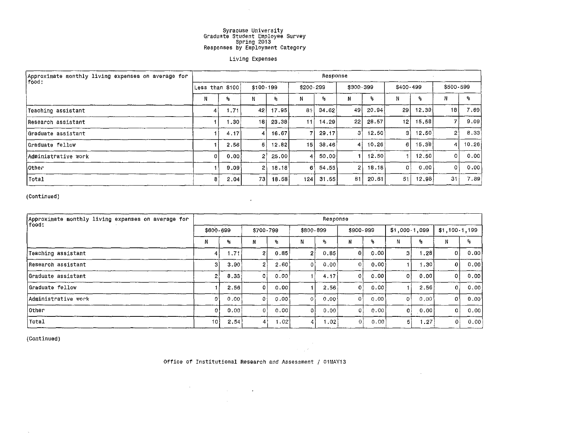$\sim$   $\sim$ 

#### Living Expenses

| Approximate monthly living expenses on average for | Response |                  |                 |           |     |           |                |        |                |       |                |        |  |  |
|----------------------------------------------------|----------|------------------|-----------------|-----------|-----|-----------|----------------|--------|----------------|-------|----------------|--------|--|--|
| food:                                              |          | Less than \$100  |                 | \$100-199 |     | \$200-299 | \$300-399      |        | $$400 - 499$   |       | \$500-599      |        |  |  |
|                                                    | Ν        | ℁                | Ν               | o.        |     | ዱ         | Ν              | ٩.     | N              | ۶.    | N              | ጜ      |  |  |
| Teaching assistant                                 | 4        | 1.71             | 42              | 17.95     | 81  | 34.62     | 49             | 20.94  | 29             | 12,39 | 181            | 7.69   |  |  |
| Research assistant                                 |          | .30 <sup>°</sup> | 18              | 23.38     | 11  | 14.29     | 22             | 28.57  | 12             | 15.58 |                | 9.09   |  |  |
| Graduate assistant!                                |          | 4.17             |                 | 16.67     |     | 29.17     | З              | 12.50  | З              | 12.50 | 2 <sub>1</sub> | 8.33   |  |  |
| Graduate fellow                                    |          | 2.56             | 51              | 12.82     | 15  | 38.46     | $\overline{4}$ | 10.26  | 6              | 15.38 |                | 10.26  |  |  |
| Administrative work                                |          | 0.00.            | 21              | -25.00 l  | 4   | 50.00     |                | 12.50  |                | 12.50 | 0              | .o.ool |  |  |
| <b>Other</b>                                       |          | 9.09             | 2               | 18.18     | 61  | 54.55     | 2              | 18, 18 | 0 <sup>1</sup> | 0.00  | 0              | 0.00   |  |  |
| Total                                              | 8        | 2.04             | 73 <sup>1</sup> | 18.58     | 124 | 31.55     | 81             | 20.61  | 51             | 12.98 | 31             | 7.89   |  |  |

(Continued)

| Approximate monthly living expenses on average for | Response |           |                  |           |           |       |              |       |                |         |               |      |  |  |
|----------------------------------------------------|----------|-----------|------------------|-----------|-----------|-------|--------------|-------|----------------|---------|---------------|------|--|--|
| food:                                              |          | \$600-699 |                  | \$700-799 | \$800-899 |       | \$900-999    |       | $$1,000-1,099$ |         | \$1,100,1,199 |      |  |  |
|                                                    | N        | ዱ         | Ν                | ٩.        | Ν         | ℁     | N            | ۹.    |                | ۹.      |               | 害    |  |  |
| Teaching assistant                                 | 4        | 1.71      | $\overline{2}$   | 0.85      | 21        | 0.85  | $\Omega$     | 0.001 | з              | .28     | 0             | 0.00 |  |  |
| Research assistant                                 | з        | 3.90      | $\overline{2}$   | 2.60      |           | 0.001 | $\mathbf{0}$ | 0.00  |                | ا 30. ا | 0             | 0.00 |  |  |
| Graduate assistant                                 |          | 8.33      | ٥I               | 0.00      |           | 4.17  | 0            | 0.001 | 01             | 0.00    | 0             | 0.00 |  |  |
| Graduate fellow                                    |          | 2.56      | O.               | 0.00      |           | 2,56  | $\mathbf{0}$ | 0.00  |                | 2.56    | 0             | 0.00 |  |  |
| Administrative work                                | 0        | 0.00      | $\mathbf{0}$     | 0.00      | ٥١        | 0.00  | 0            | .0.00 | O <sup>1</sup> | 0,00    | 0             | 0.00 |  |  |
| lOther                                             |          | 0.00      | $\Omega$         | 0.00      | ٥l        | 0.00  | 0            | 0.00  | οŧ             | 0.00    | ٥I            | 0.00 |  |  |
| Total                                              | 10       | 2,54      | $\boldsymbol{A}$ | 1.02      | 4         | 1.02  | $\Omega$     | 0,00  | 5              | 1.27    | 0             | 0.00 |  |  |

 $\sim$ 

(Continued)

Office of Institutional Research and Assessment / 01MAY13

 $\label{eq:2.1} \frac{1}{\sqrt{2}}\sum_{i=1}^n\frac{1}{\sqrt{2}}\sum_{i=1}^n\frac{1}{\sqrt{2}}\sum_{i=1}^n\frac{1}{\sqrt{2}}\sum_{i=1}^n\frac{1}{\sqrt{2}}\sum_{i=1}^n\frac{1}{\sqrt{2}}\sum_{i=1}^n\frac{1}{\sqrt{2}}\sum_{i=1}^n\frac{1}{\sqrt{2}}\sum_{i=1}^n\frac{1}{\sqrt{2}}\sum_{i=1}^n\frac{1}{\sqrt{2}}\sum_{i=1}^n\frac{1}{\sqrt{2}}\sum_{i=1}^n\frac$ 

 $\mathcal{L}^{\mathcal{L}}(\mathcal{A})$  ,  $\mathcal{L}^{\mathcal{L}}(\mathcal{A})$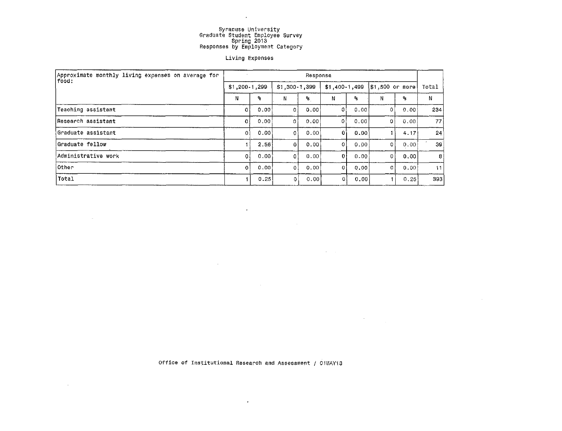$\sim 10^{-1}$ 

#### Living Expenses

| Approximate monthly living expenses on average for<br>  food : | Response       |       |                |       |                |      |                 |      |       |  |  |
|----------------------------------------------------------------|----------------|-------|----------------|-------|----------------|------|-----------------|------|-------|--|--|
|                                                                | $$1,200-1,299$ |       | $$1,300-1,399$ |       | $$1,400-1,499$ |      | \$1,500 or more |      | Total |  |  |
|                                                                | Ν              | ٩,    | $\cdot$ N      | ጜ     | Ν              | ۹.   | N               | ۹.   | N     |  |  |
| Teaching assistant                                             | 0              | 0.00  | 0.             | 0.00  | 0              | 0,00 | 0               | 0.00 | 234   |  |  |
| Research assistant                                             | ٥ł             | 0,00  | 0              | 0.00  | 0.             | 0.00 | 0               | 0.00 | 77    |  |  |
| Graduate assistant                                             | $\mathbf{0}$   | 0.001 | 0              | 0.001 |                | 0.00 |                 | 4.17 | 24    |  |  |
| Graduate fellow                                                |                | 2,56  | $\Omega$       | 0.00  | 0              | 0.00 | 0               | 0.00 | 39    |  |  |
| Administrative work                                            | $\mathbf{0}$   | 0.00  | $\Omega$       | 0.00  | οl             | 0.00 | 0               | 0.00 | $8 -$ |  |  |
| Other                                                          | $\Omega$       | 0.00  | ٥۱             | 0.00  |                | 0.00 | $\mathfrak o$   | 0.00 | 11    |  |  |
| Total                                                          |                | 0.25  | 01             | 0.00  | 0              | 0.00 |                 | 0.25 | 393   |  |  |

 $\langle \sigma \rangle$ 

 $\sim$   $\sim$ 

 $\mathcal{L}^{\text{max}}_{\text{max}}$  and  $\mathcal{L}^{\text{max}}_{\text{max}}$ 

 $\mathcal{L}^{\mathcal{L}}$  , where  $\mathcal{L}^{\mathcal{L}}$  and  $\mathcal{L}^{\mathcal{L}}$ 

 $\sim 10$ 

 $\sim 100$ 

Office of Institutional Research and Assessment / 01MAY13

 $\mathbf{r}$ 

 $\sim$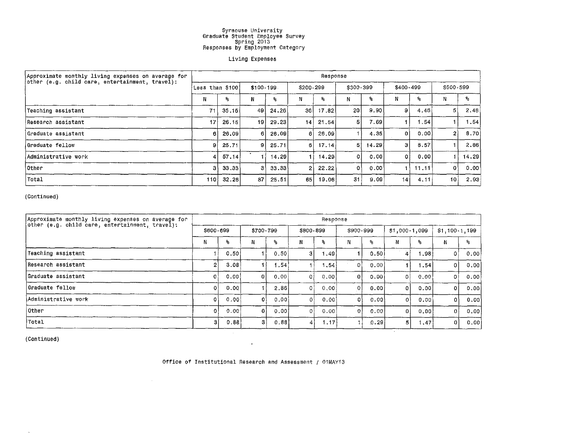#### Living Expenses

| Approximate monthly living expenses on average for     | Response        |       |                 |          |           |       |                |        |           |        |                 |                           |  |
|--------------------------------------------------------|-----------------|-------|-----------------|----------|-----------|-------|----------------|--------|-----------|--------|-----------------|---------------------------|--|
| $\phi$ other (e.g. child care, entertainment, travel): | Less than \$100 |       | \$100-199       |          | \$200-299 |       | \$300-399      |        | \$400-499 |        | \$500-599       |                           |  |
|                                                        | N               | 头     |                 | ℁        | Ν         | ۹.    |                | %      |           | ۹.     |                 | $\mathbf{P}_{\mathbf{S}}$ |  |
| Teaching assistant                                     | 71              | 35.15 | 49              | -24.26 l | 36        | 17.82 | 20             | 9,90   | 9         | 4.46   | 5               | 2,48                      |  |
| lResearch assistant                                    | 17              | 26.15 | 19 <sub>1</sub> | 29.23    | 14        | 21,54 | 5 <sub>1</sub> | 7.69 l |           | 1.54 l |                 | .54                       |  |
| Graduate assistant                                     | 61              | 26.09 | 6               | $-26.09$ | 61        | 26.09 |                | 4.35   | 0         | 0.00   | $\overline{2}$  | 8.70                      |  |
| Graduate fellow                                        | 91              | 25.71 | 9               | 25.71    | -61       | 17.14 | 5.             | 14.29  | з         | 8.57   |                 | 2.86                      |  |
| lAdministrative work                                   | 4 <sub>1</sub>  | 57.14 |                 | 14.29    |           | 14,29 | $\Omega$       | .00 O  | 0 !       | 0.00   |                 | 14.29                     |  |
| <b>Other</b>                                           | з١              | 33.33 | з               | 33.33    | 21        | 22.22 | $^{\circ}$     | 0.00   |           | 11.11  | $\mathbf{O}$    | 0.00                      |  |
| Total                                                  | 110!            | 32.26 | 87              | 25.51    | 65        | 19.06 | 31             | 9.09   | 14        | 4.11   | 10 <sup>1</sup> | 2.93                      |  |

(Continued)

| Approximate monthly living expenses on average for | Response  |      |           |      |            |      |              |         |                |       |                |      |  |
|----------------------------------------------------|-----------|------|-----------|------|------------|------|--------------|---------|----------------|-------|----------------|------|--|
| other (e.g. child care, entertainment, travel):    | \$600-699 |      | \$700-799 |      | \$800-899  |      | \$900-999    |         | $$1,000-1,099$ |       | \$1,100.1,199  |      |  |
|                                                    | N         | ℁    | N         | ℁    | N          | ۹.   | N            | ۹.      |                | ۹.    | M.             | ۹.   |  |
| Teaching assistant                                 |           | 0.50 |           | 0.50 | з          | 1.49 |              | 0.50    | 4              | .98   | 0              | 0.00 |  |
| Research assistant                                 | 2         | 3.08 |           | 1.54 |            | .54  | 0            | 0.00    |                | l.54  | 0              | 0.00 |  |
| Graduate assistant                                 | 0         | 0.00 | 0         | 0.00 | 0          | 0.00 | 0            | .0.00 l | $\overline{0}$ | 0.00  | 0              | 0.00 |  |
| Graduate fellow                                    |           | 0,00 |           | 2.86 | $\Omega$ i | 0,00 |              | 0.00    | $\Omega$       | 0.00  | ΩI             | 0.00 |  |
| Administrative work                                | o l       | 0.00 | 0         | 0.00 | 01         | 0.00 | O۱           | 0.001   | ٥۱             | 0.001 | $\mathfrak{o}$ | 0.00 |  |
| lOther                                             | 0 !       | 0.00 | 0         | 0.00 | οi         | 0.00 | $\mathbf{O}$ | 0.00    | οł             | 0.00  | 0              | 0.00 |  |
| Total                                              | 31        | 0.88 | 31        | 0.83 | 4          | 1.17 |              | 0.29    | 5 <sub>1</sub> | 1.47  | 0              | 0.00 |  |

(Continued)

Office of Institutional Research and Assessment / 01MAY13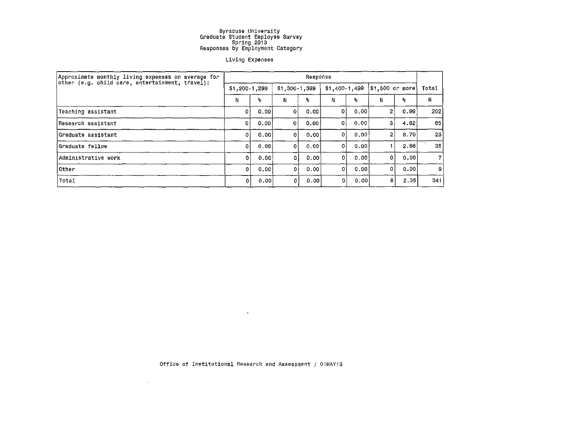#### Living Expenses

| Approximate monthly living expenses on average for<br>other (e.g. child care, entertainment, travel): | Response |                          |              |               |    |                |                  |      |       |  |  |
|-------------------------------------------------------------------------------------------------------|----------|--------------------------|--------------|---------------|----|----------------|------------------|------|-------|--|--|
|                                                                                                       |          | $$1,200-1,299$           |              | \$1,300-1,399 |    | $$1,400-1,499$ | $$1,500$ or more |      | Total |  |  |
|                                                                                                       | N        | $\mathcal{G}_\mathbf{S}$ | N            | o.            | N. | s,             | Ν                | 鬌    | N     |  |  |
| Teaching assistant                                                                                    | -Oʻl     | 0.00                     | 0            | 0.001         | ΩI | 0.00           | $\overline{2}$   | 0.99 | 202   |  |  |
| Research assistant                                                                                    | D.       | 0.00                     | $\mathbf{0}$ | 0.00          |    | 0,00           | 3                | 4.62 | 65    |  |  |
| Graduate assistant                                                                                    | $\Omega$ | 0.00                     | 0            | 0.00          |    | 0.00           | $\mathbf{2}$     | 8.70 | 23    |  |  |
| Graduate fellow                                                                                       | $\Omega$ | 0.00                     | 0.           | 0.001         | 0. | 0.00           |                  | 2.86 | 35    |  |  |
| Administrative work                                                                                   | 0        | 0.00                     | $\Omega$     | 0.00          | οI | 0.00           | 0                | 0.00 | 7.    |  |  |
| Other                                                                                                 | 0        | 0.00                     | ٥I           | 0.00          | 0  | 0.00           | 0                | 0.00 | 9     |  |  |
| Total                                                                                                 | 0        | 0.00                     | 0            | 0,00          |    | 0,00           | 8                | 2.35 | 341   |  |  |

Office of Institutional Research and Assessment / 01MAY13

 $\mathcal{L}^{\text{max}}_{\text{max}}$  and  $\mathcal{L}^{\text{max}}_{\text{max}}$ 

 $\sim 100$ 

 $\cdot$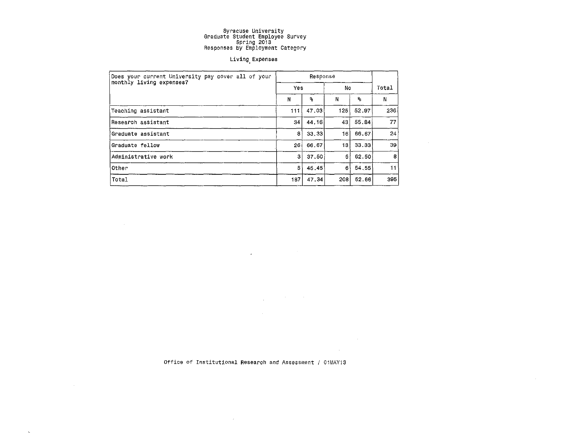#### Living.Expenses

| Does your current University pay cover all of your |     |                           |     |       |                 |
|----------------------------------------------------|-----|---------------------------|-----|-------|-----------------|
| monthly living expenses?                           | Yes |                           | No  |       | Total           |
|                                                    | Ν   | $\mathbf{9}_{\mathbf{5}}$ | N   | ቈ     | N               |
| Teaching assistant                                 | 111 | 47.03                     | 125 | 52.97 | 236             |
| Research assistant                                 | 34  | 44.16                     | 43  | 55.84 | 77              |
| Graduate assistant                                 | 8   | 33.33                     | 16  | 66.67 | 24              |
| Graduate fellow                                    | 26  | 66.67                     | 13  | 33.33 | 39 <sub>1</sub> |
| Administrative work                                | 3   | 37,50                     | 51  | 62.50 | 8               |
| Other                                              | 5   | 45.45                     | 6   | 54.55 | 11              |
| Total                                              | 187 | 47.34                     | 208 | 52.66 | 395             |

Office of Institutional Research *and* Assessment *I* OiMAY13

 $\sim$   $\mu$ 

 $\label{eq:2.1} \frac{1}{\sqrt{2}}\int_{\mathbb{R}^{2}}\left|\frac{d\mathbf{x}}{d\mathbf{x}}\right|^{2}d\mathbf{x}^{2}d\mathbf{x}^{2}d\mathbf{x}^{2}d\mathbf{x}^{2}d\mathbf{x}^{2}d\mathbf{x}^{2}d\mathbf{x}^{2}d\mathbf{x}^{2}d\mathbf{x}^{2}d\mathbf{x}^{2}d\mathbf{x}^{2}d\mathbf{x}^{2}d\mathbf{x}^{2}d\mathbf{x}^{2}d\mathbf{x}^{2}d\mathbf{x}^{2}d\mathbf{x}^{2}d\mathbf{x}^{2}d\math$ 

 $\label{eq:2.1} \frac{1}{\sqrt{2\pi}}\int_{\mathbb{R}^3}\frac{1}{\sqrt{2\pi}}\left(\frac{1}{\sqrt{2\pi}}\int_{\mathbb{R}^3}\frac{1}{\sqrt{2\pi}}\int_{\mathbb{R}^3}\frac{1}{\sqrt{2\pi}}\frac{1}{\sqrt{2\pi}}\frac{1}{\sqrt{2\pi}}\frac{1}{\sqrt{2\pi}}\frac{1}{\sqrt{2\pi}}\frac{1}{\sqrt{2\pi}}\frac{1}{\sqrt{2\pi}}\frac{1}{\sqrt{2\pi}}\frac{1}{\sqrt{2\pi}}\frac{1}{\sqrt{2\pi}}\frac{1}{\sqrt{$ 

 $\mathcal{L}^{\text{max}}_{\text{max}}$  ,  $\mathcal{L}^{\text{max}}_{\text{max}}$ 

 $\sim 10^{-1}$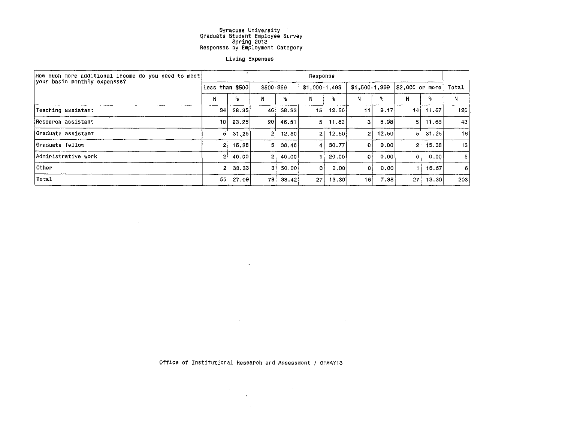#### Living Expenses

| How much more additional income do you need to meet!<br>your basic monthly expenses? | Response        |       |           |                    |                 |        |                 |       |                 |        |                 |  |  |
|--------------------------------------------------------------------------------------|-----------------|-------|-----------|--------------------|-----------------|--------|-----------------|-------|-----------------|--------|-----------------|--|--|
|                                                                                      | Less than \$500 |       | \$500-999 |                    | \$1,000-1,499   |        | \$1,500-1,999   |       | \$2,000 or more |        | Total           |  |  |
|                                                                                      | N               | ዔ     | N         | q,                 | Ν               | ℁      | N               | %.    | N               | ℁      | N               |  |  |
| Teaching assistant                                                                   | 34              | 28,33 | 46        | 38,33              | 15              | 12.50  | 11              | 9.17  | 14 <sup>1</sup> | 11.67  | 120             |  |  |
| lResearch assistant                                                                  | 10              | 23.26 | 20        | 46.51              | 51              | 11.63  | З               | 6,98  | 5 I             | 11.63  | 43              |  |  |
| Graduate assistant                                                                   | 51              | 31.25 | 21        | 12.50              | $\overline{2}$  | 12.50  | 2               | 12.50 | 5               | -31.25 | 16              |  |  |
| Graduate fellow                                                                      | 2               | 15.38 | 51        | 38,46              | 4               | 30.77  | Ωİ              | .0.00 | $\overline{2}$  | 15.38  | 13 <sub>1</sub> |  |  |
| Administrative work                                                                  |                 | 40,00 | 21        | 40.00 <sup>1</sup> |                 | .20.00 | 01              | 0.001 | ٥۱              | 0.00   | 5               |  |  |
| <b>Other</b>                                                                         |                 | 33.33 | 31        | 50.00              |                 | 0.00   | ٥ł              | 0.00  |                 | 16.67  | 6               |  |  |
| Total                                                                                | 55              | 27.09 | 78        | 38.42              | 27 <sup>1</sup> | 13,30  | 16 <sup>1</sup> | 7.88  | 27              | 13,30  | 203             |  |  |

 $\mathcal{L}^{\mathcal{L}}(\mathcal{L}^{\mathcal{L}})$  and  $\mathcal{L}^{\mathcal{L}}(\mathcal{L}^{\mathcal{L}})$  . The contribution

the control of the control of the

Office of Institutional Research and Assessment / 01MAY13

 $\mathcal{L}^{\text{max}}_{\text{max}}$ 

 $\label{eq:2.1} \frac{1}{\sqrt{2\pi}}\sum_{i=1}^n\frac{1}{\sqrt{2\pi}}\sum_{i=1}^n\frac{1}{\sqrt{2\pi}}\sum_{i=1}^n\frac{1}{\sqrt{2\pi}}\sum_{i=1}^n\frac{1}{\sqrt{2\pi}}\sum_{i=1}^n\frac{1}{\sqrt{2\pi}}\sum_{i=1}^n\frac{1}{\sqrt{2\pi}}\sum_{i=1}^n\frac{1}{\sqrt{2\pi}}\sum_{i=1}^n\frac{1}{\sqrt{2\pi}}\sum_{i=1}^n\frac{1}{\sqrt{2\pi}}\sum_{i=1}^n\$ 

 $\label{eq:2.1} \frac{1}{\sqrt{2}}\int_{\mathbb{R}^3}\frac{1}{\sqrt{2}}\left(\frac{1}{\sqrt{2}}\right)^2\left(\frac{1}{\sqrt{2}}\right)^2\left(\frac{1}{\sqrt{2}}\right)^2\left(\frac{1}{\sqrt{2}}\right)^2\left(\frac{1}{\sqrt{2}}\right)^2\left(\frac{1}{\sqrt{2}}\right)^2.$ 

 $\mathcal{L}(\mathbf{x})$  ,  $\mathcal{L}(\mathbf{x})$ 

 $\sim 100$  km s

 $\sim$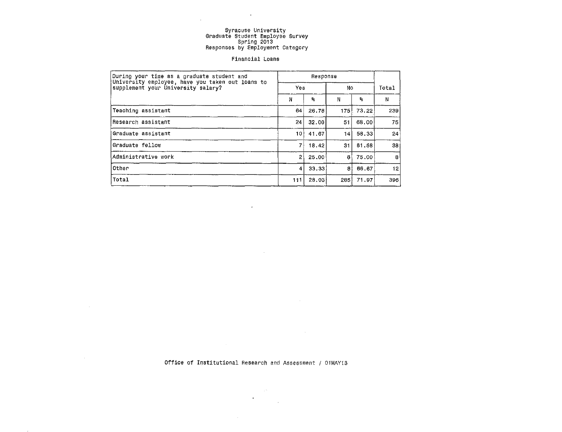$\sim 100$ 

 $\mathcal{A}^{\mathcal{A}}$ 

#### Financial Loans

| During your time as a graduate student and                                             |     |       |     |       |       |
|----------------------------------------------------------------------------------------|-----|-------|-----|-------|-------|
| University employee, have you taken out loans to<br>supplement your University salary? | Yes |       | No  |       | Total |
|                                                                                        | N   | ×.    | N   | 9,    | N     |
| Teaching assistant                                                                     | 64  | 26.78 | 175 | 73.22 | 239   |
| Research assistant                                                                     | 24  | 32.00 | 51  | 68.00 | 75    |
| Graduate assistant                                                                     | 10  | 41.67 | 14  | 58.33 | 24    |
| Graduate fellow                                                                        | 71  | 18.42 | 31  | 81.58 | 38    |
| Administrative work                                                                    | 2   | 25.00 | 6   | 75.00 | 8     |
| Other                                                                                  | 4   | 33.33 | 81  | 66.67 | 12    |
| Total                                                                                  | 111 | 28.03 | 285 | 71.97 | 396   |

 $\mathbf{v}$ 

 $\sim$ 

Office of Institutional Research and Assessment / 01MAYi3

 $\sim 10^{11}$  $\bullet$ 

 $\mathcal{L}^{\text{max}}_{\text{max}}$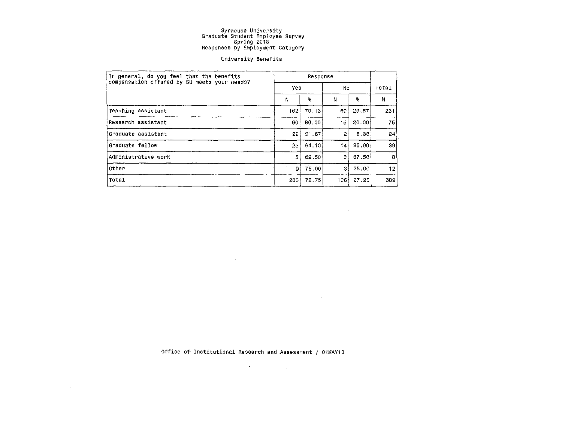#### University Benefits

| In general, do you feel that the benefits    |     |                         |     |       |       |
|----------------------------------------------|-----|-------------------------|-----|-------|-------|
| compensation offered by SU meets your needs? | Yes |                         | No. |       | Total |
|                                              | N   | $\mathbf{s}_\mathrm{s}$ | Ν   | %     | N     |
| Teaching assistant                           | 162 | 70.13                   | 69  | 29.87 | 231   |
| Research assistant                           | 60  | 80.00                   | 15  | 20.00 | 75    |
| Graduate assistant                           | 22  | 91.67                   | 2   | 8.33  | 24    |
| Graduate fellow                              | 25  | 64.10                   | 14  | 35.90 | 39    |
| Administrative work                          | 51  | 62.50                   | 3   | 37.50 | 8     |
| Other                                        | 91  | 75.00                   | 3   | 25.00 | 12    |
| Total                                        | 283 | 72.75                   | 106 | 27.25 | 389   |

 $\label{eq:1} \frac{1}{\sqrt{2}}\int_{\mathbb{R}^3}\frac{1}{\sqrt{2}}\left(\frac{1}{\sqrt{2}}\right)^2\left(\frac{1}{\sqrt{2}}\right)^2\left(\frac{1}{\sqrt{2}}\right)^2\left(\frac{1}{\sqrt{2}}\right)^2\left(\frac{1}{\sqrt{2}}\right)^2.$ 

 $\mathcal{L}^{\text{max}}_{\text{max}}$ 

Office of Institutional Research and Assessment / 01MAY13

 $\sim 10^{11}$  km  $^{-1}$ 

 $\mathcal{O}(\mathcal{F}^{\mathcal{A}}_{\mathcal{A}})$  and  $\mathcal{O}(\mathcal{A}^{\mathcal{A}}_{\mathcal{A}})$  . The contribution of

 $\mathcal{L}^{\mathcal{L}}(\mathcal{L}^{\mathcal{L}})$  and  $\mathcal{L}^{\mathcal{L}}(\mathcal{L}^{\mathcal{L}})$  and  $\mathcal{L}^{\mathcal{L}}(\mathcal{L}^{\mathcal{L}})$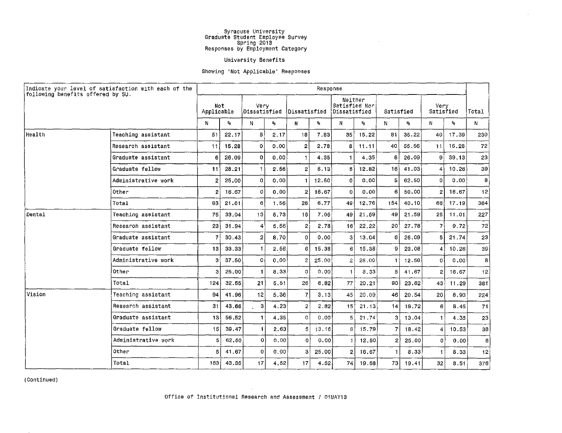$\sim$ 

 $\sim$ 

#### University Benefits

#### Showing 'Not Applicable' Responses

| following benefits offered by SU. | Indicate your level of satisfaction with each of the |                   |       |                                    |                           |              | Response     |                                          |       |           |                         |                   |                           |                 |
|-----------------------------------|------------------------------------------------------|-------------------|-------|------------------------------------|---------------------------|--------------|--------------|------------------------------------------|-------|-----------|-------------------------|-------------------|---------------------------|-----------------|
|                                   |                                                      | Not<br>Applicable |       | Very<br>Dissatisfied \Dissatisfied |                           |              |              | Neither<br>Satisfied Nor<br>Dissatisfied |       | Satisfied |                         | Very<br>Satisfied |                           | Total           |
|                                   |                                                      | N.                | ℁     | N                                  | $\mathbf{q}_{\mathrm{f}}$ | N            | $\mathbf{S}$ | $\mathbf{N}$                             | $^2$  | N.        | $\mathbf{S}_\mathrm{S}$ | N                 | $\mathbf{P}_{\mathbf{S}}$ | N               |
| Health                            | Teaching assistant                                   | 51                | 22.17 | 5                                  | 2.17                      | 18           | 7.83         | 35 <sup>1</sup>                          | 15.22 | 81        | 35.22                   | 40                | 17.39                     | 230             |
|                                   | Research assistant                                   | 11                | 15.28 | 0                                  | 0.00                      | 2            | 2.78         | 8                                        | 11.11 | 40        | 55.56                   | 11                | 15.28                     | 72              |
|                                   | Graduate assistant                                   | 6                 | 26.09 | 0.                                 | 0.00                      | $\mathbf{1}$ | 4.35         | $\mathbf{1}$                             | 4.35  | 6         | 26.09                   | 9                 | 39.13                     | 23              |
|                                   | Graduate fellow                                      | 11                | 28.21 | 1.                                 | 2.56                      | $2^{\circ}$  | 5.13         | 5                                        | 12.82 | 16        | 41.03                   | 4                 | 10.26                     | 39 <sup>′</sup> |
|                                   | Administrative work                                  | 2                 | 25.00 | 0                                  | 0.00                      | 1.           | 12.50        | $\mathbf{o}$                             | 0.00  | 5         | 62.50                   | 0                 | 0.00                      | 8               |
|                                   | Other                                                | 2                 | 16.67 | 0                                  | 0.00                      | $\mathbf{2}$ | 16.67        | 0                                        | 0.00  | 6         | 50.00                   | 2                 | 16.67                     | 12              |
|                                   | Total                                                | 83                | 21.61 | 6                                  | 1.56                      | 26           | 6.77         | 49                                       | 12.76 | 154       | 40.10                   | 66                | 17.19                     | 384             |
| Dental                            | Teaching assistant                                   | 75                | 33.04 | 13                                 | 5 73                      | 16           | 7.05         | 49                                       | 21.59 | 49        | 21.59                   | 25                | 11.01                     | 227             |
|                                   | Research assistant                                   | 23                | 31.94 | 4                                  | 5.56                      | 2            | 2.78         | 16'                                      | 22.22 | 20        | 27.78                   | 7.                | 9.72                      | 72              |
|                                   | Graduate assistant                                   |                   | 30.43 | 2                                  | 8.70                      | $\mathbf{0}$ | 0.00         | 3                                        | 13.04 | 6         | 26.09                   | 5                 | 21.74                     | 23              |
|                                   | Graduate fellow                                      | 13                | 33.33 | $\mathbf{1}$                       | 2.56                      | 6            | 15.38        | 6.                                       | 15.38 | 9         | 23.08                   | 4                 | 10.26                     | 39              |
|                                   | Administrative work                                  | 3                 | 37.50 | οi                                 | 0.00                      | 2            | 25.00        | $\mathbf{2}$                             | 25.00 | 1         | 12.50                   | $\Omega$          | 0.00                      | 8               |
|                                   | Other                                                | 3                 | 25.00 | 1.                                 | 8.33                      | $\Omega$     | 0.00         | $\mathbf{1}$                             | 8.33  | 5         | 41.67                   | 2                 | 16.67                     | 12              |
|                                   | Total                                                | 124               | 32.55 | 21                                 | 5.51                      | 26           | 6.82         | 77                                       | 20.21 | 90        | 23.62                   | 43 <sup>1</sup>   | 11.29                     | 381             |
| Vision                            | Teaching assistant                                   | 94                | 41.96 | 12                                 | 5.36                      | 7            | 3.13         | 45                                       | 20.09 | 46        | 20.54                   | 20 <sub>1</sub>   | 8.93                      | 224             |
|                                   | Research assistant                                   | 31                | 43.66 | 3                                  | 4.23                      | $\mathbf{2}$ | 2.82         | 15                                       | 21.13 | 14        | 19.72                   | 6                 | 8.45                      | 71              |
|                                   | Graduate assistant                                   | 13                | 56.52 | 1                                  | 4.35                      | 0            | 0.00         | 5                                        | 21.74 | 3         | 13.04                   |                   | 4.35                      | 23              |
|                                   | Graduate fellow                                      | 15                | 39.47 | 1                                  | 2.63                      | 5.           | 13, 16       | 6                                        | 15.79 | 7         | 18.42                   | 4                 | 10.53                     | 38              |
|                                   | Administrative work                                  | 5                 | 62.50 | 0                                  | 0.00                      | 0            | 0.00         | $\mathbf{1}$                             | 12.50 | 2         | 25,00                   | 0                 | 0.00                      | 8               |
|                                   | Other                                                | 5                 | 41.67 | 0                                  | 0.00                      | 3            | 25,00        | $\overline{2}$                           | 16.67 | -1        | 8.33                    |                   | 8.33                      | 12              |
|                                   | Total                                                | 163               | 43.35 | 17                                 | 4.52                      | 17           | 4.52         | 74                                       | 19.68 | 73        | 19.41                   | 32                | 8.51                      | 376             |

(Continued)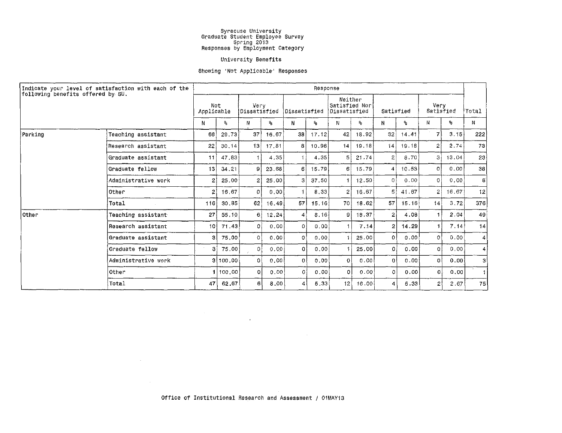#### University Benefits

#### Showing 'Not Applicable' Responses

| Indicate your level of satisfaction with each of the |                     | Response        |                   |                |                      |              |              |                |                                          |                |           |                |                    |                 |
|------------------------------------------------------|---------------------|-----------------|-------------------|----------------|----------------------|--------------|--------------|----------------|------------------------------------------|----------------|-----------|----------------|--------------------|-----------------|
| following benefits offered by SU.                    |                     |                 | Not<br>Applicable |                | Verv<br>Dissatisfied |              | Dissatisfied |                | Neither<br>Satisfied Nor<br>Dissatisfied |                | Satisfied |                | Very.<br>Satisfied |                 |
|                                                      |                     | Ν               | $^9$ 6            | Ν              | ጜ                    | N            | ዔ            | N.             | ጜ                                        | N              | ℁         | N              | ዔ.                 | Ν               |
| Parking                                              | Teaching assistant  | 66              | 29,73             | 37             | 16.67                | 38           | 17.12        | 42             | 18.92                                    | 32             | 14,41     | $\overline{z}$ | 3.15               | 222             |
|                                                      | Research assistant  | 22 <sup>2</sup> | 30, 14            | 13             | 17.81                | 8            | 10.96        | 14             | 19.18                                    | 14             | 19.18     | $\overline{2}$ | 2.74               | 73              |
|                                                      | Graduate assistant  | 11              | 47.83             |                | 4.35                 |              | 4.35         | 5 <sup>1</sup> | 21.74                                    | 2              | 8.70      | 31             | 13.04              | 23              |
|                                                      | Graduate fellow     | 13 <sup>1</sup> | 34.21             | 91             | 23.68                | 6            | 15.79        | 61             | 15,79                                    | 4              | 10.53     | οI             | 0.00               | 38              |
|                                                      | Administrative work | 2               | 25,00             | 21             | 25,00                | 31           | 37.50        | $\mathbf{1}$   | 12.50                                    | $\circ$        | 0.00      | $\Omega$       | 0.00               | 8               |
|                                                      | Other               | 2               | 16.67             | $\overline{O}$ | 0.00                 |              | 8,33         | $\overline{2}$ | 16.67                                    | 5              | 41.67     | $\overline{2}$ | 16.67              | 12              |
|                                                      | Total               | 116             | 30,85             | 62             | 16.49                | 57           | 15, 16       | 70             | 18.62                                    | 57             | 15.16     | 4              | 3.72               | 376             |
| Other                                                | Teaching assistant  | 27              | 55.10             | 61             | 12,24                | 4            | 8,16         | $\Omega$       | 18.37                                    | $\mathfrak{D}$ | 4.08      |                | 2.04               | 49              |
|                                                      | Research assistant  | 10              | 71.43             | -01            | 0,00                 | $\Omega$     | 0.00         | $\blacksquare$ | 7.14                                     | 2              | 14.29     |                | 7.14               | 14              |
|                                                      | Graduate assistant  | З               | 75.00             | $\Omega$       | 0.00                 | $\Omega$     | 0.00         |                | 25.00                                    | $\Omega$       | 0.00      | $\Omega$       | 0.00               | $\vert$ 4       |
|                                                      | Graduate fellow     | зI              | 75.00             | οl             | 0.00                 | 0.           | 0.001        | -1             | 25.00                                    | 0              | 0.00      | -o l           | 0,00               | $\vert 4 \vert$ |
|                                                      | Administrative work |                 | 3 100,00          | $\circ$        | 0.00                 | $\mathbf{0}$ | 0.00         | $\mathbf 0$    | 0.00                                     | $\Omega$       | 0.00      | 0              | 0.001              | -31             |
|                                                      | Other               |                 | 1 100.00          | -o l           | 0.00                 | $\circ$      | 0.00         | $\Omega$       | 0.00                                     | $\Omega$       | 0.00      | O.             | 0.00               | $\mathbf{1}$    |
|                                                      | Total               | 47 l            | 62.67             | 6l             | 8.00                 | 4            | 5.33         | 12             | 16.00                                    | $\vert$        | 5.33      | 21             | 2.67               | 75              |

 $\label{eq:2.1} \frac{1}{\sqrt{2\pi}}\left(\frac{1}{\sqrt{2\pi}}\right)^{1/2}\left(\frac{1}{\sqrt{2\pi}}\right)^{1/2}\left(\frac{1}{\sqrt{2\pi}}\right)^{1/2}\left(\frac{1}{\sqrt{2\pi}}\right)^{1/2}\left(\frac{1}{\sqrt{2\pi}}\right)^{1/2}\left(\frac{1}{\sqrt{2\pi}}\right)^{1/2}\left(\frac{1}{\sqrt{2\pi}}\right)^{1/2}\left(\frac{1}{\sqrt{2\pi}}\right)^{1/2}\left(\frac{1}{\sqrt{2\pi}}\right)^{1/2}\left(\frac{1}{\sqrt{$ 

 $\mathcal{L}^{\mathcal{L}}(\mathcal{L}^{\mathcal{L}}(\mathcal{L}^{\mathcal{L}}(\mathcal{L}^{\mathcal{L}}(\mathcal{L}^{\mathcal{L}}(\mathcal{L}^{\mathcal{L}}(\mathcal{L}^{\mathcal{L}}(\mathcal{L}^{\mathcal{L}}(\mathcal{L}^{\mathcal{L}}(\mathcal{L}^{\mathcal{L}}(\mathcal{L}^{\mathcal{L}}(\mathcal{L}^{\mathcal{L}}(\mathcal{L}^{\mathcal{L}}(\mathcal{L}^{\mathcal{L}}(\mathcal{L}^{\mathcal{L}}(\mathcal{L}^{\mathcal{L}}(\mathcal{L}^{\mathcal{L$ 

 $\sim 1000$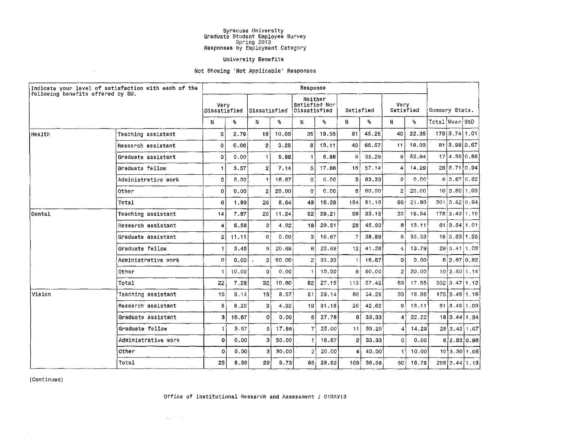#### University Benefits

#### Not Showing 'Not Applicable' Responses

| Indicate your level of satisfaction with each of the<br> following benefits offered by SU. |                     | Response       |                      |                |              |                |                                          |                 |           |                |                   |                |                           |               |  |
|--------------------------------------------------------------------------------------------|---------------------|----------------|----------------------|----------------|--------------|----------------|------------------------------------------|-----------------|-----------|----------------|-------------------|----------------|---------------------------|---------------|--|
|                                                                                            |                     |                | Verv<br>Dissatisfied |                | Dissatisfied |                | Neither<br>Satisfied Nor<br>Dissatisfied |                 | Satisfied |                | Very<br>Satisfied |                | Summary Stats.            |               |  |
|                                                                                            |                     | N              | ℁                    | N              | ℁            | N.             | ٩.                                       | N               | o.        | N              | 9 <sub>5</sub>    | Total Mean StD |                           |               |  |
| Health                                                                                     | Teaching assistant  | 5              | 2.79                 | 18             | 10.06        | 35             | 19.55                                    | 81              | 45.25     | 40             | 22.35             |                | 179 3.74 1.01             |               |  |
|                                                                                            | Research assistant  | 0              | 0.00                 | $\overline{2}$ | 3.28         | 8              | 13.11                                    | 40              | 65.57     | 11             | 18.03             |                | 61 3.98 0.67              |               |  |
|                                                                                            | Graduate assistant  | 0              | 0.00                 | 1              | 5.88         | 1              | 5.88                                     | 6               | 35.29     | 9              | 52.94             |                | 17 4.35 0.86              |               |  |
|                                                                                            | Graduate fellow     |                | 3.57                 | $2^{\circ}$    | 7.14         | 5              | 17.86                                    | 16 <sup>1</sup> | 57.14     | 4              | 14.29             |                | 28 3.71 0.94              |               |  |
|                                                                                            | Administrative work | 0              | 0.00                 | 1              | 16.67        | 0              | 0.00                                     | 5               | 83.33     | $\Omega$       | 0.00              |                | 6 3.67 0.82               |               |  |
|                                                                                            | <b>Other</b>        | 0              | 0.00                 | $\overline{2}$ | 20.00        | 0              | 0.00                                     | 6               | 60.00     | $\overline{2}$ | 20.00             |                | 10 3.80 1.03              |               |  |
|                                                                                            | Total               | 6              | 1.99                 | 26             | 8.64         | 49             | 16.28                                    | 154             | 51.16     | 66             | 21.93             |                | $301$ 3.82 0.94           |               |  |
| Dental                                                                                     | Teaching assistant  | 14             | 7.87                 | 20             | 11.24        | 52             | 29,21                                    | 59              | 33.15     | 33             | 18.54             |                | 1783.4311.15              |               |  |
|                                                                                            | Research assistant  | 4              | 6.56                 | 3              | 4.92         | 18             | 29.51                                    | 28              | 45.90     | $\theta$       | 13.11             |                | 61 3.54 1.01              |               |  |
|                                                                                            | Graduate assistant  | $\overline{2}$ | 11.11                | $\Omega$       | 0.00         | 3              | 16.67                                    | 7               | 38.89     | 6              | 33.33             |                | 18 3.83 1.25              |               |  |
|                                                                                            | Graduate fellow     | 1              | 3.45                 | 6              | 20.69        | 6              | 20,69                                    | 12              | 41.38     | 4              | 13.79             |                | 29 3.41 1.09              |               |  |
|                                                                                            | Administrative work | 0              | 0.00                 | 3              | 50.00        | $\overline{c}$ | 33.33                                    |                 | 16.67     | $\Omega$       | 0.00              |                | 6 2.67 0.82               |               |  |
|                                                                                            | Other               |                | 10.00                | $\Omega$       | 0.00         |                | 10.00                                    | 6               | 60.00     | $\overline{c}$ | 20.00             |                | 10 3.80 1.14              |               |  |
|                                                                                            | Total               | 22             | 7.28                 | 32             | 10.60        | 82             | 27.15                                    | 113             | 37.42     | 53             | 17.55             |                | $302 \mid 3.47 \mid 1.12$ |               |  |
| Vision                                                                                     | Teaching assistant  | 16             | 9.14                 | 15             | 8.57         | 51             | 29.14                                    | 60              | 34.29     | 33             | 18.86             |                | $175$ 3.45 1.16           |               |  |
|                                                                                            | Research assistant  | 5              | 8.20                 | 3              | 4.92         | 19             | 31.15                                    | 26              | 42.62     | 8              | 13.11             |                | 61 3.48 1.06              |               |  |
|                                                                                            | Graduate assistant  | 3              | 16.67                | 0              | 0.00         | 5              | 27.78                                    | 6               | 33.33     | 4              | 22.22             |                | 18 3.44 1.34              |               |  |
|                                                                                            | Graduate fellow     | 1              | 3.57                 | 5              | 17.86        |                | 25.00                                    | 11              | 39.29     | 4              | 14.29             |                |                           | 28 3,43 1,07  |  |
|                                                                                            | Administrative work | 0              | 0.00                 | 3              | 50.00        |                | 16.67                                    | $\mathbf{2}$    | 33.33     | 0              | 0.00              |                |                           | 6 2.83 0.98   |  |
|                                                                                            | Other               | 0              | 0.00                 | 3              | 30.00        |                | 20.00                                    | 4               | 40.00     | 1              | 10.00             |                |                           | 10 3.30 1.06  |  |
|                                                                                            | Total               | 25             | 8.39                 | 29             | 9.73         | 85             | 28.52                                    | 109             | 36.58     | 50             | 16.78             |                |                           | 298[3.44]1.13 |  |

(Continued)

 $\sim$ 

#### Office of Institutional Research and Assessment / 01MAY13

 $\mathbf{q} = \theta_{\mathrm{max}}(\mathbf{q})$  .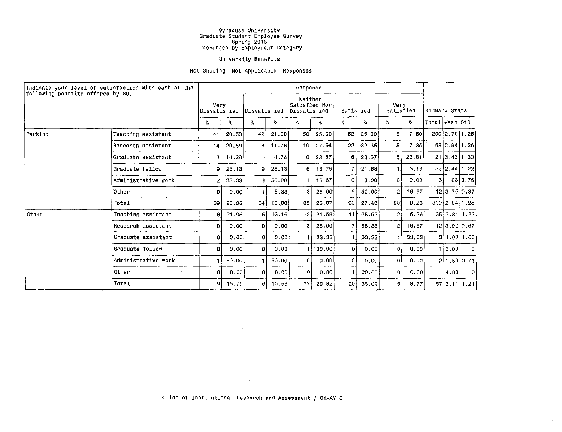#### University Benefits

#### Not Showing 'Not Applicable' Responses

| Indicate your level of satisfaction with each of the<br>following benefits offered by SU. |                     | Response             |       |              |       |                                          |          |                 |        |                   |       |                |               |               |
|-------------------------------------------------------------------------------------------|---------------------|----------------------|-------|--------------|-------|------------------------------------------|----------|-----------------|--------|-------------------|-------|----------------|---------------|---------------|
|                                                                                           |                     | Very<br>Dissatisfied |       | Dissatisfied |       | Neither<br>Satisfied Nor<br>Dissatisfied |          | Satisfied       |        | Very<br>Satisfied |       | Summary Stats. |               |               |
|                                                                                           |                     | N                    | ዔ     | N.           | ዔ     | N                                        | ጜ        | N.              | ዔ      | N                 | ዔ     | Total Mean StD |               |               |
| Parking                                                                                   | Teaching assistant  | 41                   | 20.50 | 42           | 21.00 | 50                                       | 25.00    | 52              | 26,00  | 15 <sub>1</sub>   | 7.50  |                | 200 2.79 1.25 |               |
|                                                                                           | Research assistant  | 14                   | 20.59 | 8            | 11.76 | 19                                       | 27.94    | 22 <sup>1</sup> | 32.35  |                   | 7.35  |                |               | 68 2.94 1.26  |
|                                                                                           | Graduate assistant  | 3                    | 14.29 | ŧ            | 4.76  | 6                                        | 28.57    | 6               | 28.57  | 5                 | 23.81 |                |               | 21 3.43 1.33  |
|                                                                                           | Graduate fellow     | 9                    | 28,13 | 9            | 28.13 | 61                                       | 18.75    | 7               | 21.88  |                   | 3.13  |                |               | 32 2.44 1.22  |
|                                                                                           | Administrative work | 2                    | 33.33 | з            | 50.00 |                                          | 16.67    | $\mathbf{0}$    | 0.00   | $\Omega$          | 0.00  |                |               | 6 1.83 0.75   |
|                                                                                           | Other               | 0                    | 0.00  |              | 8.33  | з                                        | 25.00    | 6.              | 50.00  | 2                 | 16.67 |                |               | 12 3.75 0.87  |
|                                                                                           | Total               | 69                   | 20.35 | 64           | 18.88 | 35                                       | 25.07    | 93 i            | 27,43  | 28 <sup>1</sup>   | 8.26  |                |               | 339 2.84 1.26 |
| Other                                                                                     | Teaching assistant  | 8                    | 21.05 | 5.           | 13.16 | 12 <sup>1</sup>                          | 31.58    | 11              | 28.95  | 2.                | 5.26  |                |               | 38 2.84 1.22  |
|                                                                                           | Research assistant  | 0                    | 0.00  | $\Omega$     | 0.00  | з                                        | 25.00    | $\overline{7}$  | 58.33  | $\overline{2}$    | 16.67 |                |               | 12 3.92 0.67  |
|                                                                                           | Graduate assistant  | 0                    | 0.00. | 0            | 0.00  |                                          | 33.33    |                 | 33,33  |                   | 33.33 |                |               | 3 4.00 1.00   |
|                                                                                           | Graduate fellow     | 0                    | 0.00  | $\Omega$     | 0.00  |                                          | 1.100.00 | 0               | 0.00   | 0                 | 0.00  |                | 1[3.00]       | -01           |
|                                                                                           | Administrative work |                      | 50.00 |              | 50.00 | ٥I                                       | 0.00     | $\Omega$        | 0.00   | $\mathbf{0}$      | 0.00  |                |               | 2 1.50 0.71   |
|                                                                                           | Other               | $\bullet$            | 0.00  | 0            | 0.00  | $\Omega$                                 | 0.00     |                 | 100,00 | 0                 | 0.00  |                | 4.00          | οI            |
|                                                                                           | Total               | 9                    | 15.79 | 6            | 10.53 | 17                                       | 29.82    | 201             | 35.09  | 5                 | 8.77  |                |               | 57 3.11 1.21  |

 $\epsilon$ 

 $\bullet$ 

 $\sim 10^{11}$  km  $^{-1}$ 

 $\sim 10^7$